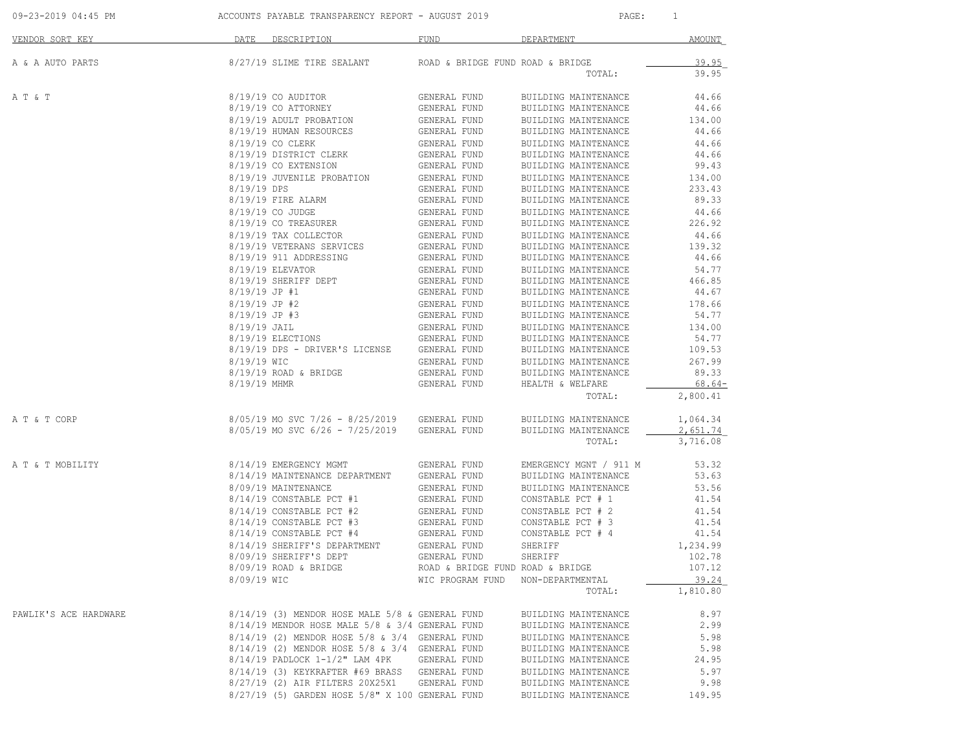09-23-2019 04:45 PM ACCOUNTS PAYABLE TRANSPARENCY REPORT - AUGUST 2019 PAGE: 1

| VENDOR SORT KEY       | DATE<br>DESCRIPTION                             | <b>FUND</b>                      | DEPARTMENT             | AMOUNT   |
|-----------------------|-------------------------------------------------|----------------------------------|------------------------|----------|
| A & A AUTO PARTS      | 8/27/19 SLIME TIRE SEALANT                      | ROAD & BRIDGE FUND ROAD & BRIDGE |                        | 39.95    |
|                       |                                                 |                                  | TOTAL:                 | 39.95    |
| A T & T               | 8/19/19 CO AUDITOR                              | GENERAL FUND                     | BUILDING MAINTENANCE   | 44.66    |
|                       | 8/19/19 CO ATTORNEY                             | GENERAL FUND                     | BUILDING MAINTENANCE   | 44.66    |
|                       | 8/19/19 ADULT PROBATION                         | GENERAL FUND                     | BUILDING MAINTENANCE   | 134.00   |
|                       | 8/19/19 HUMAN RESOURCES                         | GENERAL FUND                     | BUILDING MAINTENANCE   | 44.66    |
|                       | 8/19/19 CO CLERK                                | GENERAL FUND                     | BUILDING MAINTENANCE   | 44.66    |
|                       | 8/19/19 DISTRICT CLERK                          | GENERAL FUND                     | BUILDING MAINTENANCE   | 44.66    |
|                       | 8/19/19 CO EXTENSION                            | GENERAL FUND                     | BUILDING MAINTENANCE   | 99.43    |
|                       | 8/19/19 JUVENILE PROBATION                      | GENERAL FUND                     | BUILDING MAINTENANCE   | 134.00   |
|                       | 8/19/19 DPS                                     | GENERAL FUND                     | BUILDING MAINTENANCE   | 233.43   |
|                       | 8/19/19 FIRE ALARM                              | GENERAL FUND                     | BUILDING MAINTENANCE   | 89.33    |
|                       | 8/19/19 CO JUDGE                                | GENERAL FUND                     | BUILDING MAINTENANCE   | 44.66    |
|                       | 8/19/19 CO TREASURER                            | GENERAL FUND                     | BUILDING MAINTENANCE   | 226.92   |
|                       | 8/19/19 TAX COLLECTOR                           | GENERAL FUND                     | BUILDING MAINTENANCE   | 44.66    |
|                       | 8/19/19 VETERANS SERVICES                       | GENERAL FUND                     | BUILDING MAINTENANCE   | 139.32   |
|                       | 8/19/19 911 ADDRESSING                          | GENERAL FUND                     | BUILDING MAINTENANCE   | 44.66    |
|                       | 8/19/19 ELEVATOR                                | GENERAL FUND                     | BUILDING MAINTENANCE   | 54.77    |
|                       | 8/19/19 SHERIFF DEPT                            | GENERAL FUND                     | BUILDING MAINTENANCE   | 466.85   |
|                       | $8/19/19$ JP #1                                 | GENERAL FUND                     | BUILDING MAINTENANCE   | 44.67    |
|                       | $8/19/19$ JP #2                                 | GENERAL FUND                     | BUILDING MAINTENANCE   | 178.66   |
|                       | $8/19/19$ JP #3                                 | GENERAL FUND                     | BUILDING MAINTENANCE   | 54.77    |
|                       | 8/19/19 JAIL                                    | GENERAL FUND                     | BUILDING MAINTENANCE   | 134.00   |
|                       | 8/19/19 ELECTIONS                               | GENERAL FUND                     | BUILDING MAINTENANCE   | 54.77    |
|                       | 8/19/19 DPS - DRIVER'S LICENSE                  | GENERAL FUND                     | BUILDING MAINTENANCE   | 109.53   |
|                       | 8/19/19 WIC                                     | GENERAL FUND                     | BUILDING MAINTENANCE   | 267.99   |
|                       | 8/19/19 ROAD & BRIDGE                           | GENERAL FUND                     | BUILDING MAINTENANCE   | 89.33    |
|                       | 8/19/19 MHMR                                    | GENERAL FUND                     | HEALTH & WELFARE       | $68.64-$ |
|                       |                                                 |                                  | TOTAL:                 | 2,800.41 |
| A T & T CORP          | $8/05/19$ MO SVC 7/26 - 8/25/2019               | GENERAL FUND                     | BUILDING MAINTENANCE   | 1,064.34 |
|                       | $8/05/19$ MO SVC $6/26 - 7/25/2019$             | GENERAL FUND                     | BUILDING MAINTENANCE   | 2,651.74 |
|                       |                                                 |                                  | TOTAL:                 | 3,716.08 |
| A T & T MOBILITY      | 8/14/19 EMERGENCY MGMT                          | GENERAL FUND                     | EMERGENCY MGNT / 911 M | 53.32    |
|                       | 8/14/19 MAINTENANCE DEPARTMENT                  | GENERAL FUND                     | BUILDING MAINTENANCE   | 53.63    |
|                       | 8/09/19 MAINTENANCE                             | GENERAL FUND                     | BUILDING MAINTENANCE   | 53.56    |
|                       | 8/14/19 CONSTABLE PCT #1                        | GENERAL FUND                     | CONSTABLE PCT # 1      | 41.54    |
|                       | 8/14/19 CONSTABLE PCT #2                        | GENERAL FUND                     | CONSTABLE PCT # 2      | 41.54    |
|                       | $8/14/19$ CONSTABLE PCT #3                      | GENERAL FUND                     | CONSTABLE PCT # 3      | 41.54    |
|                       | 8/14/19 CONSTABLE PCT #4                        | GENERAL FUND                     | CONSTABLE PCT # 4      | 41.54    |
|                       | 8/14/19 SHERIFF'S DEPARTMENT                    | GENERAL FUND                     | SHERIFF                | 1,234.99 |
|                       | 8/09/19 SHERIFF'S DEPT                          | GENERAL FUND                     | SHERIFF                | 102.78   |
|                       | $8/09/19$ ROAD & BRIDGE                         | ROAD & BRIDGE FUND ROAD & BRIDGE |                        | 107.12   |
|                       | 8/09/19 WIC                                     | WIC PROGRAM FUND                 | NON-DEPARTMENTAL       | 39.24    |
|                       |                                                 |                                  | TOTAL:                 | 1,810.80 |
| PAWLIK'S ACE HARDWARE | 8/14/19 (3) MENDOR HOSE MALE 5/8 & GENERAL FUND |                                  | BUILDING MAINTENANCE   | 8.97     |
|                       | 8/14/19 MENDOR HOSE MALE 5/8 & 3/4 GENERAL FUND |                                  | BUILDING MAINTENANCE   | 2.99     |
|                       | 8/14/19 (2) MENDOR HOSE 5/8 & 3/4 GENERAL FUND  |                                  | BUILDING MAINTENANCE   | 5.98     |
|                       | 8/14/19 (2) MENDOR HOSE 5/8 & 3/4 GENERAL FUND  |                                  | BUILDING MAINTENANCE   | 5.98     |
|                       | $8/14/19$ PADLOCK $1-1/2$ " LAM 4PK             | GENERAL FUND                     | BUILDING MAINTENANCE   | 24.95    |
|                       | 8/14/19 (3) KEYKRAFTER #69 BRASS GENERAL FUND   |                                  | BUILDING MAINTENANCE   | 5.97     |
|                       | 8/27/19 (2) AIR FILTERS 20X25X1                 | GENERAL FUND                     | BUILDING MAINTENANCE   | 9.98     |
|                       | 8/27/19 (5) GARDEN HOSE 5/8" X 100 GENERAL FUND |                                  | BUILDING MAINTENANCE   | 149.95   |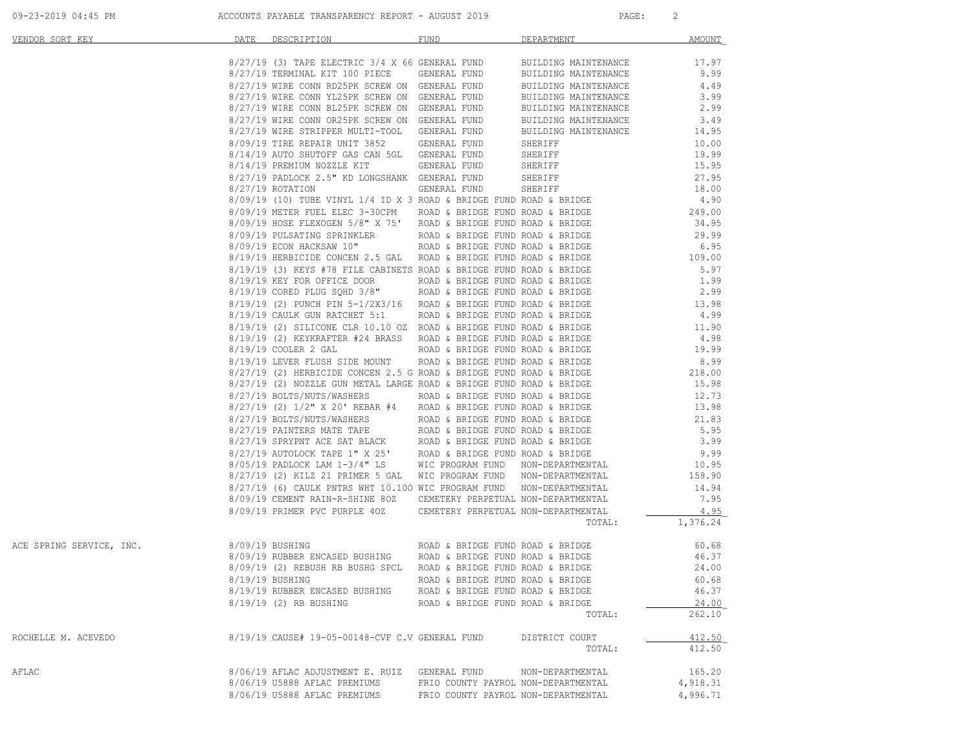|  | $09 - 23 - 2019$ $04:45$ PM |  |  |
|--|-----------------------------|--|--|
|  |                             |  |  |

ACCOUNTS PAYABLE TRANSPARENCY REPORT - AUGUST 2019 PAGE: 2

| VENDOR SORT KEY          | DATE DESCRIPTION     |                                                                                                                                      | FUND                                | DEPARTMENT                                                                                                                                                                                                                         | <b>AMOUNT</b>  |
|--------------------------|----------------------|--------------------------------------------------------------------------------------------------------------------------------------|-------------------------------------|------------------------------------------------------------------------------------------------------------------------------------------------------------------------------------------------------------------------------------|----------------|
|                          |                      |                                                                                                                                      |                                     |                                                                                                                                                                                                                                    |                |
|                          |                      | $8/27/19$ (3) TAPE ELECTRIC 3/4 X 66 GENERAL FUND<br>$9/27/19$ Tepminal KTT 100 PIECE GENERAL FUND                                   |                                     | BUILDING MAINTENANCE                                                                                                                                                                                                               | 17.97<br>9.99  |
|                          |                      | 8/27/19 TERMINAL KIT 100 PIECE GENERAL FUND                                                                                          |                                     | BUILDING MAINTENANCE                                                                                                                                                                                                               |                |
|                          |                      | 8/27/19 WIRE CONN RD25PK SCREW ON GENERAL FUND<br>8/27/19 WIRE CONN YL25PK SCREW ON GENERAL FUND                                     |                                     | BUILDING MAINTENANCE                                                                                                                                                                                                               | 4.49           |
|                          |                      |                                                                                                                                      |                                     | BUILDING MAINTENANCE                                                                                                                                                                                                               | 3.99           |
|                          |                      | 8/27/19 WIRE CONN BL25PK SCREW ON GENERAL FUND                                                                                       |                                     | BUILDING MAINTENANCE                                                                                                                                                                                                               | 2.99           |
|                          |                      | 8/27/19 WIRE CONN OR25PK SCREW ON GENERAL FUND                                                                                       |                                     | BUILDING MAINTENANCE<br>BUILDING MAINTENANCE                                                                                                                                                                                       | 3.49           |
|                          |                      | 8/27/19 WIRE STRIPPER MULTI-TOOL GENERAL FUND                                                                                        |                                     |                                                                                                                                                                                                                                    | 14.95          |
|                          |                      | 8/09/19 TIRE REPAIR UNIT 3852 GENERAL FUND                                                                                           |                                     | SHERIFF                                                                                                                                                                                                                            | 10.00          |
|                          |                      | 8/14/19 AUTO SHUTOFF GAS CAN 5GL GENERAL FUND                                                                                        |                                     | SHERIFF                                                                                                                                                                                                                            | 19.99          |
|                          |                      | 8/14/19 PREMIUM NOZZLE KIT GENERAL FUND SHERIFF<br>8/27/19 PADLOCK 2.5" KD LONGSHANK GENERAL FUND SHERIFF                            |                                     | SHERIFF                                                                                                                                                                                                                            | 15.95<br>27.95 |
|                          |                      |                                                                                                                                      |                                     |                                                                                                                                                                                                                                    |                |
|                          |                      | 8/27/19 ROTATION GENERAL FUND SHERIFF<br>8/09/19 (10) TUBE VINYL 1/4 ID X 3 ROAD & BRIDGE FUND ROAD & BRIDGE                         |                                     |                                                                                                                                                                                                                                    | 18.00          |
|                          |                      |                                                                                                                                      |                                     |                                                                                                                                                                                                                                    | 4.90           |
|                          |                      | $8/09/19$ HOSE FLEXOGEN 5/8" X 75' ROAD & BRIDGE FUND ROAD & BRIDGE $8/09/19$ PULSATING SPRINKLER ROAD & BRIDGE FUND ROAD & BRIDGE   |                                     | $8/09/19$ METER FUEL ELEC 3-30CPM ROAD & BRIDGE FUND ROAD & BRIDGE $249.00$                                                                                                                                                        | 34.95          |
|                          |                      |                                                                                                                                      |                                     |                                                                                                                                                                                                                                    | 29.99          |
|                          |                      | $8/09/19$ ECON HACKSAW 10" ROAD & BRIDGE FUND ROAD & BRIDGE $8/19/19$ HERBICIDE CONCEN 2.5 GAL ROAD & BRIDGE FUND ROAD & BRIDGE      |                                     |                                                                                                                                                                                                                                    | 6.95           |
|                          |                      |                                                                                                                                      |                                     |                                                                                                                                                                                                                                    | 109.00         |
|                          |                      | 8/19/19 (3) KEYS #78 FILE CABINETS ROAD & BRIDGE FUND ROAD & BRIDGE                                                                  |                                     |                                                                                                                                                                                                                                    | 5.97           |
|                          |                      | $8/19/19$ KEY FOR OFFICE DOOR ROAD & BRIDGE FUND ROAD & BRIDGE                                                                       |                                     |                                                                                                                                                                                                                                    | 1.99           |
|                          |                      | 8/19/19 CORED PLUG SQHD 3/8" ROAD & BRIDGE FUND ROAD & BRIDGE                                                                        |                                     |                                                                                                                                                                                                                                    | 2.99           |
|                          |                      |                                                                                                                                      |                                     |                                                                                                                                                                                                                                    | 13.98          |
|                          |                      | $8/19/19$ (2) PUNCH PIN 5-1/2X3/16 ROAD & BRIDGE FUND ROAD & BRIDGE $8/19/19$ CAULK GUN RATCHET 5:1 ROAD & BRIDGE FUND ROAD & BRIDGE |                                     |                                                                                                                                                                                                                                    | 4.99           |
|                          |                      |                                                                                                                                      |                                     |                                                                                                                                                                                                                                    | 11.90          |
|                          |                      | 8/19/19 (2) SILICONE CLR 10.10 OZ ROAD & BRIDGE FUND ROAD & BRIDGE 8/19/19 (2) KEYKRAFTER #24 BRASS ROAD & BRIDGE FUND ROAD & BRIDGE |                                     |                                                                                                                                                                                                                                    | 4.98           |
|                          | 8/19/19 COOLER 2 GAL |                                                                                                                                      |                                     | ROAD & BRIDGE FUND ROAD & BRIDGE                                                                                                                                                                                                   | 19.99          |
|                          |                      | 8/19/19 LEVER FLUSH SIDE MOUNT ROAD & BRIDGE FUND ROAD & BRIDGE                                                                      |                                     |                                                                                                                                                                                                                                    | 8.99           |
|                          |                      | 8/27/19 (2) HERBICIDE CONCEN 2.5 G ROAD & BRIDGE FUND ROAD & BRIDGE                                                                  |                                     |                                                                                                                                                                                                                                    | 218.00         |
|                          |                      | 8/27/19 (2) NOZZLE GUN METAL LARGE ROAD & BRIDGE FUND ROAD & BRIDGE                                                                  |                                     |                                                                                                                                                                                                                                    | 15.98          |
|                          |                      | 8/27/19 BOLTS/NUTS/WASHERS ROAD & BRIDGE FUND ROAD & BRIDGE                                                                          |                                     |                                                                                                                                                                                                                                    | 12.73          |
|                          |                      |                                                                                                                                      |                                     |                                                                                                                                                                                                                                    | 13.98          |
|                          |                      | $8/27/19$ (2) $1/2$ " x 20' REBAR #4<br>8/27/19 BOLTS/NUTS/WASHERS<br>ROAD & BRIDGE FUND ROAD & BRIDGE ADD & BRIDGE                  |                                     |                                                                                                                                                                                                                                    | 21.83          |
|                          |                      |                                                                                                                                      |                                     |                                                                                                                                                                                                                                    | 5.95           |
|                          |                      |                                                                                                                                      |                                     | 8/27/19 PAINTERS MATE TAPE<br>8/27/19 PAINTERS MATE TAPE<br>8/27/19 SPRYPNT ACE SAT BLACK<br>8/27/19 AUTOLOCK TAPE 1" X 25' ROAD & BRIDGE FUND ROAD & BRIDGE<br>8/05/19 PADLOCK LAM 1-3/4" LS<br>MIC PROGRAM FUND NON-DEPARTMENTAL | 3.99           |
|                          |                      |                                                                                                                                      |                                     |                                                                                                                                                                                                                                    | 9.99           |
|                          |                      |                                                                                                                                      |                                     |                                                                                                                                                                                                                                    | 10.95          |
|                          |                      | 8/27/19 (2) KILZ 21 PRIMER 5 GAL WIC PROGRAM FUND NON-DEPARTMENTAL                                                                   |                                     |                                                                                                                                                                                                                                    | 159.90         |
|                          |                      |                                                                                                                                      |                                     |                                                                                                                                                                                                                                    |                |
|                          |                      | 8/27/19 (6) CAULK PNTRS WHT 10.100 WIC PROGRAM FUND NON-DEPARTMENTAL                                                                 |                                     |                                                                                                                                                                                                                                    | 14.94          |
|                          |                      | 8/09/19 CEMENT RAIN-R-SHINE 80Z CEMETERY PERPETUAL NON-DEPARTMENTAL                                                                  |                                     |                                                                                                                                                                                                                                    | 7.95           |
|                          |                      | 8/09/19 PRIMER PVC PURPLE 40Z CEMETERY PERPETUAL NON-DEPARTMENTAL                                                                    |                                     |                                                                                                                                                                                                                                    | 4.95           |
|                          |                      |                                                                                                                                      |                                     | TOTAL:                                                                                                                                                                                                                             | 1,376.24       |
| ACE SPRING SERVICE, INC. | 8/09/19 BUSHING      |                                                                                                                                      | ROAD & BRIDGE FUND ROAD & BRIDGE    |                                                                                                                                                                                                                                    | 60.68          |
|                          |                      | 8/09/19 RUBBER ENCASED BUSHING ROAD & BRIDGE FUND ROAD & BRIDGE                                                                      |                                     |                                                                                                                                                                                                                                    | 46.37          |
|                          |                      | 8/09/19 (2) REBUSH RB BUSHG SPCL ROAD & BRIDGE FUND ROAD & BRIDGE                                                                    |                                     |                                                                                                                                                                                                                                    | 24.00          |
|                          | 8/19/19 BUSHING      |                                                                                                                                      | ROAD & BRIDGE FUND ROAD & BRIDGE    |                                                                                                                                                                                                                                    | 60.68          |
|                          |                      | 8/19/19 RUBBER ENCASED BUSHING                                                                                                       | ROAD & BRIDGE FUND ROAD & BRIDGE    |                                                                                                                                                                                                                                    | 46.37          |
|                          |                      | 8/19/19 (2) RB BUSHING                                                                                                               | ROAD & BRIDGE FUND ROAD & BRIDGE    |                                                                                                                                                                                                                                    | 24.00          |
|                          |                      |                                                                                                                                      |                                     | TOTAL:                                                                                                                                                                                                                             | 262.10         |
| ROCHELLE M. ACEVEDO      |                      | 8/19/19 CAUSE# 19-05-00148-CVF C.V GENERAL FUND                                                                                      |                                     | DISTRICT COURT                                                                                                                                                                                                                     | 412.50         |
|                          |                      |                                                                                                                                      |                                     | TOTAL:                                                                                                                                                                                                                             | 412.50         |
| AFLAC                    |                      | 8/06/19 AFLAC ADJUSTMENT E. RUIZ GENERAL FUND                                                                                        |                                     | NON-DEPARTMENTAL                                                                                                                                                                                                                   | 165.20         |
|                          |                      | 8/06/19 U5888 AFLAC PREMIUMS                                                                                                         | FRIO COUNTY PAYROL NON-DEPARTMENTAL |                                                                                                                                                                                                                                    | 4,918.31       |
|                          |                      | 8/06/19 U5888 AFLAC PREMIUMS                                                                                                         | FRIO COUNTY PAYROL NON-DEPARTMENTAL |                                                                                                                                                                                                                                    | 4,996.71       |
|                          |                      |                                                                                                                                      |                                     |                                                                                                                                                                                                                                    |                |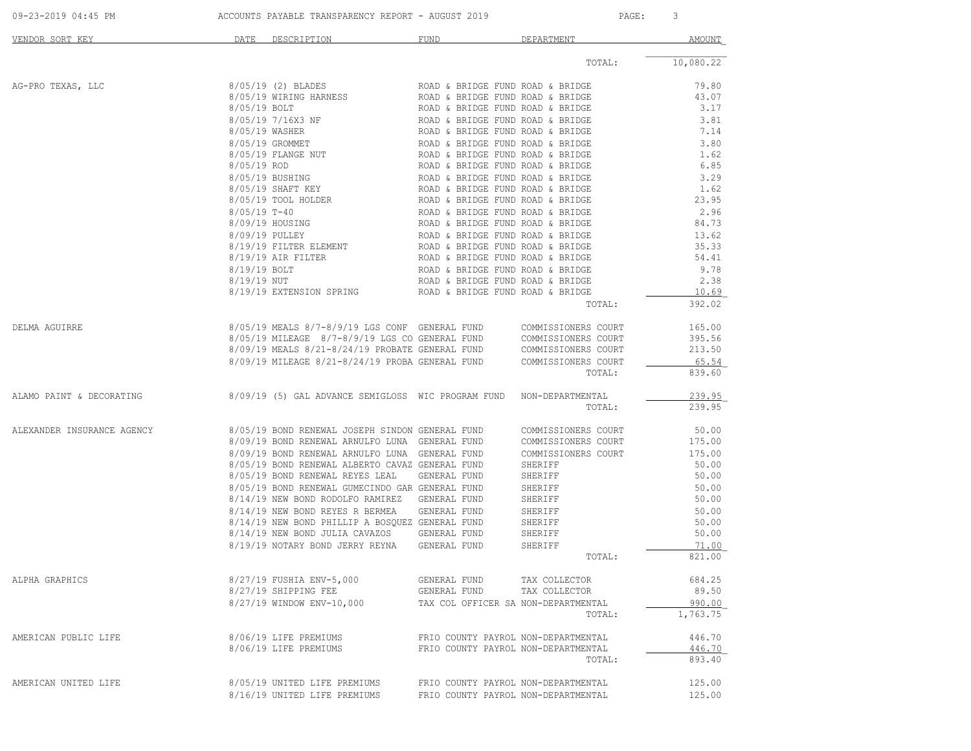| 09-23-2019 04:45 PM |  | ACCOUNTS PAYABLE TRANSPARENCY REPORT - AUGUST 2019 | PAGE |  |
|---------------------|--|----------------------------------------------------|------|--|
|                     |  |                                                    |      |  |

| VENDOR SORT KEY                                                                                | DATE         | DESCRIPTION                                                                                                                                                                                                                                      | FUND                                                                 | DEPARTMENT          | <b>AMOUNT</b>  |
|------------------------------------------------------------------------------------------------|--------------|--------------------------------------------------------------------------------------------------------------------------------------------------------------------------------------------------------------------------------------------------|----------------------------------------------------------------------|---------------------|----------------|
|                                                                                                |              |                                                                                                                                                                                                                                                  |                                                                      | TOTAL:              | 10,080.22      |
| AG-PRO TEXAS, LLC                                                                              |              | 8/05/19 (2) BLADES                                                                                                                                                                                                                               | ROAD & BRIDGE FUND ROAD & BRIDGE                                     |                     | 79.80          |
|                                                                                                | 8/05/19 BOLT | 8/05/19 WIRING HARNESS ROAD & BRIDGE FUND ROAD & BRIDGE                                                                                                                                                                                          | ROAD & BRIDGE FUND ROAD & BRIDGE                                     |                     | 43.07<br>3.17  |
|                                                                                                |              | 8/05/19 7/16X3 NF<br>8/05/19 WASHER<br>8/05/19 GROMMET ROAD & BRIDGE FUND ROAD & BRIDGE<br>8/05/19 GROMMET ROAD & BRIDGE FUND ROAD & BRIDGE<br>8/05/19 FLANGE NUT<br>8/05/19 ROD ROAD & BRIDGE FUND ROAD & BRIDGE<br>8/05/19 ROD ROAD & BRIDGE F |                                                                      |                     | 3.81           |
|                                                                                                |              |                                                                                                                                                                                                                                                  |                                                                      |                     | 7.14           |
|                                                                                                |              |                                                                                                                                                                                                                                                  |                                                                      |                     | 3.80           |
|                                                                                                |              |                                                                                                                                                                                                                                                  |                                                                      |                     | 1.62           |
|                                                                                                |              |                                                                                                                                                                                                                                                  |                                                                      |                     | 6.85           |
|                                                                                                |              | 8/05/19 BUSHING<br>8/05/19 SHAFT KEY ROAD & BRIDGE FUND ROAD & BRIDGE<br>8/05/19 TOOL HOLDER<br>8/05/19 TOOL HOLDER<br>ROAD & BRIDGE FUND ROAD & BRIDGE                                                                                          |                                                                      |                     | 3.29           |
|                                                                                                |              |                                                                                                                                                                                                                                                  |                                                                      |                     | 1.62           |
|                                                                                                |              | 8/05/19 T-40                                                                                                                                                                                                                                     |                                                                      |                     | 23.95<br>2.96  |
|                                                                                                |              | 8/09/19 HOUSING                                                                                                                                                                                                                                  | ROAD & BRIDGE FUND ROAD & BRIDGE<br>ROAD & BRIDGE FUND ROAD & BRIDGE |                     | 84.73          |
|                                                                                                |              |                                                                                                                                                                                                                                                  |                                                                      |                     | 13.62          |
|                                                                                                |              |                                                                                                                                                                                                                                                  |                                                                      |                     | 35.33          |
|                                                                                                |              |                                                                                                                                                                                                                                                  |                                                                      |                     | 54.41          |
|                                                                                                |              |                                                                                                                                                                                                                                                  |                                                                      |                     | 9.78           |
|                                                                                                |              |                                                                                                                                                                                                                                                  |                                                                      |                     | 2.38           |
|                                                                                                |              |                                                                                                                                                                                                                                                  |                                                                      |                     | 10.69          |
|                                                                                                |              |                                                                                                                                                                                                                                                  |                                                                      | TOTAL:              | 392.02         |
| DELMA AGUIRRE                                                                                  |              | 8/05/19 MEALS 8/7-8/9/19 LGS CONF GENERAL FUND COMMISSIONERS COURT                                                                                                                                                                               |                                                                      |                     | 165.00         |
|                                                                                                |              | $8/05/19$ MILEAGE $8/7-8/9/19$ LGS CO GENERAL FUND COMMISSIONERS COURT $8/09/19$ MEALS $8/21-8/24/19$ PROBATE GENERAL FUND COMMISSIONERS COURT                                                                                                   |                                                                      |                     | 395.56         |
|                                                                                                |              |                                                                                                                                                                                                                                                  |                                                                      |                     | 213.50         |
|                                                                                                |              | 8/09/19 MILEAGE 8/21-8/24/19 PROBA GENERAL FUND                                                                                                                                                                                                  |                                                                      | COMMISSIONERS COURT | 65.54          |
|                                                                                                |              |                                                                                                                                                                                                                                                  |                                                                      | TOTAL:              | 839.60         |
| ALAMO PAINT & DECORATING $8/09/19$ (5) GAL ADVANCE SEMIGLOSS WIC PROGRAM FUND NON-DEPARTMENTAL |              |                                                                                                                                                                                                                                                  |                                                                      |                     | 239.95         |
|                                                                                                |              |                                                                                                                                                                                                                                                  |                                                                      | TOTAL:              | 239.95         |
| ALEXANDER INSURANCE AGENCY                                                                     |              | 8/05/19 BOND RENEWAL JOSEPH SINDON GENERAL FUND                                                                                                                                                                                                  |                                                                      | COMMISSIONERS COURT | 50.00          |
|                                                                                                |              | 8/09/19 BOND RENEWAL ARNULFO LUNA GENERAL FUND                                                                                                                                                                                                   |                                                                      | COMMISSIONERS COURT | 175.00         |
|                                                                                                |              | 8/09/19 BOND RENEWAL ARNULFO LUNA GENERAL FUND                                                                                                                                                                                                   |                                                                      | COMMISSIONERS COURT | 175.00         |
|                                                                                                |              | 8/05/19 BOND RENEWAL ALBERTO CAVAZ GENERAL FUND                                                                                                                                                                                                  |                                                                      | SHERIFF             | 50.00          |
|                                                                                                |              | 8/05/19 BOND RENEWAL REYES LEAL                                                                                                                                                                                                                  | GENERAL FUND                                                         | SHERIFF             | 50.00          |
|                                                                                                |              | 8/05/19 BOND RENEWAL GUMECINDO GAR GENERAL FUND<br>8/14/19 NEW BOND RODOLFO RAMIREZ GENERAL FUND                                                                                                                                                 |                                                                      | SHERIFF<br>SHERIFF  | 50.00<br>50.00 |
|                                                                                                |              | 8/14/19 NEW BOND REYES R BERMEA                                                                                                                                                                                                                  | GENERAL FUND                                                         | SHERIFF             | 50.00          |
|                                                                                                |              | 8/14/19 NEW BOND PHILLIP A BOSQUEZ GENERAL FUND                                                                                                                                                                                                  |                                                                      | SHERIFF             | 50.00          |
|                                                                                                |              | 8/14/19 NEW BOND JULIA CAVAZOS GENERAL FUND                                                                                                                                                                                                      |                                                                      | SHERIFF             | 50.00          |
|                                                                                                |              | 8/19/19 NOTARY BOND JERRY REYNA GENERAL FUND                                                                                                                                                                                                     |                                                                      | SHERIFF             | 71.00          |
|                                                                                                |              |                                                                                                                                                                                                                                                  |                                                                      | TOTAL:              | 821.00         |
| ALPHA GRAPHICS                                                                                 |              | 8/27/19 FUSHIA ENV-5,000                                                                                                                                                                                                                         | GENERAL FUND                                                         | TAX COLLECTOR       | 684.25         |
|                                                                                                |              | 8/27/19 SHIPPING FEE                                                                                                                                                                                                                             | GENERAL FUND                                                         | TAX COLLECTOR       | 89.50          |
|                                                                                                |              | 8/27/19 WINDOW ENV-10,000                                                                                                                                                                                                                        | TAX COL OFFICER SA NON-DEPARTMENTAL                                  |                     | 990.00         |
|                                                                                                |              |                                                                                                                                                                                                                                                  |                                                                      | TOTAL:              | 1,763.75       |
| AMERICAN PUBLIC LIFE                                                                           |              | 8/06/19 LIFE PREMIUMS                                                                                                                                                                                                                            | FRIO COUNTY PAYROL NON-DEPARTMENTAL                                  |                     | 446.70         |
|                                                                                                |              | 8/06/19 LIFE PREMIUMS                                                                                                                                                                                                                            | FRIO COUNTY PAYROL NON-DEPARTMENTAL                                  |                     | 446.70         |
|                                                                                                |              |                                                                                                                                                                                                                                                  |                                                                      | TOTAL:              | 893.40         |
| AMERICAN UNITED LIFE                                                                           |              | 8/05/19 UNITED LIFE PREMIUMS                                                                                                                                                                                                                     | FRIO COUNTY PAYROL NON-DEPARTMENTAL                                  |                     | 125.00         |
|                                                                                                |              | 8/16/19 UNITED LIFE PREMIUMS                                                                                                                                                                                                                     | FRIO COUNTY PAYROL NON-DEPARTMENTAL                                  |                     | 125.00         |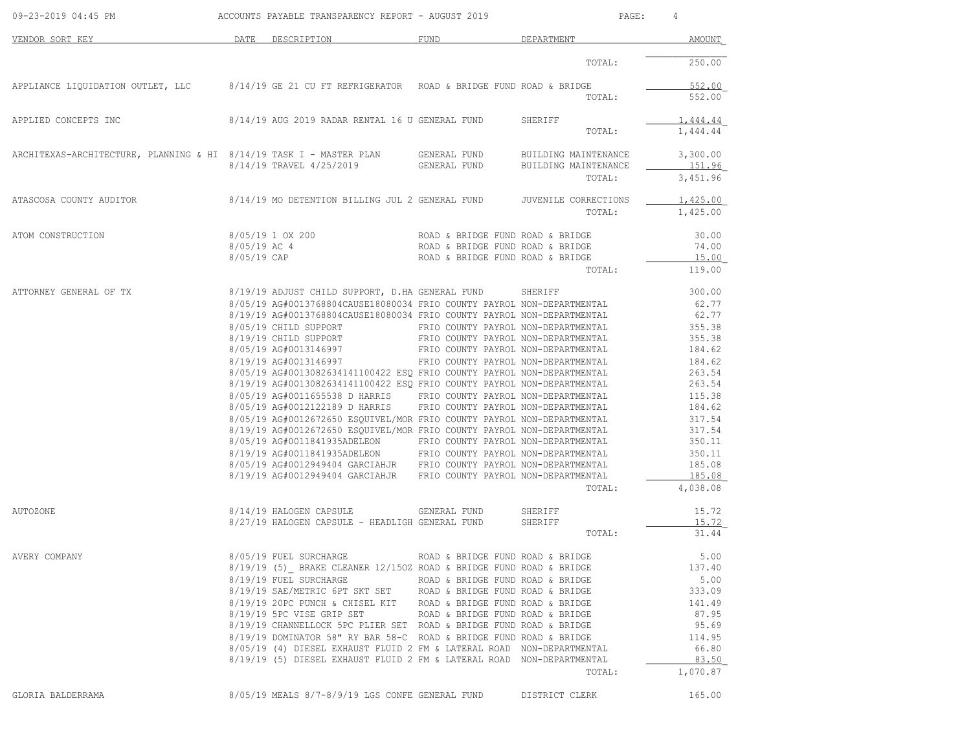| 09-23-2019 04:45 PM                                                 | ACCOUNTS PAYABLE TRANSPARENCY REPORT - AUGUST 2019                                                                                             |                                     | $\texttt{PAGE}$ :                            | 4                  |
|---------------------------------------------------------------------|------------------------------------------------------------------------------------------------------------------------------------------------|-------------------------------------|----------------------------------------------|--------------------|
| VENDOR SORT KEY                                                     | DATE DESCRIPTION                                                                                                                               | FUND                                | DEPARTMENT                                   | AMOUNT             |
|                                                                     |                                                                                                                                                |                                     | TOTAL:                                       | 250.00             |
| APPLIANCE LIQUIDATION OUTLET, LLC                                   | $8/14/19$ GE 21 CU FT REFRIGERATOR – ROAD & BRIDGE FUND ROAD & BRIDGE                                                                          |                                     |                                              | 552.00             |
|                                                                     |                                                                                                                                                |                                     | TOTAL:                                       | 552.00             |
| APPLIED CONCEPTS INC                                                | 8/14/19 AUG 2019 RADAR RENTAL 16 U GENERAL FUND                                                                                                |                                     | SHERIFF                                      | 1,444.44           |
|                                                                     |                                                                                                                                                |                                     | TOTAL:                                       | 1,444.44           |
| ARCHITEXAS-ARCHITECTURE, PLANNING & HI 8/14/19 TASK I - MASTER PLAN | 8/14/19 TRAVEL 4/25/2019                                                                                                                       | GENERAL FUND<br>GENERAL FUND        | BUILDING MAINTENANCE<br>BUILDING MAINTENANCE | 3,300.00<br>151.96 |
|                                                                     |                                                                                                                                                |                                     | TOTAL:                                       | 3,451.96           |
| ATASCOSA COUNTY AUDITOR                                             | 8/14/19 MO DETENTION BILLING JUL 2 GENERAL FUND                                                                                                |                                     | JUVENILE CORRECTIONS                         | 1,425.00           |
|                                                                     |                                                                                                                                                |                                     | TOTAL:                                       | 1,425.00           |
| ATOM CONSTRUCTION                                                   | 8/05/19 1 OX 200                                                                                                                               | ROAD & BRIDGE FUND ROAD & BRIDGE    |                                              | 30.00              |
|                                                                     | 8/05/19 AC 4                                                                                                                                   | ROAD & BRIDGE FUND ROAD & BRIDGE    |                                              | 74.00              |
|                                                                     | 8/05/19 CAP                                                                                                                                    | ROAD & BRIDGE FUND ROAD & BRIDGE    |                                              | 15.00              |
|                                                                     |                                                                                                                                                |                                     | TOTAL:                                       | 119.00             |
| ATTORNEY GENERAL OF TX                                              | 8/19/19 ADJUST CHILD SUPPORT, D.HA GENERAL FUND                                                                                                |                                     | SHERIFF                                      | 300.00             |
|                                                                     | 8/05/19 AG#0013768804CAUSE18080034 FRIO COUNTY PAYROL NON-DEPARTMENTAL                                                                         |                                     |                                              | 62.77              |
|                                                                     | 8/19/19 AG#0013768804CAUSE18080034 FRIO COUNTY PAYROL NON-DEPARTMENTAL                                                                         |                                     |                                              | 62.77              |
|                                                                     | 8/05/19 CHILD SUPPORT FRIO COUNTY PAYROL NON-DEPARTMENTAL                                                                                      |                                     |                                              | 355.38             |
|                                                                     | 8/19/19 CHILD SUPPORT                                                                                                                          | FRIO COUNTY PAYROL NON-DEPARTMENTAL |                                              | 355.38             |
|                                                                     | 8/05/19 AG#0013146997                                                                                                                          | FRIO COUNTY PAYROL NON-DEPARTMENTAL |                                              | 184.62             |
|                                                                     | 8/19/19 AG#0013146997                                                                                                                          | FRIO COUNTY PAYROL NON-DEPARTMENTAL |                                              | 184.62             |
|                                                                     | 8/05/19 AG#0013082634141100422 ESQ FRIO COUNTY PAYROL NON-DEPARTMENTAL                                                                         |                                     |                                              | 263.54             |
|                                                                     | 8/19/19 AG#0013082634141100422 ESQ FRIO COUNTY PAYROL NON-DEPARTMENTAL                                                                         |                                     |                                              | 263.54             |
|                                                                     | 8/05/19 AG#0011655538 D HARRIS FRIO COUNTY PAYROL NON-DEPARTMENTAL                                                                             |                                     |                                              | 115.38             |
|                                                                     | 8/05/19 AG#0012122189 D HARRIS FRIO COUNTY PAYROL NON-DEPARTMENTAL                                                                             |                                     |                                              | 184.62             |
|                                                                     | 8/05/19 AG#0012672650 ESQUIVEL/MOR FRIO COUNTY PAYROL NON-DEPARTMENTAL                                                                         |                                     |                                              | 317.54             |
|                                                                     | 8/19/19 AG#0012672650 ESQUIVEL/MOR FRIO COUNTY PAYROL NON-DEPARTMENTAL                                                                         |                                     |                                              | 317.54             |
|                                                                     | 8/05/19 AG#0011841935ADELEON FRIO COUNTY PAYROL NON-DEPARTMENTAL                                                                               |                                     |                                              | 350.11             |
|                                                                     | 8/19/19 AG#0011841935ADELEON FRIO COUNTY PAYROL NON-DEPARTMENTAL                                                                               |                                     |                                              | 350.11             |
|                                                                     | 8/05/19 AG#0012949404 GARCIAHJR FRIO COUNTY PAYROL NON-DEPARTMENTAL                                                                            |                                     |                                              | 185.08             |
|                                                                     | 8/19/19 AG#0012949404 GARCIAHJR FRIO COUNTY PAYROL NON-DEPARTMENTAL                                                                            |                                     |                                              | 185.08             |
|                                                                     |                                                                                                                                                |                                     | TOTAL:                                       | 4,038.08           |
| AUTOZONE                                                            | 8/14/19 HALOGEN CAPSULE                                                                                                                        | GENERAL FUND                        | SHERIFF                                      | 15.72              |
|                                                                     | 8/27/19 HALOGEN CAPSULE - HEADLIGH GENERAL FUND                                                                                                |                                     | SHERIFF                                      | 15.72              |
|                                                                     |                                                                                                                                                |                                     | TOTAL:                                       | 31.44              |
| AVERY COMPANY                                                       | 8/05/19 FUEL SURCHARGE                                                                                                                         | ROAD & BRIDGE FUND ROAD & BRIDGE    |                                              | 5.00               |
|                                                                     | 8/19/19 (5) BRAKE CLEANER 12/150Z ROAD & BRIDGE FUND ROAD & BRIDGE                                                                             |                                     |                                              | 137.40             |
|                                                                     | 8/19/19 FUEL SURCHARGE THE ROAD & BRIDGE FUND ROAD & BRIDGE                                                                                    |                                     |                                              | 5.00               |
|                                                                     | 8/19/19 SAE/METRIC 6PT SKT SET ROAD & BRIDGE FUND ROAD & BRIDGE                                                                                |                                     |                                              | 333.09             |
|                                                                     | $8/19/19$ 20PC PUNCH & CHISEL KIT ROAD & BRIDGE FUND ROAD & BRIDGE                                                                             |                                     |                                              | 141.49             |
|                                                                     | 8/19/19 5PC VISE GRIP SET ROAD & BRIDGE FUND ROAD & BRIDGE                                                                                     |                                     |                                              | 87.95              |
|                                                                     | 8/19/19 CHANNELLOCK 5PC PLIER SET ROAD & BRIDGE FUND ROAD & BRIDGE                                                                             |                                     |                                              | 95.69              |
|                                                                     |                                                                                                                                                |                                     |                                              | 114.95             |
|                                                                     | 8/19/19 DOMINATOR 58" RY BAR 58-C ROAD & BRIDGE FUND ROAD & BRIDGE                                                                             |                                     |                                              |                    |
|                                                                     | 8/05/19 (4) DIESEL EXHAUST FLUID 2 FM & LATERAL ROAD NON-DEPARTMENTAL<br>8/19/19 (5) DIESEL EXHAUST FLUID 2 FM & LATERAL ROAD NON-DEPARTMENTAL |                                     |                                              | 66.80<br>83.50     |
|                                                                     |                                                                                                                                                |                                     | TOTAL:                                       | 1,070.87           |
|                                                                     |                                                                                                                                                |                                     |                                              |                    |
| GLORIA BALDERRAMA                                                   | $8/05/19$ MEALS $8/7-8/9/19$ LGS CONFE GENERAL FUND                                                                                            |                                     | DISTRICT CLERK                               | 165.00             |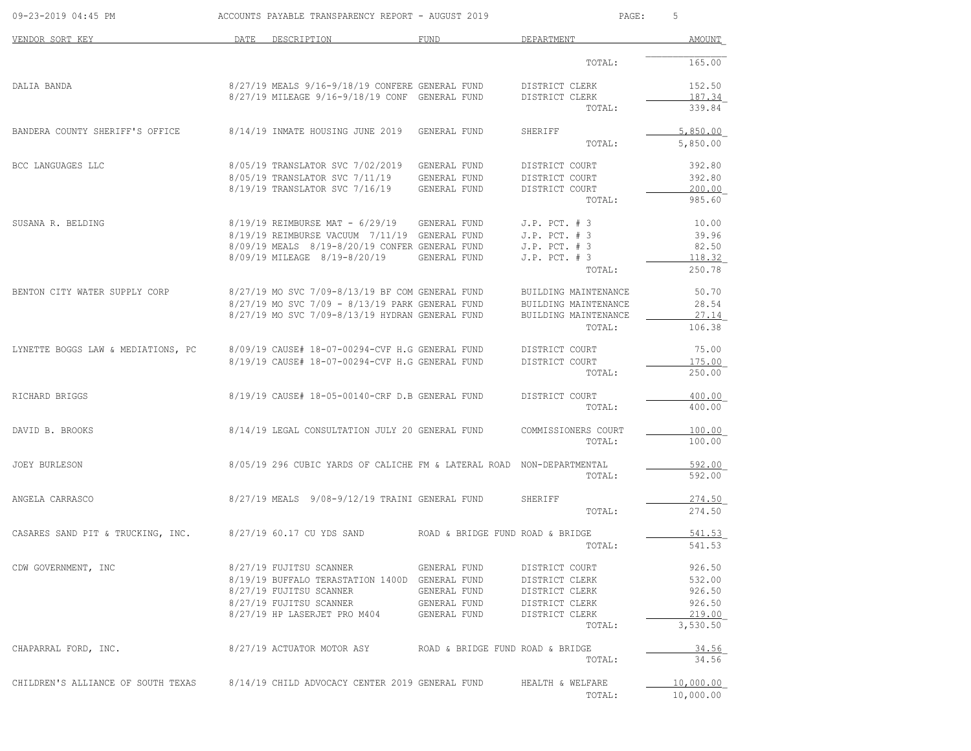| 09-23-2019 04:45 PM                |      | ACCOUNTS PAYABLE TRANSPARENCY REPORT - AUGUST 2019                    |                                  | PAGE:                          | 5                  |
|------------------------------------|------|-----------------------------------------------------------------------|----------------------------------|--------------------------------|--------------------|
| VENDOR SORT KEY                    | DATE | DESCRIPTION                                                           | <b>FUND</b>                      | DEPARTMENT                     | AMOUNT             |
|                                    |      |                                                                       |                                  | TOTAL:                         | 165.00             |
| DALIA BANDA                        |      | 8/27/19 MEALS 9/16-9/18/19 CONFERE GENERAL FUND                       |                                  | DISTRICT CLERK                 | 152.50             |
|                                    |      | 8/27/19 MILEAGE 9/16-9/18/19 CONF GENERAL FUND                        |                                  | DISTRICT CLERK<br>TOTAL:       | 187.34<br>339.84   |
| BANDERA COUNTY SHERIFF'S OFFICE    |      | 8/14/19 INMATE HOUSING JUNE 2019                                      | GENERAL FUND                     | SHERIFF                        | 5,850.00           |
|                                    |      |                                                                       |                                  | TOTAL:                         | 5,850.00           |
| BCC LANGUAGES LLC                  |      | 8/05/19 TRANSLATOR SVC 7/02/2019                                      | GENERAL FUND                     | DISTRICT COURT                 | 392.80             |
|                                    |      | 8/05/19 TRANSLATOR SVC 7/11/19                                        | GENERAL FUND                     | DISTRICT COURT                 | 392.80             |
|                                    |      | 8/19/19 TRANSLATOR SVC 7/16/19                                        | GENERAL FUND                     | DISTRICT COURT<br>TOTAL:       | 200.00<br>985.60   |
| SUSANA R. BELDING                  |      | 8/19/19 REIMBURSE MAT - 6/29/19                                       | GENERAL FUND                     | $J.P.$ PCT. $# 3$              | 10.00              |
|                                    |      | 8/19/19 REIMBURSE VACUUM 7/11/19 GENERAL FUND                         |                                  | $J.P.$ PCT. $# 3$              | 39.96              |
|                                    |      | 8/09/19 MEALS 8/19-8/20/19 CONFER GENERAL FUND                        |                                  | $J.P.$ PCT. $# 3$              | 82.50              |
|                                    |      | 8/09/19 MILEAGE 8/19-8/20/19                                          | GENERAL FUND                     | $J.P.$ PCT. $# 3$              | 118.32             |
|                                    |      |                                                                       |                                  | TOTAL:                         | 250.78             |
| BENTON CITY WATER SUPPLY CORP      |      | 8/27/19 MO SVC 7/09-8/13/19 BF COM GENERAL FUND                       |                                  | BUILDING MAINTENANCE           | 50.70              |
|                                    |      | 8/27/19 MO SVC 7/09 - 8/13/19 PARK GENERAL FUND                       |                                  | BUILDING MAINTENANCE           | 28.54              |
|                                    |      | 8/27/19 MO SVC 7/09-8/13/19 HYDRAN GENERAL FUND                       |                                  | BUILDING MAINTENANCE<br>TOTAL: | 27.14<br>106.38    |
| LYNETTE BOGGS LAW & MEDIATIONS, PC |      | 8/09/19 CAUSE# 18-07-00294-CVF H.G GENERAL FUND                       |                                  | DISTRICT COURT                 | 75.00              |
|                                    |      | 8/19/19 CAUSE# 18-07-00294-CVF H.G GENERAL FUND                       |                                  | DISTRICT COURT                 | 175.00             |
|                                    |      |                                                                       |                                  | TOTAL:                         | 250.00             |
| RICHARD BRIGGS                     |      | 8/19/19 CAUSE# 18-05-00140-CRF D.B GENERAL FUND                       |                                  | DISTRICT COURT                 | 400.00             |
|                                    |      |                                                                       |                                  | TOTAL:                         | 400.00             |
| DAVID B. BROOKS                    |      | 8/14/19 LEGAL CONSULTATION JULY 20 GENERAL FUND                       |                                  | COMMISSIONERS COURT            | 100.00             |
|                                    |      |                                                                       |                                  | TOTAL:                         | 100.00             |
| JOEY BURLESON                      |      | 8/05/19 296 CUBIC YARDS OF CALICHE FM & LATERAL ROAD NON-DEPARTMENTAL |                                  |                                | 592.00             |
|                                    |      |                                                                       |                                  | TOTAL:                         | 592.00             |
| ANGELA CARRASCO                    |      | 8/27/19 MEALS 9/08-9/12/19 TRAINI GENERAL FUND                        |                                  | SHERIFF                        | 274.50             |
|                                    |      |                                                                       |                                  | TOTAL:                         | 274.50             |
| CASARES SAND PIT & TRUCKING, INC.  |      | 8/27/19 60.17 CU YDS SAND                                             | ROAD & BRIDGE FUND ROAD & BRIDGE |                                | 541.53             |
|                                    |      |                                                                       |                                  | TOTAL:                         | 541.53             |
| CDW GOVERNMENT, INC                |      | 8/27/19 FUJITSU SCANNER                                               | GENERAL FUND                     | DISTRICT COURT                 | 926.50             |
|                                    |      | 8/19/19 BUFFALO TERASTATION 1400D GENERAL FUND                        |                                  | DISTRICT CLERK                 | 532.00             |
|                                    |      | 8/27/19 FUJITSU SCANNER                                               | GENERAL FUND                     | DISTRICT CLERK                 | 926.50             |
|                                    |      | 8/27/19 FUJITSU SCANNER                                               | GENERAL FUND                     | DISTRICT CLERK                 | 926.50             |
|                                    |      | 8/27/19 HP LASERJET PRO M404                                          | GENERAL FUND                     | DISTRICT CLERK<br>TOTAL:       | 219.00<br>3,530.50 |
| CHAPARRAL FORD, INC.               |      | 8/27/19 ACTUATOR MOTOR ASY                                            | ROAD & BRIDGE FUND ROAD & BRIDGE |                                | 34.56              |
|                                    |      |                                                                       |                                  | TOTAL:                         | 34.56              |
| CHILDREN'S ALLIANCE OF SOUTH TEXAS |      | 8/14/19 CHILD ADVOCACY CENTER 2019 GENERAL FUND                       |                                  | HEALTH & WELFARE               | 10,000.00          |
|                                    |      |                                                                       |                                  | TOTAL:                         | 10,000.00          |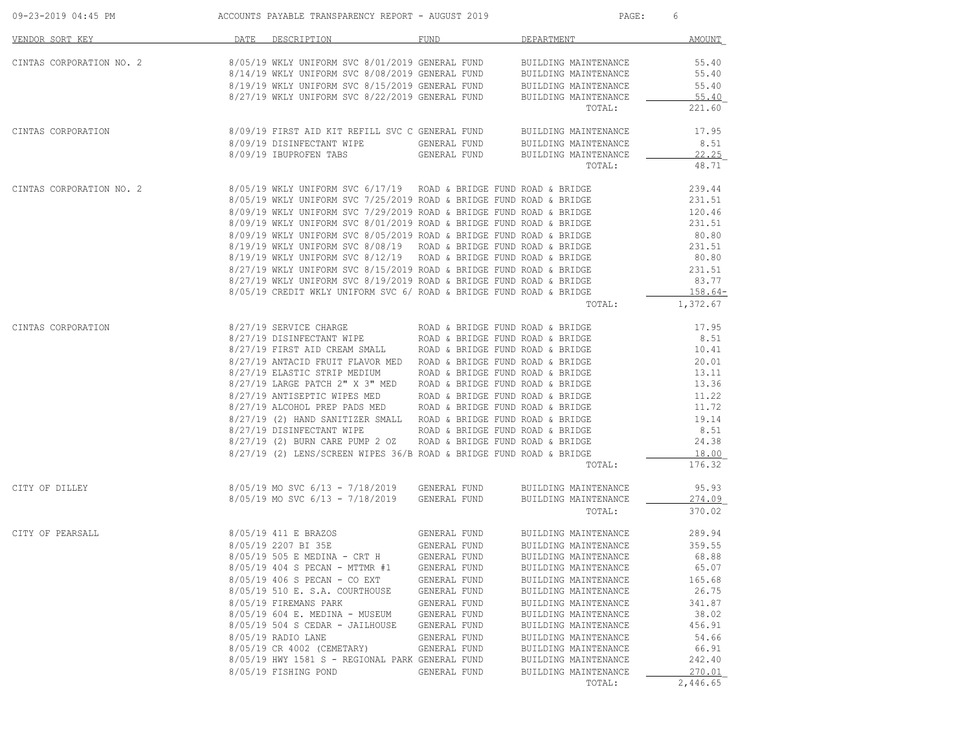| 09-23-2019 04:45 PM      | ACCOUNTS PAYABLE TRANSPARENCY REPORT - AUGUST 2019                                                                                                                                                                                                                                                                                                                                                                                                                                                                                                                                                                                                                                                                                                                                                                       |                                                                                                                                                                                              | PAGE:                                                                                                                                                                                                                                                                                                                          | 6                                                                                                                                    |
|--------------------------|--------------------------------------------------------------------------------------------------------------------------------------------------------------------------------------------------------------------------------------------------------------------------------------------------------------------------------------------------------------------------------------------------------------------------------------------------------------------------------------------------------------------------------------------------------------------------------------------------------------------------------------------------------------------------------------------------------------------------------------------------------------------------------------------------------------------------|----------------------------------------------------------------------------------------------------------------------------------------------------------------------------------------------|--------------------------------------------------------------------------------------------------------------------------------------------------------------------------------------------------------------------------------------------------------------------------------------------------------------------------------|--------------------------------------------------------------------------------------------------------------------------------------|
| VENDOR SORT KEY          | DATE DESCRIPTION                                                                                                                                                                                                                                                                                                                                                                                                                                                                                                                                                                                                                                                                                                                                                                                                         | FUND                                                                                                                                                                                         | DEPARTMENT                                                                                                                                                                                                                                                                                                                     | AMOUNT                                                                                                                               |
| CINTAS CORPORATION NO. 2 | 8/05/19 WKLY UNIFORM SVC 8/01/2019 GENERAL FUND<br>8/14/19 WKLY UNIFORM SVC 8/08/2019 GENERAL FUND BUILDING MAINTENANCE<br>$8/19/19$ WKLY UNIFORM SVC $8/15/2019$ GENERAL FUND BUILDING MAINTENANCE $8/27/19$ WKLY UNIFORM SVC $8/22/2019$ GENERAL FUND BUILDING MAINTENANCE                                                                                                                                                                                                                                                                                                                                                                                                                                                                                                                                             |                                                                                                                                                                                              | BUILDING MAINTENANCE<br>BUILDING MAINTENANCE<br>TOTAL:                                                                                                                                                                                                                                                                         | 55.40<br>55.40<br>55.40<br>55.40<br>221.60                                                                                           |
| CINTAS CORPORATION       | 8/09/19 FIRST AID KIT REFILL SVC C GENERAL FUND BUILDING MAINTENANCE<br>8/09/19 DISINFECTANT WIPE<br>8/09/19 IBUPROFEN TABS                                                                                                                                                                                                                                                                                                                                                                                                                                                                                                                                                                                                                                                                                              |                                                                                                                                                                                              | GENERAL FUND       BUILDING MAINTENANCE<br>GENERAL FUND      BUILDING MAINTENANCE<br>TOTAL:                                                                                                                                                                                                                                    | 17.95<br>8.51<br>22.25<br>48.71                                                                                                      |
| CINTAS CORPORATION NO. 2 | 8/05/19 WKLY UNIFORM SVC 6/17/19 – ROAD & BRIDGE FUND ROAD & BRIDGE<br>8/05/19 WKLY UNIFORM SVC 7/25/2019 ROAD & BRIDGE FUND ROAD & BRIDGE<br>$8/05/19$ WKLY UNIFORM SVC 7/25/2019 ROAD & BRIDGE FUND ROAD & BRIDGE<br>8/09/19 WKLY UNIFORM SVC 7/29/2019 ROAD & BRIDGE FUND ROAD & BRIDGE<br>$8/09/19$ WKLY UNIFORM SVC $8/01/2019$ ROAD & BRIDGE FUND ROAD & BRIDGE $8/09/19$ WKLY UNIFORM SVC $8/05/2019$ ROAD & BRIDGE FUND ROAD & BRIDGE<br>8/19/19 WKLY UNIFORM SVC 8/08/19 ROAD & BRIDGE FUND ROAD & BRIDGE 8/19/19 WKLY UNIFORM SVC 8/12/19 ROAD & BRIDGE FUND ROAD & BRIDGE<br>$8/27/19$ WKLY UNIFORM SVC $8/15/2019$ ROAD & BRIDGE FUND ROAD & BRIDGE 231.51<br>$8/27/19$ WKLY UNIFORM SVC $8/19/2019$ ROAD & BRIDGE FUND ROAD & BRIDGE<br>8/05/19 CREDIT WKLY UNIFORM SVC 6/ ROAD & BRIDGE FUND ROAD & BRIDGE |                                                                                                                                                                                              | TOTAL:                                                                                                                                                                                                                                                                                                                         | 239.44<br>231.51<br>120.46<br>231.51<br>80.80<br>231.51<br>80.80<br>83.77<br>$158.64-$<br>1,372.67                                   |
| CINTAS CORPORATION       | $8/27/19$ SERVICE CHARGE $8/27/19$ DISINFECTANT WIPE $8/27/19$ DISINFECTANT WIPE ROAD & BRIDGE FUND ROAD & BRIDGE<br>8/27/19 FIRST AID CREAM SMALL ROAD & BRIDGE FUND ROAD & BRIDGE<br>8/27/19 ANTACID FRUIT FLAVOR MED ROAD & BRIDGE FUND ROAD & BRIDGE<br>8/27/19 ELASTIC STRIP MEDIUM ROAD & BRIDGE FUND ROAD & BRIDGE<br>$8/27/19$ LARGE PATCH 2" X 3" MED ROAD & BRIDGE FUND ROAD & BRIDGE<br>8/27/19 ANTISEPTIC WIPES MED ROAD & BRIDGE FUND ROAD & BRIDGE<br>8/27/19 ALCOHOL PREP PADS MED ROAD & BRIDGE FUND ROAD & BRIDGE<br>8/27/19 (2) HAND SANITIZER SMALL ROAD & BRIDGE FUND ROAD & BRIDGE<br>8/27/19 DISINFECTANT WIPE<br>8/27/19 (2) BURN CARE PUMP 2 OZ ROAD & BRIDGE FUND ROAD & BRIDGE<br>8/27/19 (2) LENS/SCREEN WIPES 36/B ROAD & BRIDGE FUND ROAD & BRIDGE                                          |                                                                                                                                                                                              | ROAD & BRIDGE FUND ROAD & BRIDGE<br>TOTAL:                                                                                                                                                                                                                                                                                     | 17.95<br>8.51<br>10.41<br>20.01<br>13.11<br>13.36<br>11.22<br>11.72<br>19.14<br>8.51<br>24.38<br>18.00<br>176.32                     |
| CITY OF DILLEY           | 8/05/19 MO SVC 6/13 - 7/18/2019 GENERAL FUND<br>8/05/19 MO SVC 6/13 - 7/18/2019 GENERAL FUND                                                                                                                                                                                                                                                                                                                                                                                                                                                                                                                                                                                                                                                                                                                             |                                                                                                                                                                                              | BUILDING MAINTENANCE<br>BUILDING MAINTENANCE<br>TOTAL:                                                                                                                                                                                                                                                                         | 95.93<br>274.09<br>370.02                                                                                                            |
| CITY OF PEARSALL         | 8/05/19 411 E BRAZOS<br>8/05/19 2207 BI 35E<br>8/05/19 505 E MEDINA - CRT H<br>8/05/19 404 S PECAN - MTTMR #1<br>8/05/19 406 S PECAN - CO EXT<br>8/05/19 510 E. S.A. COURTHOUSE<br>8/05/19 FIREMANS PARK<br>8/05/19 604 E. MEDINA - MUSEUM<br>8/05/19 504 S CEDAR - JAILHOUSE<br>8/05/19 RADIO LANE<br>8/05/19 CR 4002 (CEMETARY)<br>8/05/19 HWY 1581 S - REGIONAL PARK GENERAL FUND<br>8/05/19 FISHING POND                                                                                                                                                                                                                                                                                                                                                                                                             | GENERAL FUND<br>GENERAL FUND<br>GENERAL FUND<br>GENERAL FUND<br>GENERAL FUND<br>GENERAL FUND<br>GENERAL FUND<br>GENERAL FUND<br>GENERAL FUND<br>GENERAL FUND<br>GENERAL FUND<br>GENERAL FUND | BUILDING MAINTENANCE<br>BUILDING MAINTENANCE<br>BUILDING MAINTENANCE<br>BUILDING MAINTENANCE<br>BUILDING MAINTENANCE<br>BUILDING MAINTENANCE<br>BUILDING MAINTENANCE<br>BUILDING MAINTENANCE<br>BUILDING MAINTENANCE<br>BUILDING MAINTENANCE<br>BUILDING MAINTENANCE<br>BUILDING MAINTENANCE<br>BUILDING MAINTENANCE<br>TOTAL: | 289.94<br>359.55<br>68.88<br>65.07<br>165.68<br>26.75<br>341.87<br>38.02<br>456.91<br>54.66<br>66.91<br>242.40<br>270.01<br>2,446.65 |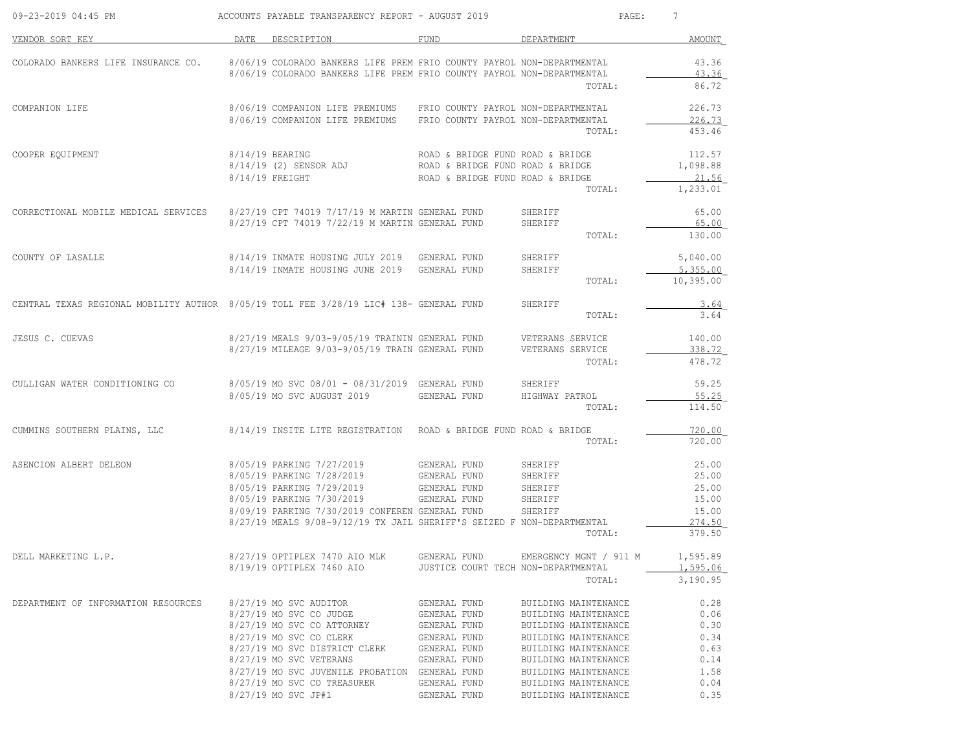| DATE<br>DESCRIPTION<br>DEPARTMENT<br>FUND<br>8/06/19 COLORADO BANKERS LIFE PREM FRIO COUNTY PAYROL NON-DEPARTMENTAL<br>COLORADO BANKERS LIFE INSURANCE CO.<br>8/06/19 COLORADO BANKERS LIFE PREM FRIO COUNTY PAYROL NON-DEPARTMENTAL<br>TOTAL:<br>8/06/19 COMPANION LIFE PREMIUMS FRIO COUNTY PAYROL NON-DEPARTMENTAL<br>226.73<br>8/06/19 COMPANION LIFE PREMIUMS<br>FRIO COUNTY PAYROL NON-DEPARTMENTAL<br>TOTAL:<br>8/14/19 BEARING<br>ROAD & BRIDGE FUND ROAD & BRIDGE<br>8/14/19 (2) SENSOR ADJ<br>ROAD & BRIDGE FUND ROAD & BRIDGE<br>ROAD & BRIDGE FUND ROAD & BRIDGE<br>21.56<br>$8/14/19$ FREIGHT<br>TOTAL:<br>8/27/19 CPT 74019 7/17/19 M MARTIN GENERAL FUND<br>8/27/19 CPT 74019 7/22/19 M MARTIN GENERAL FUND<br>65.00<br>CORRECTIONAL MOBILE MEDICAL SERVICES<br>SHERIFF<br>SHERIFF<br>TOTAL:<br>8/14/19 INMATE HOUSING JULY 2019 GENERAL FUND<br>SHERIFF<br>8/14/19 INMATE HOUSING JUNE 2019 GENERAL FUND<br>SHERIFF<br>10,395.00<br>TOTAL:<br>CENTRAL TEXAS REGIONAL MOBILITY AUTHOR 8/05/19 TOLL FEE 3/28/19 LIC# 138- GENERAL FUND<br>SHERIFF<br>TOTAL:<br>$8/27/19$ MEALS $9/03-9/05/19$ TRAININ GENERAL FUND VETERANS SERVICE $8/27/19$ MILEAGE $9/03-9/05/19$ TRAIN GENERAL FUND VETERANS SERVICE<br>338.72<br>TOTAL:<br>8/05/19 MO SVC 08/01 - 08/31/2019 GENERAL FUND SHERIFF<br>59.25<br>CULLIGAN WATER CONDITIONING CO<br>8/05/19 MO SVC AUGUST 2019<br>GENERAL FUND<br>HIGHWAY PATROL<br>TOTAL:<br>$8/14/19$ INSITE LITE REGISTRATION – ROAD & BRIDGE FUND ROAD & BRIDGE<br>TOTAL:<br>8/05/19 PARKING 7/27/2019 GENERAL FUND<br>SHERIFF<br>SHERIFF<br>25.00<br>SHERIFF<br>8/05/19 PARKING 7/30/2019<br>GENERAL FUND<br>SHERIFF<br>15.00<br>8/09/19 PARKING 7/30/2019 CONFEREN GENERAL FUND<br>SHERIFF<br>8/27/19 MEALS 9/08-9/12/19 TX JAIL SHERIFF'S SEIZED F NON-DEPARTMENTAL<br>379.50<br>TOTAL:<br>8/27/19 OPTIPLEX 7470 AIO MLK<br>GENERAL FUND<br>EMERGENCY MGNT / 911 M<br>1,595.06<br>8/19/19 OPTIPLEX 7460 AIO<br>JUSTICE COURT TECH NON-DEPARTMENTAL<br>TOTAL:<br>8/27/19 MO SVC AUDITOR<br>GENERAL FUND<br>BUILDING MAINTENANCE<br>8/27/19 MO SVC CO JUDGE<br>GENERAL FUND<br>BUILDING MAINTENANCE<br>8/27/19 MO SVC CO ATTORNEY<br>GENERAL FUND<br>BUILDING MAINTENANCE<br>8/27/19 MO SVC CO CLERK<br>GENERAL FUND<br>BUILDING MAINTENANCE<br>8/27/19 MO SVC DISTRICT CLERK<br>GENERAL FUND<br>BUILDING MAINTENANCE<br>0.63<br>0.14<br>8/27/19 MO SVC VETERANS<br>GENERAL FUND<br>BUILDING MAINTENANCE<br>8/27/19 MO SVC JUVENILE PROBATION GENERAL FUND<br>1.58<br>BUILDING MAINTENANCE<br>8/27/19 MO SVC CO TREASURER<br>GENERAL FUND<br>BUILDING MAINTENANCE<br>8/27/19 MO SVC JP#1<br>GENERAL FUND<br>BUILDING MAINTENANCE | 09-23-2019 04:45 PM                 | ACCOUNTS PAYABLE TRANSPARENCY REPORT - AUGUST 2019 | $\mathtt{PAGE}$ : | 7              |
|----------------------------------------------------------------------------------------------------------------------------------------------------------------------------------------------------------------------------------------------------------------------------------------------------------------------------------------------------------------------------------------------------------------------------------------------------------------------------------------------------------------------------------------------------------------------------------------------------------------------------------------------------------------------------------------------------------------------------------------------------------------------------------------------------------------------------------------------------------------------------------------------------------------------------------------------------------------------------------------------------------------------------------------------------------------------------------------------------------------------------------------------------------------------------------------------------------------------------------------------------------------------------------------------------------------------------------------------------------------------------------------------------------------------------------------------------------------------------------------------------------------------------------------------------------------------------------------------------------------------------------------------------------------------------------------------------------------------------------------------------------------------------------------------------------------------------------------------------------------------------------------------------------------------------------------------------------------------------------------------------------------------------------------------------------------------------------------------------------------------------------------------------------------------------------------------------------------------------------------------------------------------------------------------------------------------------------------------------------------------------------------------------------------------------------------------------------------------------------------------------------------------------------------------------------------------------------------------------------------------------------------------------------------------|-------------------------------------|----------------------------------------------------|-------------------|----------------|
|                                                                                                                                                                                                                                                                                                                                                                                                                                                                                                                                                                                                                                                                                                                                                                                                                                                                                                                                                                                                                                                                                                                                                                                                                                                                                                                                                                                                                                                                                                                                                                                                                                                                                                                                                                                                                                                                                                                                                                                                                                                                                                                                                                                                                                                                                                                                                                                                                                                                                                                                                                                                                                                                      | VENDOR SORT KEY                     |                                                    |                   | AMOUNT         |
|                                                                                                                                                                                                                                                                                                                                                                                                                                                                                                                                                                                                                                                                                                                                                                                                                                                                                                                                                                                                                                                                                                                                                                                                                                                                                                                                                                                                                                                                                                                                                                                                                                                                                                                                                                                                                                                                                                                                                                                                                                                                                                                                                                                                                                                                                                                                                                                                                                                                                                                                                                                                                                                                      |                                     |                                                    |                   | 43.36<br>43.36 |
|                                                                                                                                                                                                                                                                                                                                                                                                                                                                                                                                                                                                                                                                                                                                                                                                                                                                                                                                                                                                                                                                                                                                                                                                                                                                                                                                                                                                                                                                                                                                                                                                                                                                                                                                                                                                                                                                                                                                                                                                                                                                                                                                                                                                                                                                                                                                                                                                                                                                                                                                                                                                                                                                      |                                     |                                                    |                   | 86.72          |
|                                                                                                                                                                                                                                                                                                                                                                                                                                                                                                                                                                                                                                                                                                                                                                                                                                                                                                                                                                                                                                                                                                                                                                                                                                                                                                                                                                                                                                                                                                                                                                                                                                                                                                                                                                                                                                                                                                                                                                                                                                                                                                                                                                                                                                                                                                                                                                                                                                                                                                                                                                                                                                                                      | COMPANION LIFE                      |                                                    |                   | 226.73         |
|                                                                                                                                                                                                                                                                                                                                                                                                                                                                                                                                                                                                                                                                                                                                                                                                                                                                                                                                                                                                                                                                                                                                                                                                                                                                                                                                                                                                                                                                                                                                                                                                                                                                                                                                                                                                                                                                                                                                                                                                                                                                                                                                                                                                                                                                                                                                                                                                                                                                                                                                                                                                                                                                      |                                     |                                                    |                   | 453.46         |
|                                                                                                                                                                                                                                                                                                                                                                                                                                                                                                                                                                                                                                                                                                                                                                                                                                                                                                                                                                                                                                                                                                                                                                                                                                                                                                                                                                                                                                                                                                                                                                                                                                                                                                                                                                                                                                                                                                                                                                                                                                                                                                                                                                                                                                                                                                                                                                                                                                                                                                                                                                                                                                                                      | COOPER EQUIPMENT                    |                                                    |                   | 112.57         |
|                                                                                                                                                                                                                                                                                                                                                                                                                                                                                                                                                                                                                                                                                                                                                                                                                                                                                                                                                                                                                                                                                                                                                                                                                                                                                                                                                                                                                                                                                                                                                                                                                                                                                                                                                                                                                                                                                                                                                                                                                                                                                                                                                                                                                                                                                                                                                                                                                                                                                                                                                                                                                                                                      |                                     |                                                    |                   | 1,098.88       |
|                                                                                                                                                                                                                                                                                                                                                                                                                                                                                                                                                                                                                                                                                                                                                                                                                                                                                                                                                                                                                                                                                                                                                                                                                                                                                                                                                                                                                                                                                                                                                                                                                                                                                                                                                                                                                                                                                                                                                                                                                                                                                                                                                                                                                                                                                                                                                                                                                                                                                                                                                                                                                                                                      |                                     |                                                    |                   | 1,233.01       |
|                                                                                                                                                                                                                                                                                                                                                                                                                                                                                                                                                                                                                                                                                                                                                                                                                                                                                                                                                                                                                                                                                                                                                                                                                                                                                                                                                                                                                                                                                                                                                                                                                                                                                                                                                                                                                                                                                                                                                                                                                                                                                                                                                                                                                                                                                                                                                                                                                                                                                                                                                                                                                                                                      |                                     |                                                    |                   |                |
|                                                                                                                                                                                                                                                                                                                                                                                                                                                                                                                                                                                                                                                                                                                                                                                                                                                                                                                                                                                                                                                                                                                                                                                                                                                                                                                                                                                                                                                                                                                                                                                                                                                                                                                                                                                                                                                                                                                                                                                                                                                                                                                                                                                                                                                                                                                                                                                                                                                                                                                                                                                                                                                                      |                                     |                                                    |                   | 65.00          |
|                                                                                                                                                                                                                                                                                                                                                                                                                                                                                                                                                                                                                                                                                                                                                                                                                                                                                                                                                                                                                                                                                                                                                                                                                                                                                                                                                                                                                                                                                                                                                                                                                                                                                                                                                                                                                                                                                                                                                                                                                                                                                                                                                                                                                                                                                                                                                                                                                                                                                                                                                                                                                                                                      |                                     |                                                    |                   | 130.00         |
|                                                                                                                                                                                                                                                                                                                                                                                                                                                                                                                                                                                                                                                                                                                                                                                                                                                                                                                                                                                                                                                                                                                                                                                                                                                                                                                                                                                                                                                                                                                                                                                                                                                                                                                                                                                                                                                                                                                                                                                                                                                                                                                                                                                                                                                                                                                                                                                                                                                                                                                                                                                                                                                                      | COUNTY OF LASALLE                   |                                                    |                   | 5,040.00       |
|                                                                                                                                                                                                                                                                                                                                                                                                                                                                                                                                                                                                                                                                                                                                                                                                                                                                                                                                                                                                                                                                                                                                                                                                                                                                                                                                                                                                                                                                                                                                                                                                                                                                                                                                                                                                                                                                                                                                                                                                                                                                                                                                                                                                                                                                                                                                                                                                                                                                                                                                                                                                                                                                      |                                     |                                                    |                   | 5,355.00       |
|                                                                                                                                                                                                                                                                                                                                                                                                                                                                                                                                                                                                                                                                                                                                                                                                                                                                                                                                                                                                                                                                                                                                                                                                                                                                                                                                                                                                                                                                                                                                                                                                                                                                                                                                                                                                                                                                                                                                                                                                                                                                                                                                                                                                                                                                                                                                                                                                                                                                                                                                                                                                                                                                      |                                     |                                                    |                   |                |
|                                                                                                                                                                                                                                                                                                                                                                                                                                                                                                                                                                                                                                                                                                                                                                                                                                                                                                                                                                                                                                                                                                                                                                                                                                                                                                                                                                                                                                                                                                                                                                                                                                                                                                                                                                                                                                                                                                                                                                                                                                                                                                                                                                                                                                                                                                                                                                                                                                                                                                                                                                                                                                                                      |                                     |                                                    |                   | 3.64           |
|                                                                                                                                                                                                                                                                                                                                                                                                                                                                                                                                                                                                                                                                                                                                                                                                                                                                                                                                                                                                                                                                                                                                                                                                                                                                                                                                                                                                                                                                                                                                                                                                                                                                                                                                                                                                                                                                                                                                                                                                                                                                                                                                                                                                                                                                                                                                                                                                                                                                                                                                                                                                                                                                      |                                     |                                                    |                   | 3.64           |
|                                                                                                                                                                                                                                                                                                                                                                                                                                                                                                                                                                                                                                                                                                                                                                                                                                                                                                                                                                                                                                                                                                                                                                                                                                                                                                                                                                                                                                                                                                                                                                                                                                                                                                                                                                                                                                                                                                                                                                                                                                                                                                                                                                                                                                                                                                                                                                                                                                                                                                                                                                                                                                                                      | JESUS C. CUEVAS                     |                                                    |                   | 140.00         |
|                                                                                                                                                                                                                                                                                                                                                                                                                                                                                                                                                                                                                                                                                                                                                                                                                                                                                                                                                                                                                                                                                                                                                                                                                                                                                                                                                                                                                                                                                                                                                                                                                                                                                                                                                                                                                                                                                                                                                                                                                                                                                                                                                                                                                                                                                                                                                                                                                                                                                                                                                                                                                                                                      |                                     |                                                    |                   | 478.72         |
|                                                                                                                                                                                                                                                                                                                                                                                                                                                                                                                                                                                                                                                                                                                                                                                                                                                                                                                                                                                                                                                                                                                                                                                                                                                                                                                                                                                                                                                                                                                                                                                                                                                                                                                                                                                                                                                                                                                                                                                                                                                                                                                                                                                                                                                                                                                                                                                                                                                                                                                                                                                                                                                                      |                                     |                                                    |                   |                |
|                                                                                                                                                                                                                                                                                                                                                                                                                                                                                                                                                                                                                                                                                                                                                                                                                                                                                                                                                                                                                                                                                                                                                                                                                                                                                                                                                                                                                                                                                                                                                                                                                                                                                                                                                                                                                                                                                                                                                                                                                                                                                                                                                                                                                                                                                                                                                                                                                                                                                                                                                                                                                                                                      |                                     |                                                    |                   | 55.25          |
|                                                                                                                                                                                                                                                                                                                                                                                                                                                                                                                                                                                                                                                                                                                                                                                                                                                                                                                                                                                                                                                                                                                                                                                                                                                                                                                                                                                                                                                                                                                                                                                                                                                                                                                                                                                                                                                                                                                                                                                                                                                                                                                                                                                                                                                                                                                                                                                                                                                                                                                                                                                                                                                                      |                                     |                                                    |                   | 114.50         |
|                                                                                                                                                                                                                                                                                                                                                                                                                                                                                                                                                                                                                                                                                                                                                                                                                                                                                                                                                                                                                                                                                                                                                                                                                                                                                                                                                                                                                                                                                                                                                                                                                                                                                                                                                                                                                                                                                                                                                                                                                                                                                                                                                                                                                                                                                                                                                                                                                                                                                                                                                                                                                                                                      | CUMMINS SOUTHERN PLAINS, LLC        |                                                    |                   | 720.00         |
|                                                                                                                                                                                                                                                                                                                                                                                                                                                                                                                                                                                                                                                                                                                                                                                                                                                                                                                                                                                                                                                                                                                                                                                                                                                                                                                                                                                                                                                                                                                                                                                                                                                                                                                                                                                                                                                                                                                                                                                                                                                                                                                                                                                                                                                                                                                                                                                                                                                                                                                                                                                                                                                                      |                                     |                                                    |                   | 720.00         |
|                                                                                                                                                                                                                                                                                                                                                                                                                                                                                                                                                                                                                                                                                                                                                                                                                                                                                                                                                                                                                                                                                                                                                                                                                                                                                                                                                                                                                                                                                                                                                                                                                                                                                                                                                                                                                                                                                                                                                                                                                                                                                                                                                                                                                                                                                                                                                                                                                                                                                                                                                                                                                                                                      | ASENCION ALBERT DELEON              |                                                    |                   | 25.00          |
|                                                                                                                                                                                                                                                                                                                                                                                                                                                                                                                                                                                                                                                                                                                                                                                                                                                                                                                                                                                                                                                                                                                                                                                                                                                                                                                                                                                                                                                                                                                                                                                                                                                                                                                                                                                                                                                                                                                                                                                                                                                                                                                                                                                                                                                                                                                                                                                                                                                                                                                                                                                                                                                                      |                                     |                                                    |                   | 25.00          |
|                                                                                                                                                                                                                                                                                                                                                                                                                                                                                                                                                                                                                                                                                                                                                                                                                                                                                                                                                                                                                                                                                                                                                                                                                                                                                                                                                                                                                                                                                                                                                                                                                                                                                                                                                                                                                                                                                                                                                                                                                                                                                                                                                                                                                                                                                                                                                                                                                                                                                                                                                                                                                                                                      |                                     |                                                    |                   |                |
|                                                                                                                                                                                                                                                                                                                                                                                                                                                                                                                                                                                                                                                                                                                                                                                                                                                                                                                                                                                                                                                                                                                                                                                                                                                                                                                                                                                                                                                                                                                                                                                                                                                                                                                                                                                                                                                                                                                                                                                                                                                                                                                                                                                                                                                                                                                                                                                                                                                                                                                                                                                                                                                                      |                                     |                                                    |                   | 15.00          |
|                                                                                                                                                                                                                                                                                                                                                                                                                                                                                                                                                                                                                                                                                                                                                                                                                                                                                                                                                                                                                                                                                                                                                                                                                                                                                                                                                                                                                                                                                                                                                                                                                                                                                                                                                                                                                                                                                                                                                                                                                                                                                                                                                                                                                                                                                                                                                                                                                                                                                                                                                                                                                                                                      |                                     |                                                    |                   | 274.50         |
|                                                                                                                                                                                                                                                                                                                                                                                                                                                                                                                                                                                                                                                                                                                                                                                                                                                                                                                                                                                                                                                                                                                                                                                                                                                                                                                                                                                                                                                                                                                                                                                                                                                                                                                                                                                                                                                                                                                                                                                                                                                                                                                                                                                                                                                                                                                                                                                                                                                                                                                                                                                                                                                                      |                                     |                                                    |                   |                |
|                                                                                                                                                                                                                                                                                                                                                                                                                                                                                                                                                                                                                                                                                                                                                                                                                                                                                                                                                                                                                                                                                                                                                                                                                                                                                                                                                                                                                                                                                                                                                                                                                                                                                                                                                                                                                                                                                                                                                                                                                                                                                                                                                                                                                                                                                                                                                                                                                                                                                                                                                                                                                                                                      | DELL MARKETING L.P.                 |                                                    |                   | 1,595.89       |
|                                                                                                                                                                                                                                                                                                                                                                                                                                                                                                                                                                                                                                                                                                                                                                                                                                                                                                                                                                                                                                                                                                                                                                                                                                                                                                                                                                                                                                                                                                                                                                                                                                                                                                                                                                                                                                                                                                                                                                                                                                                                                                                                                                                                                                                                                                                                                                                                                                                                                                                                                                                                                                                                      |                                     |                                                    |                   | 3,190.95       |
|                                                                                                                                                                                                                                                                                                                                                                                                                                                                                                                                                                                                                                                                                                                                                                                                                                                                                                                                                                                                                                                                                                                                                                                                                                                                                                                                                                                                                                                                                                                                                                                                                                                                                                                                                                                                                                                                                                                                                                                                                                                                                                                                                                                                                                                                                                                                                                                                                                                                                                                                                                                                                                                                      | DEPARTMENT OF INFORMATION RESOURCES |                                                    |                   | 0.28           |
|                                                                                                                                                                                                                                                                                                                                                                                                                                                                                                                                                                                                                                                                                                                                                                                                                                                                                                                                                                                                                                                                                                                                                                                                                                                                                                                                                                                                                                                                                                                                                                                                                                                                                                                                                                                                                                                                                                                                                                                                                                                                                                                                                                                                                                                                                                                                                                                                                                                                                                                                                                                                                                                                      |                                     |                                                    |                   | 0.06           |
|                                                                                                                                                                                                                                                                                                                                                                                                                                                                                                                                                                                                                                                                                                                                                                                                                                                                                                                                                                                                                                                                                                                                                                                                                                                                                                                                                                                                                                                                                                                                                                                                                                                                                                                                                                                                                                                                                                                                                                                                                                                                                                                                                                                                                                                                                                                                                                                                                                                                                                                                                                                                                                                                      |                                     |                                                    |                   | 0.30           |
|                                                                                                                                                                                                                                                                                                                                                                                                                                                                                                                                                                                                                                                                                                                                                                                                                                                                                                                                                                                                                                                                                                                                                                                                                                                                                                                                                                                                                                                                                                                                                                                                                                                                                                                                                                                                                                                                                                                                                                                                                                                                                                                                                                                                                                                                                                                                                                                                                                                                                                                                                                                                                                                                      |                                     |                                                    |                   | 0.34           |
|                                                                                                                                                                                                                                                                                                                                                                                                                                                                                                                                                                                                                                                                                                                                                                                                                                                                                                                                                                                                                                                                                                                                                                                                                                                                                                                                                                                                                                                                                                                                                                                                                                                                                                                                                                                                                                                                                                                                                                                                                                                                                                                                                                                                                                                                                                                                                                                                                                                                                                                                                                                                                                                                      |                                     |                                                    |                   |                |
|                                                                                                                                                                                                                                                                                                                                                                                                                                                                                                                                                                                                                                                                                                                                                                                                                                                                                                                                                                                                                                                                                                                                                                                                                                                                                                                                                                                                                                                                                                                                                                                                                                                                                                                                                                                                                                                                                                                                                                                                                                                                                                                                                                                                                                                                                                                                                                                                                                                                                                                                                                                                                                                                      |                                     |                                                    |                   |                |
|                                                                                                                                                                                                                                                                                                                                                                                                                                                                                                                                                                                                                                                                                                                                                                                                                                                                                                                                                                                                                                                                                                                                                                                                                                                                                                                                                                                                                                                                                                                                                                                                                                                                                                                                                                                                                                                                                                                                                                                                                                                                                                                                                                                                                                                                                                                                                                                                                                                                                                                                                                                                                                                                      |                                     |                                                    |                   | 0.04           |
|                                                                                                                                                                                                                                                                                                                                                                                                                                                                                                                                                                                                                                                                                                                                                                                                                                                                                                                                                                                                                                                                                                                                                                                                                                                                                                                                                                                                                                                                                                                                                                                                                                                                                                                                                                                                                                                                                                                                                                                                                                                                                                                                                                                                                                                                                                                                                                                                                                                                                                                                                                                                                                                                      |                                     |                                                    |                   | 0.35           |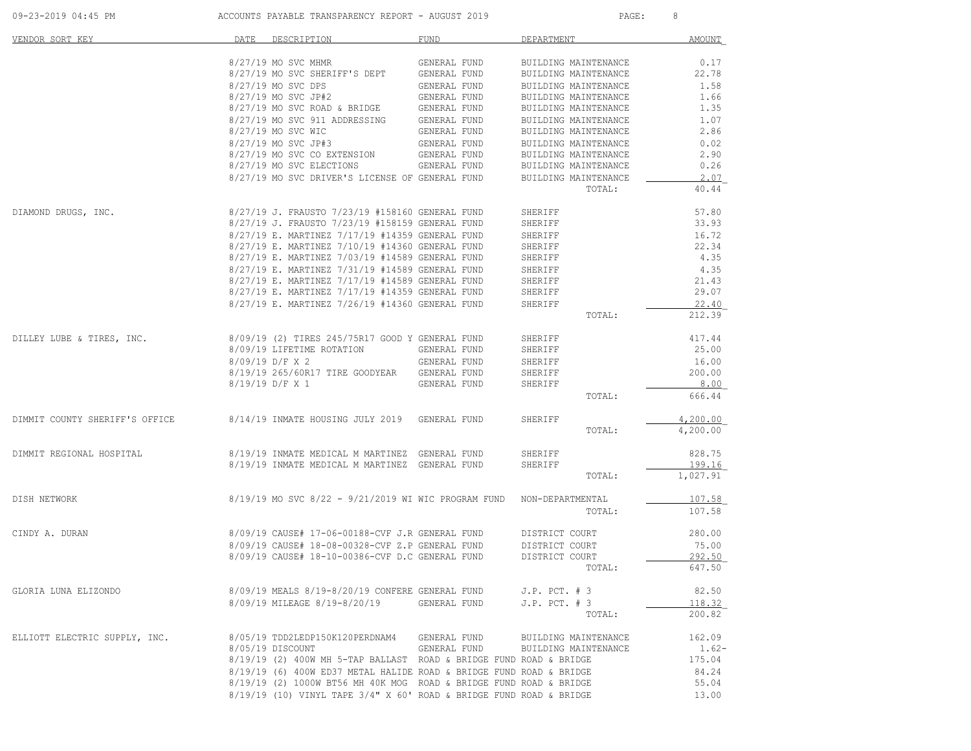| 09-23-2019 04:45 PM            | ACCOUNTS PAYABLE TRANSPARENCY REPORT - AUGUST 2019                  | 8<br>PAGE:   |                                |               |
|--------------------------------|---------------------------------------------------------------------|--------------|--------------------------------|---------------|
| VENDOR SORT KEY                | DATE DESCRIPTION                                                    | FUND         | DEPARTMENT                     | AMOUNT        |
|                                | 8/27/19 MO SVC MHMR                                                 | GENERAL FUND | BUILDING MAINTENANCE           | 0.17          |
|                                | 8/27/19 MO SVC SHERIFF'S DEPT                                       | GENERAL FUND | BUILDING MAINTENANCE           | 22.78         |
|                                | 8/27/19 MO SVC DPS                                                  | GENERAL FUND | BUILDING MAINTENANCE           | 1.58          |
|                                | 8/27/19 MO SVC JP#2                                                 | GENERAL FUND | BUILDING MAINTENANCE           | 1.66          |
|                                | $8/27/19$ MO SVC ROAD & BRIDGE                                      | GENERAL FUND | BUILDING MAINTENANCE           | 1.35          |
|                                | 8/27/19 MO SVC 911 ADDRESSING                                       | GENERAL FUND |                                | 1.07          |
|                                |                                                                     |              | BUILDING MAINTENANCE           |               |
|                                | 8/27/19 MO SVC WIC                                                  | GENERAL FUND | BUILDING MAINTENANCE           | 2.86          |
|                                | 8/27/19 MO SVC JP#3                                                 | GENERAL FUND | BUILDING MAINTENANCE           | 0.02          |
|                                | 8/27/19 MO SVC CO EXTENSION                                         | GENERAL FUND | BUILDING MAINTENANCE           | 2.90          |
|                                | 8/27/19 MO SVC ELECTIONS                                            | GENERAL FUND | BUILDING MAINTENANCE           | 0.26          |
|                                | 8/27/19 MO SVC DRIVER'S LICENSE OF GENERAL FUND                     |              | BUILDING MAINTENANCE<br>TOTAL: | 2.07<br>40.44 |
|                                |                                                                     |              |                                |               |
| DIAMOND DRUGS, INC.            | 8/27/19 J. FRAUSTO 7/23/19 #158160 GENERAL FUND                     |              | SHERIFF                        | 57.80         |
|                                | 8/27/19 J. FRAUSTO 7/23/19 #158159 GENERAL FUND                     |              | SHERIFF                        | 33.93         |
|                                | 8/27/19 E. MARTINEZ 7/17/19 #14359 GENERAL FUND                     |              | SHERIFF                        | 16.72         |
|                                | 8/27/19 E. MARTINEZ 7/10/19 #14360 GENERAL FUND                     |              | SHERIFF                        | 22.34         |
|                                | 8/27/19 E. MARTINEZ 7/03/19 #14589 GENERAL FUND                     |              | SHERIFF                        | 4.35          |
|                                | 8/27/19 E. MARTINEZ 7/31/19 #14589 GENERAL FUND                     |              | SHERIFF                        | 4.35          |
|                                | 8/27/19 E. MARTINEZ 7/17/19 #14589 GENERAL FUND                     |              | SHERIFF                        | 21.43         |
|                                | 8/27/19 E. MARTINEZ 7/17/19 #14359 GENERAL FUND                     |              | SHERIFF                        | 29.07         |
|                                | 8/27/19 E. MARTINEZ 7/26/19 #14360 GENERAL FUND                     |              | SHERIFF                        | 22.40         |
|                                |                                                                     |              | TOTAL:                         | 212.39        |
| DILLEY LUBE & TIRES, INC.      | 8/09/19 (2) TIRES 245/75R17 GOOD Y GENERAL FUND                     |              | SHERIFF                        | 417.44        |
|                                | 8/09/19 LIFETIME ROTATION                                           | GENERAL FUND | SHERIFF                        | 25.00         |
|                                |                                                                     |              |                                |               |
|                                | 8/09/19 D/F X 2                                                     | GENERAL FUND | SHERIFF                        | 16.00         |
|                                | 8/19/19 265/60R17 TIRE GOODYEAR                                     | GENERAL FUND | SHERIFF                        | 200.00        |
|                                | 8/19/19 D/F X 1                                                     | GENERAL FUND | SHERIFF                        | 8.00          |
|                                |                                                                     |              | TOTAL:                         | 666.44        |
| DIMMIT COUNTY SHERIFF'S OFFICE | 8/14/19 INMATE HOUSING JULY 2019 GENERAL FUND                       |              | SHERIFF                        | 4,200.00      |
|                                |                                                                     |              | TOTAL:                         | 4,200.00      |
| DIMMIT REGIONAL HOSPITAL       | 8/19/19 INMATE MEDICAL M MARTINEZ GENERAL FUND                      |              | SHERIFF                        | 828.75        |
|                                | 8/19/19 INMATE MEDICAL M MARTINEZ GENERAL FUND                      |              | SHERIFF                        | 199.16        |
|                                |                                                                     |              | TOTAL:                         | 1,027.91      |
| DISH NETWORK                   | 8/19/19 MO SVC 8/22 - 9/21/2019 WI WIC PROGRAM FUND                 |              | NON-DEPARTMENTAL               | 107.58        |
|                                |                                                                     |              | TOTAL:                         | 107.58        |
| CINDY A. DURAN                 | 8/09/19 CAUSE# 17-06-00188-CVF J.R GENERAL FUND                     |              | DISTRICT COURT                 | 280.00        |
|                                | 8/09/19 CAUSE# 18-08-00328-CVF Z.P GENERAL FUND                     |              | DISTRICT COURT                 | 75.00         |
|                                | 8/09/19 CAUSE# 18-10-00386-CVF D.C GENERAL FUND                     |              | DISTRICT COURT                 | 292.50        |
|                                |                                                                     |              | TOTAL:                         | 647.50        |
|                                |                                                                     |              |                                |               |
| GLORIA LUNA ELIZONDO           | 8/09/19 MEALS 8/19-8/20/19 CONFERE GENERAL FUND                     |              | $J.P.$ PCT. $# 3$              | 82.50         |
|                                | 8/09/19 MILEAGE 8/19-8/20/19                                        | GENERAL FUND | $J.P.$ PCT. $# 3$              | 118.32        |
|                                |                                                                     |              | TOTAL:                         | 200.82        |
| ELLIOTT ELECTRIC SUPPLY, INC.  | 8/05/19 TDD2LEDP150K120PERDNAM4                                     | GENERAL FUND | BUILDING MAINTENANCE           | 162.09        |
|                                | 8/05/19 DISCOUNT                                                    | GENERAL FUND | BUILDING MAINTENANCE           | $1.62-$       |
|                                | 8/19/19 (2) 400W MH 5-TAP BALLAST ROAD & BRIDGE FUND ROAD & BRIDGE  |              |                                | 175.04        |
|                                | 8/19/19 (6) 400W ED37 METAL HALIDE ROAD & BRIDGE FUND ROAD & BRIDGE |              |                                | 84.24         |
|                                | 8/19/19 (2) 1000W BT56 MH 40K MOG ROAD & BRIDGE FUND ROAD & BRIDGE  |              |                                | 55.04         |
|                                | 8/19/19 (10) VINYL TAPE 3/4" X 60' ROAD & BRIDGE FUND ROAD & BRIDGE |              |                                | 13.00         |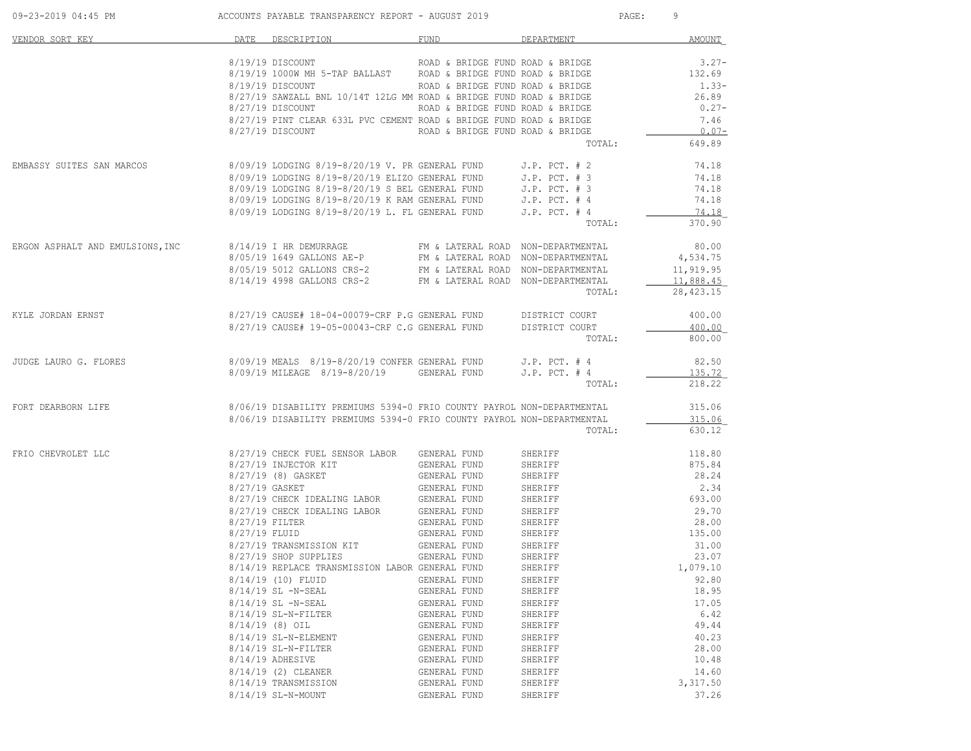| 09-23-2019 04:45 PM              |                                 | ACCOUNTS PAYABLE TRANSPARENCY REPORT - AUGUST 2019                     |                                    |                    | 9<br>PAGE:             |
|----------------------------------|---------------------------------|------------------------------------------------------------------------|------------------------------------|--------------------|------------------------|
| VENDOR SORT KEY                  |                                 | DATE DESCRIPTION                                                       | FUND                               | DEPARTMENT         | <b>AMOUNT</b>          |
|                                  |                                 | 8/19/19 DISCOUNT                                                       | ROAD & BRIDGE FUND ROAD & BRIDGE   |                    | $3.27-$                |
|                                  |                                 | 8/19/19 1000W MH 5-TAP BALLAST ROAD & BRIDGE FUND ROAD & BRIDGE        |                                    |                    | 132.69                 |
|                                  |                                 | 8/19/19 DISCOUNT                                                       | ROAD & BRIDGE FUND ROAD & BRIDGE   |                    | $1.33-$                |
|                                  |                                 | 8/27/19 SAWZALL BNL 10/14T 12LG MM ROAD & BRIDGE FUND ROAD & BRIDGE    |                                    |                    | 26.89                  |
|                                  |                                 | 8/27/19 DISCOUNT                                                       | ROAD & BRIDGE FUND ROAD & BRIDGE   |                    | $0.27 -$               |
|                                  |                                 | 8/27/19 PINT CLEAR 633L PVC CEMENT ROAD & BRIDGE FUND ROAD & BRIDGE    |                                    |                    | 7.46<br>$0.07-$        |
|                                  |                                 | 8/27/19 DISCOUNT                                                       | ROAD & BRIDGE FUND ROAD & BRIDGE   | TOTAL:             | 649.89                 |
| EMBASSY SUITES SAN MARCOS        |                                 | 8/09/19 LODGING 8/19-8/20/19 V. PR GENERAL FUND                        |                                    | J.P. PCT. # 2      | 74.18                  |
|                                  |                                 | 8/09/19 LODGING 8/19-8/20/19 ELIZO GENERAL FUND                        |                                    | $J.P.$ PCT. $# 3$  | 74.18                  |
|                                  |                                 | 8/09/19 LODGING 8/19-8/20/19 S BEL GENERAL FUND                        |                                    | $J.P.$ PCT. $# 3$  | 74.18                  |
|                                  |                                 | 8/09/19 LODGING 8/19-8/20/19 K RAM GENERAL FUND                        |                                    | $J.P.$ PCT. $#4$   | 74.18                  |
|                                  |                                 | 8/09/19 LODGING 8/19-8/20/19 L. FL GENERAL FUND                        |                                    | $J.P.$ PCT. $#4$   | 74.18                  |
|                                  |                                 |                                                                        |                                    | TOTAL:             | 370.90                 |
| ERGON ASPHALT AND EMULSIONS, INC |                                 | 8/14/19 I HR DEMURRAGE                                                 | FM & LATERAL ROAD NON-DEPARTMENTAL |                    | 80.00                  |
|                                  |                                 | 8/05/19 1649 GALLONS AE-P                                              | FM & LATERAL ROAD NON-DEPARTMENTAL |                    | 4,534.75               |
|                                  |                                 | 8/05/19 5012 GALLONS CRS-2                                             | FM & LATERAL ROAD NON-DEPARTMENTAL |                    | 11,919.95              |
|                                  |                                 | 8/14/19 4998 GALLONS CRS-2                                             | FM & LATERAL ROAD NON-DEPARTMENTAL | TOTAL:             | 11,888.45<br>28,423.15 |
| KYLE JORDAN ERNST                |                                 | 8/27/19 CAUSE# 18-04-00079-CRF P.G GENERAL FUND                        |                                    | DISTRICT COURT     | 400.00                 |
|                                  |                                 | 8/27/19 CAUSE# 19-05-00043-CRF C.G GENERAL FUND                        |                                    | DISTRICT COURT     | 400.00                 |
|                                  |                                 |                                                                        |                                    | TOTAL:             | 800.00                 |
| JUDGE LAURO G. FLORES            |                                 | 8/09/19 MEALS 8/19-8/20/19 CONFER GENERAL FUND                         |                                    | $J.P.$ PCT. $#4$   | 82.50                  |
|                                  |                                 | 8/09/19 MILEAGE 8/19-8/20/19                                           | GENERAL FUND                       | $J.P.$ PCT. $#4$   | 135.72                 |
|                                  |                                 |                                                                        |                                    | TOTAL:             | 218.22                 |
| FORT DEARBORN LIFE               |                                 | 8/06/19 DISABILITY PREMIUMS 5394-0 FRIO COUNTY PAYROL NON-DEPARTMENTAL |                                    |                    | 315.06                 |
|                                  |                                 | 8/06/19 DISABILITY PREMIUMS 5394-0 FRIO COUNTY PAYROL NON-DEPARTMENTAL |                                    |                    | 315.06                 |
|                                  |                                 |                                                                        |                                    | TOTAL:             | 630.12                 |
| FRIO CHEVROLET LLC               |                                 | 8/27/19 CHECK FUEL SENSOR LABOR                                        | GENERAL FUND                       | SHERIFF            | 118.80                 |
|                                  |                                 | 8/27/19 INJECTOR KIT                                                   | GENERAL FUND                       | SHERIFF            | 875.84                 |
|                                  |                                 | 8/27/19 (8) GASKET                                                     | GENERAL FUND                       | SHERIFF            | 28.24                  |
|                                  | 8/27/19 GASKET                  |                                                                        | GENERAL FUND                       | SHERIFF            | 2.34                   |
|                                  |                                 | 8/27/19 CHECK IDEALING LABOR GENERAL FUND                              |                                    | SHERIFF            | 693.00                 |
|                                  |                                 | 8/27/19 CHECK IDEALING LABOR                                           | GENERAL FUND                       | SHERIFF            | 29.70                  |
|                                  | 8/27/19 FILTER<br>8/27/19 FLUID |                                                                        | GENERAL FUND<br>GENERAL FUND       | SHERIFF<br>SHERIFF | 28.00<br>135.00        |
|                                  |                                 | 8/27/19 TRANSMISSION KIT                                               | GENERAL FUND                       | SHERIFF            | 31.00                  |
|                                  |                                 | 8/27/19 SHOP SUPPLIES                                                  | GENERAL FUND                       | SHERIFF            | 23.07                  |
|                                  |                                 | 8/14/19 REPLACE TRANSMISSION LABOR GENERAL FUND                        |                                    | SHERIFF            | 1,079.10               |
|                                  |                                 | 8/14/19 (10) FLUID                                                     | GENERAL FUND                       | SHERIFF            | 92.80                  |
|                                  |                                 | 8/14/19 SL -N-SEAL                                                     | GENERAL FUND                       | SHERIFF            | 18.95                  |
|                                  |                                 | $8/14/19$ SL $-N-SEAL$                                                 | GENERAL FUND                       | SHERIFF            | 17.05                  |
|                                  |                                 | 8/14/19 SL-N-FILTER                                                    | GENERAL FUND                       | SHERIFF            | 6.42                   |
|                                  |                                 | $8/14/19$ (8) OIL                                                      | GENERAL FUND                       | SHERIFF            | 49.44                  |
|                                  |                                 | 8/14/19 SL-N-ELEMENT                                                   | GENERAL FUND                       | SHERIFF            | 40.23                  |
|                                  |                                 | 8/14/19 SL-N-FILTER                                                    | GENERAL FUND                       | SHERIFF            | 28.00                  |
|                                  |                                 | 8/14/19 ADHESIVE                                                       | GENERAL FUND                       | SHERIFF            | 10.48                  |
|                                  |                                 | 8/14/19 (2) CLEANER                                                    | GENERAL FUND                       | SHERIFF            | 14.60                  |
|                                  |                                 | 8/14/19 TRANSMISSION                                                   | GENERAL FUND<br>GENERAL FUND       | SHERIFF            | 3,317.50               |
|                                  |                                 | 8/14/19 SL-N-MOUNT                                                     |                                    | SHERIFF            | 37.26                  |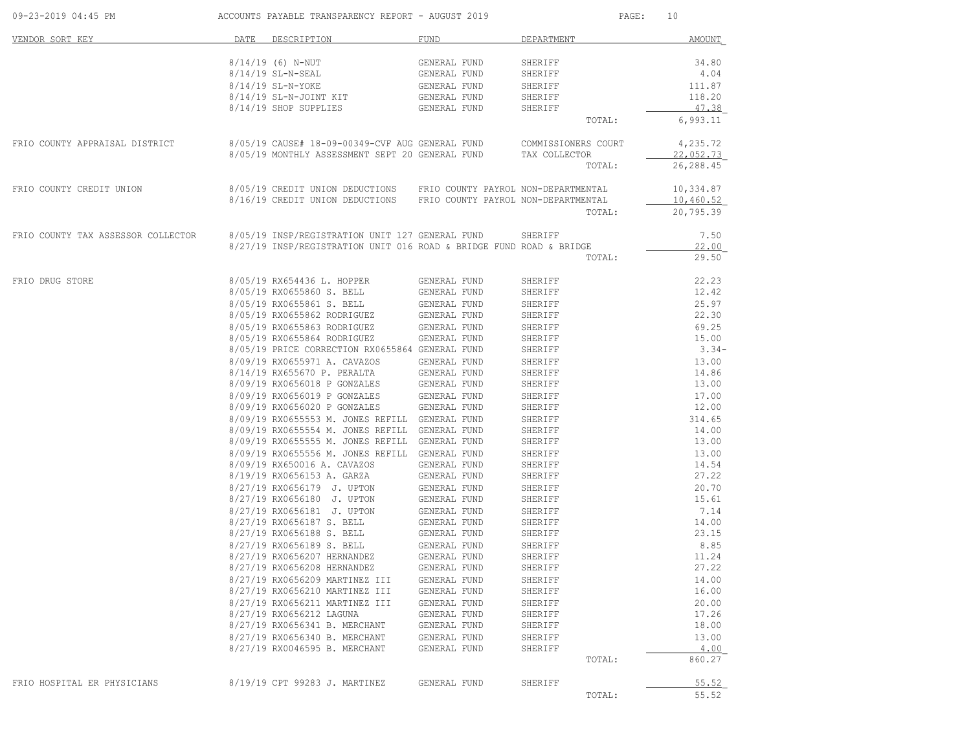| 09-23-2019 04:45 PM                |      | ACCOUNTS PAYABLE TRANSPARENCY REPORT - AUGUST 2019                  |                              | $\mathtt{PAGE}$ :       | 10                     |
|------------------------------------|------|---------------------------------------------------------------------|------------------------------|-------------------------|------------------------|
| VENDOR SORT KEY                    | DATE | DESCRIPTION                                                         | FUND                         | DEPARTMENT              | AMOUNT                 |
|                                    |      | $8/14/19$ (6) N-NUT                                                 | GENERAL FUND                 | SHERIFF                 | 34.80                  |
|                                    |      | 8/14/19 SL-N-SEAL                                                   | GENERAL FUND                 | SHERIFF                 | 4.04                   |
|                                    |      | 8/14/19 SL-N-YOKE                                                   | GENERAL FUND                 | SHERIFF                 | 111.87                 |
|                                    |      | 8/14/19 SL-N-JOINT KIT                                              | GENERAL FUND                 | SHERIFF                 | 118.20                 |
|                                    |      | 8/14/19 SHOP SUPPLIES                                               | GENERAL FUND                 | SHERIFF                 | 47.38                  |
|                                    |      |                                                                     |                              | TOTAL:                  | 6,993.11               |
| FRIO COUNTY APPRAISAL DISTRICT     |      | 8/05/19 CAUSE# 18-09-00349-CVF AUG GENERAL FUND COMMISSIONERS COURT |                              |                         | 4,235.72               |
|                                    |      | 8/05/19 MONTHLY ASSESSMENT SEPT 20 GENERAL FUND                     |                              | TAX COLLECTOR<br>TOTAL: | 22,052.73<br>26,288.45 |
|                                    |      |                                                                     |                              |                         |                        |
| FRIO COUNTY CREDIT UNION           |      | 8/05/19 CREDIT UNION DEDUCTIONS FRIO COUNTY PAYROL NON-DEPARTMENTAL |                              |                         | 10,334.87              |
|                                    |      | 8/16/19 CREDIT UNION DEDUCTIONS FRIO COUNTY PAYROL NON-DEPARTMENTAL |                              |                         | 10,460.52              |
|                                    |      |                                                                     |                              | TOTAL:                  | 20,795.39              |
| FRIO COUNTY TAX ASSESSOR COLLECTOR |      | 8/05/19 INSP/REGISTRATION UNIT 127 GENERAL FUND                     |                              | SHERIFF                 | 7.50                   |
|                                    |      | 8/27/19 INSP/REGISTRATION UNIT 016 ROAD & BRIDGE FUND ROAD & BRIDGE |                              | TOTAL:                  | 22.00<br>29.50         |
|                                    |      |                                                                     |                              |                         |                        |
| FRIO DRUG STORE                    |      | 8/05/19 RX654436 L. HOPPER                                          | GENERAL FUND                 | SHERIFF                 | 22.23                  |
|                                    |      | 8/05/19 RX0655860 S. BELL                                           | GENERAL FUND                 | SHERIFF                 | 12.42                  |
|                                    |      | 8/05/19 RX0655861 S. BELL                                           | GENERAL FUND                 | SHERIFF                 | 25.97                  |
|                                    |      | 8/05/19 RX0655862 RODRIGUEZ                                         | GENERAL FUND                 | SHERIFF                 | 22.30                  |
|                                    |      | 8/05/19 RX0655863 RODRIGUEZ                                         | GENERAL FUND                 | SHERIFF                 | 69.25                  |
|                                    |      | 8/05/19 RX0655864 RODRIGUEZ                                         | GENERAL FUND                 | SHERIFF                 | 15.00                  |
|                                    |      | 8/05/19 PRICE CORRECTION RX0655864 GENERAL FUND                     |                              | SHERIFF                 | $3.34-$                |
|                                    |      | 8/09/19 RX0655971 A. CAVAZOS                                        | GENERAL FUND                 | SHERIFF                 | 13.00                  |
|                                    |      | 8/14/19 RX655670 P. PERALTA                                         | GENERAL FUND                 | SHERIFF                 | 14.86                  |
|                                    |      | 8/09/19 RX0656018 P GONZALES                                        | GENERAL FUND                 | SHERIFF                 | 13.00                  |
|                                    |      | 8/09/19 RX0656019 P GONZALES<br>8/09/19 RX0656020 P GONZALES        | GENERAL FUND<br>GENERAL FUND | SHERIFF<br>SHERIFF      | 17.00<br>12.00         |
|                                    |      | 8/09/19 RX0655553 M. JONES REFILL GENERAL FUND                      |                              | SHERIFF                 | 314.65                 |
|                                    |      | 8/09/19 RX0655554 M. JONES REFILL GENERAL FUND                      |                              | SHERIFF                 | 14.00                  |
|                                    |      | 8/09/19 RX0655555 M. JONES REFILL GENERAL FUND                      |                              | SHERIFF                 | 13.00                  |
|                                    |      | 8/09/19 RX0655556 M. JONES REFILL GENERAL FUND                      |                              | SHERIFF                 | 13.00                  |
|                                    |      | 8/09/19 RX650016 A. CAVAZOS                                         | GENERAL FUND                 | SHERIFF                 | 14.54                  |
|                                    |      | 8/19/19 RX0656153 A. GARZA                                          | GENERAL FUND                 | SHERIFF                 | 27.22                  |
|                                    |      | 8/27/19 RX0656179 J. UPTON                                          | GENERAL FUND                 | SHERIFF                 | 20.70                  |
|                                    |      | 8/27/19 RX0656180 J. UPTON                                          | GENERAL FUND                 | SHERIFF                 | 15.61                  |
|                                    |      | 8/27/19 RX0656181 J. UPTON                                          | GENERAL FUND                 | SHERIFF                 | 7.14                   |
|                                    |      | 8/27/19 RX0656187 S. BELL                                           | GENERAL FUND                 | SHERIFF                 | 14.00                  |
|                                    |      | 8/27/19 RX0656188 S. BELL                                           | GENERAL FUND                 | SHERIFF                 | 23.15                  |
|                                    |      | 8/27/19 RX0656189 S. BELL<br>8/27/19 RX0656207 HERNANDEZ            | GENERAL FUND<br>GENERAL FUND | SHERIFF<br>SHERIFF      | 8.85<br>11.24          |
|                                    |      | 8/27/19 RX0656208 HERNANDEZ                                         | GENERAL FUND                 | SHERIFF                 | 27.22                  |
|                                    |      | 8/27/19 RX0656209 MARTINEZ III                                      | GENERAL FUND                 | SHERIFF                 | 14.00                  |
|                                    |      | 8/27/19 RX0656210 MARTINEZ III                                      | GENERAL FUND                 | SHERIFF                 | 16.00                  |
|                                    |      | 8/27/19 RX0656211 MARTINEZ III                                      | GENERAL FUND                 | SHERIFF                 | 20.00                  |
|                                    |      | 8/27/19 RX0656212 LAGUNA                                            | GENERAL FUND                 | SHERIFF                 | 17.26                  |
|                                    |      | 8/27/19 RX0656341 B. MERCHANT                                       | GENERAL FUND                 | SHERIFF                 | 18.00                  |
|                                    |      | 8/27/19 RX0656340 B. MERCHANT                                       | GENERAL FUND                 | SHERIFF                 | 13.00                  |
|                                    |      | 8/27/19 RX0046595 B. MERCHANT                                       | GENERAL FUND                 | SHERIFF                 | 4.00                   |
|                                    |      |                                                                     |                              | TOTAL:                  | 860.27                 |
| FRIO HOSPITAL ER PHYSICIANS        |      | 8/19/19 CPT 99283 J. MARTINEZ                                       | GENERAL FUND                 | SHERIFF                 | 55.52                  |
|                                    |      |                                                                     |                              | TOTAL:                  | 55.52                  |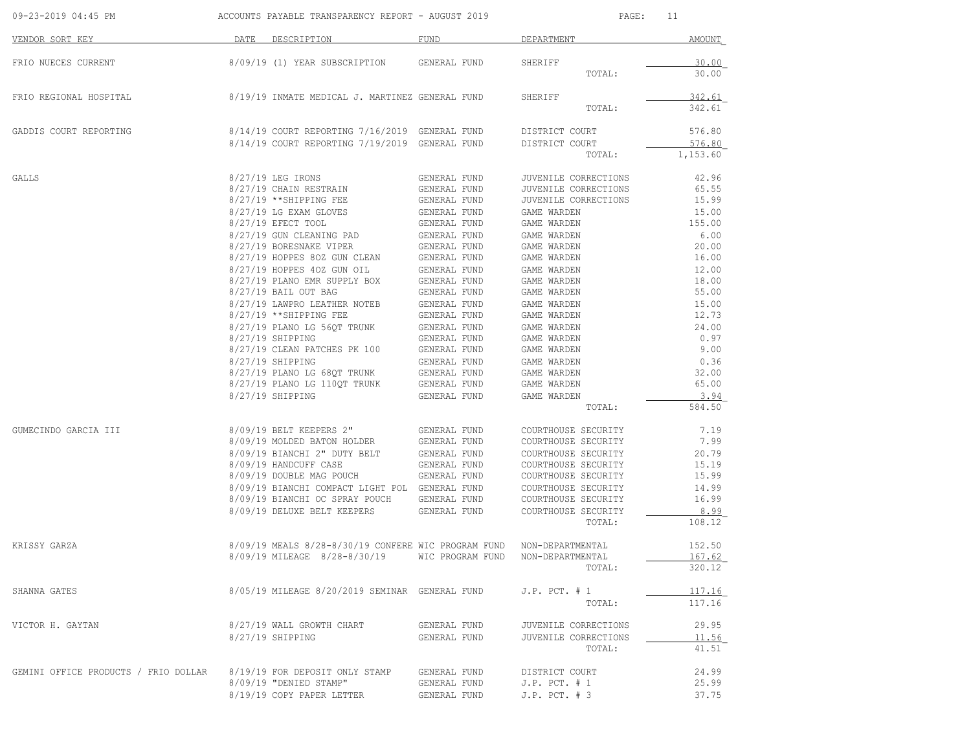| 09-23-2019 04:45 PM                  | ACCOUNTS PAYABLE TRANSPARENCY REPORT - AUGUST 2019 |                                                                                                                                                                                               |                                              | PAGE:                                      | 11             |
|--------------------------------------|----------------------------------------------------|-----------------------------------------------------------------------------------------------------------------------------------------------------------------------------------------------|----------------------------------------------|--------------------------------------------|----------------|
| VENDOR SORT KEY                      |                                                    | DATE DESCRIPTION                                                                                                                                                                              | FUND                                         | DEPARTMENT                                 | AMOUNT         |
| FRIO NUECES CURRENT                  |                                                    | 8/09/19 (1) YEAR SUBSCRIPTION      GENERAL FUND                                                                                                                                               |                                              | SHERIFF                                    | 30.00          |
|                                      |                                                    |                                                                                                                                                                                               |                                              | TOTAL:                                     | 30.00          |
| FRIO REGIONAL HOSPITAL               |                                                    | 8/19/19 INMATE MEDICAL J. MARTINEZ GENERAL FUND                                                                                                                                               |                                              | SHERIFF                                    | 342.61         |
|                                      |                                                    |                                                                                                                                                                                               |                                              | TOTAL:                                     | 342.61         |
| GADDIS COURT REPORTING               |                                                    | 8/14/19 COURT REPORTING 7/16/2019 GENERAL FUND                                                                                                                                                |                                              | DISTRICT COURT                             | 576.80         |
|                                      |                                                    | 8/14/19 COURT REPORTING 7/19/2019 GENERAL FUND                                                                                                                                                |                                              | DISTRICT COURT                             | 576.80         |
|                                      |                                                    |                                                                                                                                                                                               |                                              | TOTAL:                                     | 1,153.60       |
| GALLS                                |                                                    | 8/27/19 LEG IRONS                                                                                                                                                                             | GENERAL FUND                                 | JUVENILE CORRECTIONS                       | 42.96          |
|                                      |                                                    | 8/27/19 CHAIN RESTRAIN                                                                                                                                                                        | GENERAL FUND                                 | JUVENILE CORRECTIONS                       | 65.55          |
|                                      |                                                    | 8/27/19 **SHIPPING FEE                                                                                                                                                                        | GENERAL FUND                                 | JUVENILE CORRECTIONS                       | 15.99          |
|                                      |                                                    | 8/27/19 LG EXAM GLOVES                                                                                                                                                                        | GENERAL FUND                                 | GAME WARDEN                                | 15.00          |
|                                      |                                                    | 8/27/19 EFECT TOOL                                                                                                                                                                            | GENERAL FUND                                 | GAME WARDEN                                | 155.00         |
|                                      |                                                    | 8/27/19 GUN CLEANING PAD                                                                                                                                                                      | GENERAL FUND                                 | GAME WARDEN                                | 6.00           |
|                                      |                                                    | 8/27/19 BORESNAKE VIPER                                                                                                                                                                       | GENERAL FUND                                 | GAME WARDEN                                | 20.00          |
|                                      |                                                    | $\begin{tabular}{lllllllllllll} 8/27/19 & \text{HOPPES} & 802 & \text{GUN CLEAN} & \text{GENERAL FUND} \\ 8/27/19 & \text{HOPPES} & 402 & \text{GUN OIL} & \text{GENERAL FUND} \end{tabular}$ |                                              | GAME WARDEN                                | 16.00          |
|                                      |                                                    |                                                                                                                                                                                               |                                              | GAME WARDEN                                | 12.00          |
|                                      |                                                    | $8/27/19$ PLANO EMR SUPPLY BOX GENERAL FUND                                                                                                                                                   |                                              | GAME WARDEN                                | 18.00          |
|                                      |                                                    | 8/27/19 BAIL OUT BAG                                                                                                                                                                          | GENERAL FUND                                 | GAME WARDEN                                | 55.00          |
|                                      |                                                    | 8/27/19 LAWPRO LEATHER NOTEB                                                                                                                                                                  | GENERAL FUND                                 | GAME WARDEN                                | 15.00          |
|                                      |                                                    | 8/27/19 ** SHIPPING FEE                                                                                                                                                                       | GENERAL FUND                                 | GAME WARDEN                                | 12.73          |
|                                      |                                                    | 8/27/19 PLANO LG 560T TRUNK                                                                                                                                                                   | GENERAL FOND<br>GENERAL FUND<br>GENERAL FUND | GAME WARDEN                                | 24.00          |
|                                      |                                                    | 8/27/19 SHIPPING                                                                                                                                                                              |                                              | GAME WARDEN                                | 0.97           |
|                                      |                                                    | 8/27/19 CLEAN PATCHES PK 100                                                                                                                                                                  |                                              | GAME WARDEN                                | 9.00           |
|                                      |                                                    | $\begin{tabular}{lllllllllll} 8/27/19 & SHIPPING & & GENERAL FUND \\ 8/27/19 & PLANO LG & 68QT TRUNK & GENERAL FUND \\ 8/27/19 & PLANO LG & 110QT TRUNK & GENERAL FUND \end{tabular}$         |                                              | GAME WARDEN                                | 0.36           |
|                                      |                                                    |                                                                                                                                                                                               |                                              | GAME WARDEN                                | 32.00          |
|                                      |                                                    |                                                                                                                                                                                               |                                              | GAME WARDEN                                | 65.00          |
|                                      |                                                    | 8/27/19 SHIPPING                                                                                                                                                                              | GENERAL FUND                                 | GAME WARDEN<br>TOTAL:                      | 3.94<br>584.50 |
|                                      |                                                    |                                                                                                                                                                                               |                                              |                                            |                |
| GUMECINDO GARCIA III                 |                                                    | 8/09/19 BELT KEEPERS 2"                                                                                                                                                                       | GENERAL FUND                                 | COURTHOUSE SECURITY                        | 7.19           |
|                                      |                                                    | 8/09/19 MOLDED BATON HOLDER GENERAL FUND                                                                                                                                                      |                                              | COURTHOUSE SECURITY                        | 7.99           |
|                                      |                                                    | 8/09/19 BIANCHI 2" DUTY BELT                                                                                                                                                                  | GENERAL FUND                                 | COURTHOUSE SECURITY                        | 20.79          |
|                                      |                                                    | 8/09/19 HANDCUFF CASE                                                                                                                                                                         | GENERAL FUND                                 | COURTHOUSE SECURITY                        | 15.19          |
|                                      |                                                    | 8/09/19 DOUBLE MAG POUCH                                                                                                                                                                      | GENERAL FUND                                 | COURTHOUSE SECURITY                        | 15.99          |
|                                      |                                                    | 8/09/19 BIANCHI COMPACT LIGHT POL GENERAL FUND<br>8/09/19 BIANCHI OC SPRAY POUCH GENERAL FUND                                                                                                 |                                              | COURTHOUSE SECURITY<br>COURTHOUSE SECURITY | 14.99<br>16.99 |
|                                      |                                                    | 8/09/19 DELUXE BELT KEEPERS GENERAL FUND                                                                                                                                                      |                                              | COURTHOUSE SECURITY                        | 8.99           |
|                                      |                                                    |                                                                                                                                                                                               |                                              | TOTAL:                                     | 108.12         |
| KRISSY GARZA                         |                                                    | 8/09/19 MEALS 8/28-8/30/19 CONFERE WIC PROGRAM FUND NON-DEPARTMENTAL                                                                                                                          |                                              |                                            | 152.50         |
|                                      |                                                    | 8/09/19 MILEAGE 8/28-8/30/19                                                                                                                                                                  |                                              | WIC PROGRAM FUND NON-DEPARTMENTAL          | 167.62         |
|                                      |                                                    |                                                                                                                                                                                               |                                              | TOTAL:                                     | 320.12         |
| SHANNA GATES                         |                                                    | 8/05/19 MILEAGE 8/20/2019 SEMINAR GENERAL FUND                                                                                                                                                |                                              | J.P. $PCT. # 1$                            | 117.16         |
|                                      |                                                    |                                                                                                                                                                                               |                                              | TOTAL:                                     | 117.16         |
| VICTOR H. GAYTAN                     |                                                    | 8/27/19 WALL GROWTH CHART                                                                                                                                                                     | GENERAL FUND                                 | JUVENILE CORRECTIONS                       | 29.95          |
|                                      |                                                    | 8/27/19 SHIPPING                                                                                                                                                                              | GENERAL FUND                                 | JUVENILE CORRECTIONS                       | 11.56          |
|                                      |                                                    |                                                                                                                                                                                               |                                              | TOTAL:                                     | 41.51          |
| GEMINI OFFICE PRODUCTS / FRIO DOLLAR |                                                    | 8/19/19 FOR DEPOSIT ONLY STAMP                                                                                                                                                                | GENERAL FUND                                 | DISTRICT COURT                             | 24.99          |
|                                      |                                                    | 8/09/19 "DENIED STAMP"                                                                                                                                                                        | GENERAL FUND                                 | $J.P.$ PCT. $# 1$                          | 25.99          |
|                                      |                                                    | 8/19/19 COPY PAPER LETTER                                                                                                                                                                     | GENERAL FUND                                 | $J.P.$ PCT. $# 3$                          | 37.75          |
|                                      |                                                    |                                                                                                                                                                                               |                                              |                                            |                |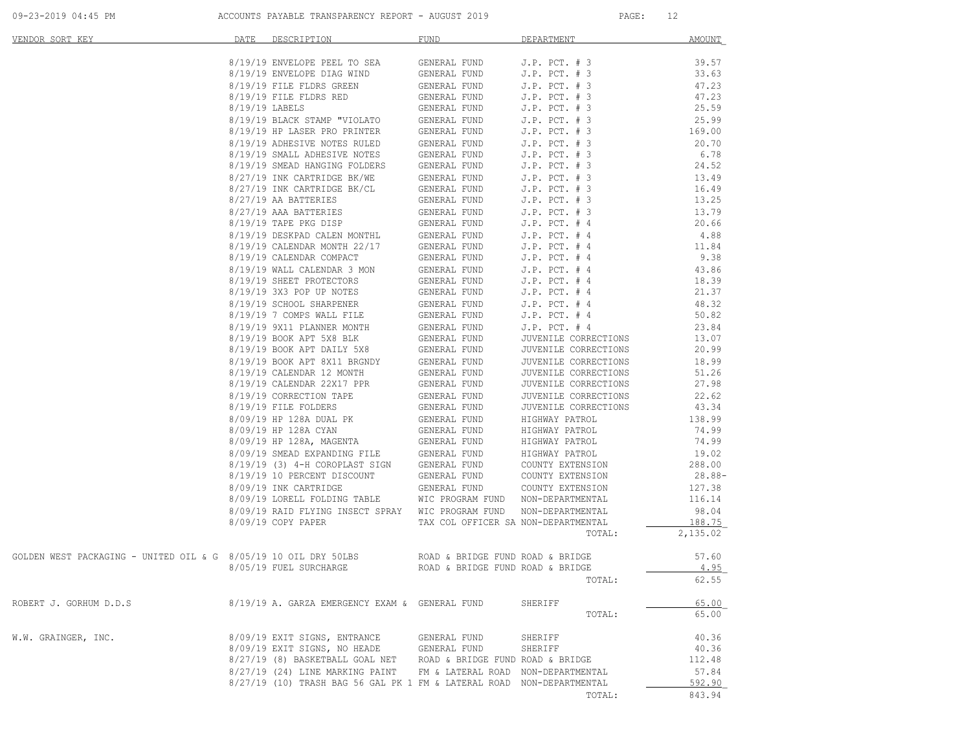09-23-2019 04:45 PM ACCOUNTS PAYABLE TRANSPARENCY REPORT - AUGUST 2019 PAGE: 12

| VENDOR SORT KEY                                                                                  | DATE DESCRIPTION                                                                                                                                                                                                                                                                                                                                      | <b>FUND</b>                         | DEPARTMENT           | <b>AMOUNT</b> |
|--------------------------------------------------------------------------------------------------|-------------------------------------------------------------------------------------------------------------------------------------------------------------------------------------------------------------------------------------------------------------------------------------------------------------------------------------------------------|-------------------------------------|----------------------|---------------|
|                                                                                                  | 8/19/19 ENVELOPE PEEL TO SEA GENERAL FUND J.P. PCT. # 3                                                                                                                                                                                                                                                                                               |                                     |                      | 39.57         |
|                                                                                                  |                                                                                                                                                                                                                                                                                                                                                       |                                     |                      | 33.63         |
|                                                                                                  | 8/19/19 ENVELOPE DIAG WIND GENERAL FUND J.P. PCT. # 3<br>8/19/19 FILE FLDRS GREEN GENERAL FUND J.P. PCT. # 3<br>9/19/19 ENERG DHAW WHO CENERAL FUND J.P. PCT. # 3<br>8/19/19 FILE FLDRS GREEN GENERAL FUND J.P. PCT. # 3<br>8/19/19 FILE FLDRS GREEN GENERAL FUND J.P. PCT. # 3<br>8/19/19 BLACK STAMP "VIOLATO GENERAL FUND J.P. PCT. # 3<br>8/19/19 |                                     |                      | 47.23         |
|                                                                                                  |                                                                                                                                                                                                                                                                                                                                                       |                                     |                      | 47.23         |
|                                                                                                  |                                                                                                                                                                                                                                                                                                                                                       |                                     |                      | 25.59         |
|                                                                                                  |                                                                                                                                                                                                                                                                                                                                                       |                                     |                      | 25.99         |
|                                                                                                  |                                                                                                                                                                                                                                                                                                                                                       |                                     |                      | 169.00        |
|                                                                                                  |                                                                                                                                                                                                                                                                                                                                                       |                                     |                      | 20.70         |
|                                                                                                  |                                                                                                                                                                                                                                                                                                                                                       |                                     |                      | 6.78          |
|                                                                                                  |                                                                                                                                                                                                                                                                                                                                                       |                                     |                      | 24.52         |
|                                                                                                  |                                                                                                                                                                                                                                                                                                                                                       |                                     |                      | 13.49         |
|                                                                                                  |                                                                                                                                                                                                                                                                                                                                                       |                                     |                      | 16.49         |
|                                                                                                  |                                                                                                                                                                                                                                                                                                                                                       |                                     |                      | 13.25         |
|                                                                                                  |                                                                                                                                                                                                                                                                                                                                                       |                                     |                      | 13.79         |
|                                                                                                  |                                                                                                                                                                                                                                                                                                                                                       |                                     |                      | 20.66         |
|                                                                                                  |                                                                                                                                                                                                                                                                                                                                                       |                                     |                      | 4.88          |
|                                                                                                  |                                                                                                                                                                                                                                                                                                                                                       |                                     |                      | 11.84         |
|                                                                                                  |                                                                                                                                                                                                                                                                                                                                                       |                                     |                      | 9.38          |
|                                                                                                  |                                                                                                                                                                                                                                                                                                                                                       |                                     |                      | 43.86         |
|                                                                                                  |                                                                                                                                                                                                                                                                                                                                                       |                                     |                      | 18.39         |
|                                                                                                  |                                                                                                                                                                                                                                                                                                                                                       |                                     |                      | 21.37         |
|                                                                                                  |                                                                                                                                                                                                                                                                                                                                                       |                                     |                      | 48.32         |
|                                                                                                  |                                                                                                                                                                                                                                                                                                                                                       |                                     |                      | 50.82         |
|                                                                                                  |                                                                                                                                                                                                                                                                                                                                                       |                                     |                      | 23.84         |
|                                                                                                  |                                                                                                                                                                                                                                                                                                                                                       |                                     | JUVENILE CORRECTIONS | 13.07         |
|                                                                                                  |                                                                                                                                                                                                                                                                                                                                                       |                                     | JUVENILE CORRECTIONS | 20.99         |
|                                                                                                  | 8/19/19 BOOK AFT BALLI JAC GENERAL FOND<br>8/19/19 CALENDAR 12 MONTH GENERAL FUND<br>8/19/19 CALENDAR 22X17 PPR GENERAL FUND<br>8/19/19 CORRECTION TAPE GENERAL FUND<br>8/19/19 FILE FOLDERS GENERAL FUND                                                                                                                                             |                                     | JUVENILE CORRECTIONS | 18.99         |
|                                                                                                  |                                                                                                                                                                                                                                                                                                                                                       |                                     | JUVENILE CORRECTIONS | 51.26         |
|                                                                                                  |                                                                                                                                                                                                                                                                                                                                                       |                                     | JUVENILE CORRECTIONS | 27.98         |
|                                                                                                  |                                                                                                                                                                                                                                                                                                                                                       |                                     | JUVENILE CORRECTIONS | 22.62         |
|                                                                                                  |                                                                                                                                                                                                                                                                                                                                                       |                                     | JUVENILE CORRECTIONS | 43.34         |
|                                                                                                  | 8/09/19 HP 128A DUAL PK                                                                                                                                                                                                                                                                                                                               |                                     | HIGHWAY PATROL       | 138.99        |
|                                                                                                  | 8/09/19 HP 128A CYAN                                                                                                                                                                                                                                                                                                                                  | GENERAL FUND<br>GENERAL FUND        | HIGHWAY PATROL       | 74.99         |
|                                                                                                  | 8/09/19 HP 128A, MAGENTA GENERAL FUND HIGHWAY PATROL<br>8/09/19 SMEAD EXPANDING FILE GENERAL FUND HIGHWAY PATROL<br>8/19/19 (3) 4-H COROPLAST SIGN GENERAL FUND COUNTY EXTENSION                                                                                                                                                                      |                                     |                      | 74.99         |
|                                                                                                  |                                                                                                                                                                                                                                                                                                                                                       |                                     |                      | 19.02         |
|                                                                                                  |                                                                                                                                                                                                                                                                                                                                                       |                                     |                      | 288.00        |
|                                                                                                  |                                                                                                                                                                                                                                                                                                                                                       |                                     |                      | 28.88-        |
|                                                                                                  | 8/19/19 10 PERCENT DISCOUNT GENERAL FUND COUNTY EXTENSION<br>8/09/19 INK CARTRIDGE GENERAL FUND COUNTY EXTENSION<br>8/09/19 LORELL FOLDING TABLE WIC PROGRAM FUND NON-DEPARTMENTAL                                                                                                                                                                    |                                     |                      | 127.38        |
|                                                                                                  |                                                                                                                                                                                                                                                                                                                                                       |                                     |                      | 116.14        |
|                                                                                                  | 8/09/19 RAID FLYING INSECT SPRAY WIC PROGRAM FUND NON-DEPARTMENTAL                                                                                                                                                                                                                                                                                    |                                     |                      | 98.04         |
|                                                                                                  | 8/09/19 COPY PAPER                                                                                                                                                                                                                                                                                                                                    | TAX COL OFFICER SA NON-DEPARTMENTAL |                      | 188.75        |
|                                                                                                  |                                                                                                                                                                                                                                                                                                                                                       |                                     | TOTAL:               | 2,135.02      |
| GOLDEN WEST PACKAGING - UNITED OIL & G 8/05/19 10 OIL DRY 50LBS ROAD & BRIDGE FUND ROAD & BRIDGE |                                                                                                                                                                                                                                                                                                                                                       |                                     |                      | 57.60         |
|                                                                                                  | $8/05/19$ FUEL SURCHARGE ROAD & BRIDGE FUND ROAD & BRIDGE                                                                                                                                                                                                                                                                                             |                                     |                      | 4.95          |
|                                                                                                  |                                                                                                                                                                                                                                                                                                                                                       |                                     | TOTAL:               | 62.55         |
|                                                                                                  |                                                                                                                                                                                                                                                                                                                                                       |                                     |                      |               |
| ROBERT J. GORHUM D.D.S                                                                           | 8/19/19 A. GARZA EMERGENCY EXAM & GENERAL FUND                                                                                                                                                                                                                                                                                                        |                                     | SHERIFF              | 65.00         |
|                                                                                                  |                                                                                                                                                                                                                                                                                                                                                       |                                     | TOTAL:               | 65.00         |
| W.W. GRAINGER, INC.                                                                              | 8/09/19 EXIT SIGNS, ENTRANCE                                                                                                                                                                                                                                                                                                                          | GENERAL FUND                        | SHERIFF              | 40.36         |
|                                                                                                  | 8/09/19 EXIT SIGNS, NO HEADE GENERAL FUND                                                                                                                                                                                                                                                                                                             |                                     | SHERIFF              | 40.36         |
|                                                                                                  | 8/27/19 (8) BASKETBALL GOAL NET ROAD & BRIDGE FUND ROAD & BRIDGE                                                                                                                                                                                                                                                                                      |                                     |                      | 112.48        |
|                                                                                                  | 8/27/19 (24) LINE MARKING PAINT FM & LATERAL ROAD NON-DEPARTMENTAL                                                                                                                                                                                                                                                                                    |                                     |                      | 57.84         |
|                                                                                                  | 8/27/19 (10) TRASH BAG 56 GAL PK 1 FM & LATERAL ROAD NON-DEPARTMENTAL                                                                                                                                                                                                                                                                                 |                                     |                      | 592.90        |
|                                                                                                  |                                                                                                                                                                                                                                                                                                                                                       |                                     | TOTAL:               | 843.94        |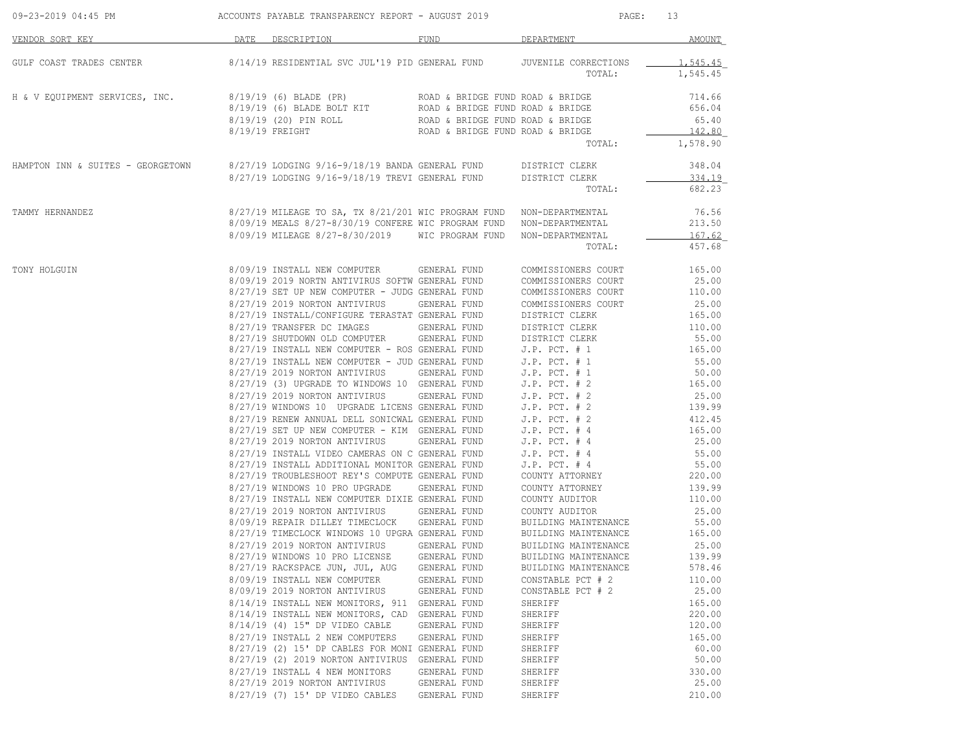| DATE DESCRIPTION<br>DEPARTMENT<br>VENDOR SORT KEY<br>FUND<br>8/14/19 RESIDENTIAL SVC JUL'19 PID GENERAL FUND   JUVENILE CORRECTIONS<br>GULF COAST TRADES CENTER<br>TOTAL:<br>H & V EQUIPMENT SERVICES, INC.<br>8/19/19 (6) BLADE (PR)<br>ROAD & BRIDGE FUND ROAD & BRIDGE<br>8/19/19 (6) BLADE BOLT KIT ROAD & BRIDGE FUND ROAD & BRIDGE<br>8/19/19 (20) PIN ROLL<br>ROAD & BRIDGE FUND ROAD & BRIDGE<br>8/19/19 FREIGHT<br>ROAD & BRIDGE FUND ROAD & BRIDGE<br>TOTAL:<br>HAMPTON INN & SUITES - GEORGETOWN 8/27/19 LODGING 9/16-9/18/19 BANDA GENERAL FUND DISTRICT CLERK<br>8/27/19 LODGING 9/16-9/18/19 TREVI GENERAL FUND DISTRICT CLERK<br>TOTAL:<br>8/27/19 MILEAGE TO SA, TX 8/21/201 WIC PROGRAM FUND NON-DEPARTMENTAL<br>TAMMY HERNANDEZ<br>8/09/19 MEALS 8/27-8/30/19 CONFERE WIC PROGRAM FUND NON-DEPARTMENTAL<br>8/09/19 MILEAGE 8/27-8/30/2019 WIC PROGRAM FUND NON-DEPARTMENTAL<br>TOTAL:<br>8/09/19 INSTALL NEW COMPUTER GENERAL FUND<br>COMMISSIONERS COURT<br>TONY HOLGUIN<br>8/09/19 2019 NORTN ANTIVIRUS SOFTW GENERAL FUND<br>COMMISSIONERS COURT<br>8/27/19 SET UP NEW COMPUTER - JUDG GENERAL FUND<br>COMMISSIONERS COURT<br>8/27/19 2019 NORTON ANTIVIRUS GENERAL FUND<br>COMMISSIONERS COURT<br>8/27/19 INSTALL/CONFIGURE TERASTAT GENERAL FUND<br>DISTRICT CLERK |                    |
|-------------------------------------------------------------------------------------------------------------------------------------------------------------------------------------------------------------------------------------------------------------------------------------------------------------------------------------------------------------------------------------------------------------------------------------------------------------------------------------------------------------------------------------------------------------------------------------------------------------------------------------------------------------------------------------------------------------------------------------------------------------------------------------------------------------------------------------------------------------------------------------------------------------------------------------------------------------------------------------------------------------------------------------------------------------------------------------------------------------------------------------------------------------------------------------------------------------------------------------------------------------------------------------------|--------------------|
|                                                                                                                                                                                                                                                                                                                                                                                                                                                                                                                                                                                                                                                                                                                                                                                                                                                                                                                                                                                                                                                                                                                                                                                                                                                                                           | AMOUNT             |
|                                                                                                                                                                                                                                                                                                                                                                                                                                                                                                                                                                                                                                                                                                                                                                                                                                                                                                                                                                                                                                                                                                                                                                                                                                                                                           | 1,545.45           |
|                                                                                                                                                                                                                                                                                                                                                                                                                                                                                                                                                                                                                                                                                                                                                                                                                                                                                                                                                                                                                                                                                                                                                                                                                                                                                           | 1,545.45           |
|                                                                                                                                                                                                                                                                                                                                                                                                                                                                                                                                                                                                                                                                                                                                                                                                                                                                                                                                                                                                                                                                                                                                                                                                                                                                                           | 714.66             |
|                                                                                                                                                                                                                                                                                                                                                                                                                                                                                                                                                                                                                                                                                                                                                                                                                                                                                                                                                                                                                                                                                                                                                                                                                                                                                           | 656.04             |
|                                                                                                                                                                                                                                                                                                                                                                                                                                                                                                                                                                                                                                                                                                                                                                                                                                                                                                                                                                                                                                                                                                                                                                                                                                                                                           | 65.40              |
|                                                                                                                                                                                                                                                                                                                                                                                                                                                                                                                                                                                                                                                                                                                                                                                                                                                                                                                                                                                                                                                                                                                                                                                                                                                                                           | 142.80<br>1,578.90 |
|                                                                                                                                                                                                                                                                                                                                                                                                                                                                                                                                                                                                                                                                                                                                                                                                                                                                                                                                                                                                                                                                                                                                                                                                                                                                                           |                    |
|                                                                                                                                                                                                                                                                                                                                                                                                                                                                                                                                                                                                                                                                                                                                                                                                                                                                                                                                                                                                                                                                                                                                                                                                                                                                                           | 348.04             |
|                                                                                                                                                                                                                                                                                                                                                                                                                                                                                                                                                                                                                                                                                                                                                                                                                                                                                                                                                                                                                                                                                                                                                                                                                                                                                           | 334.19             |
|                                                                                                                                                                                                                                                                                                                                                                                                                                                                                                                                                                                                                                                                                                                                                                                                                                                                                                                                                                                                                                                                                                                                                                                                                                                                                           | 682.23             |
|                                                                                                                                                                                                                                                                                                                                                                                                                                                                                                                                                                                                                                                                                                                                                                                                                                                                                                                                                                                                                                                                                                                                                                                                                                                                                           | 76.56              |
|                                                                                                                                                                                                                                                                                                                                                                                                                                                                                                                                                                                                                                                                                                                                                                                                                                                                                                                                                                                                                                                                                                                                                                                                                                                                                           | 213.50             |
|                                                                                                                                                                                                                                                                                                                                                                                                                                                                                                                                                                                                                                                                                                                                                                                                                                                                                                                                                                                                                                                                                                                                                                                                                                                                                           | 167.62             |
|                                                                                                                                                                                                                                                                                                                                                                                                                                                                                                                                                                                                                                                                                                                                                                                                                                                                                                                                                                                                                                                                                                                                                                                                                                                                                           | 457.68             |
|                                                                                                                                                                                                                                                                                                                                                                                                                                                                                                                                                                                                                                                                                                                                                                                                                                                                                                                                                                                                                                                                                                                                                                                                                                                                                           | 165.00             |
|                                                                                                                                                                                                                                                                                                                                                                                                                                                                                                                                                                                                                                                                                                                                                                                                                                                                                                                                                                                                                                                                                                                                                                                                                                                                                           | 25.00              |
|                                                                                                                                                                                                                                                                                                                                                                                                                                                                                                                                                                                                                                                                                                                                                                                                                                                                                                                                                                                                                                                                                                                                                                                                                                                                                           | 110.00             |
|                                                                                                                                                                                                                                                                                                                                                                                                                                                                                                                                                                                                                                                                                                                                                                                                                                                                                                                                                                                                                                                                                                                                                                                                                                                                                           | 25.00              |
|                                                                                                                                                                                                                                                                                                                                                                                                                                                                                                                                                                                                                                                                                                                                                                                                                                                                                                                                                                                                                                                                                                                                                                                                                                                                                           | 165.00             |
| DISTRICT CLERK                                                                                                                                                                                                                                                                                                                                                                                                                                                                                                                                                                                                                                                                                                                                                                                                                                                                                                                                                                                                                                                                                                                                                                                                                                                                            | 110.00             |
| $8/27/19 \mbox{ TRANSFER DC IMAGES} \mbox{GENERAL FUND}$ $8/27/19 \mbox{ SHUTDOWN OLD COMPUTER} \mbox{GENERAL FUND}$<br>DISTRICT CLERK                                                                                                                                                                                                                                                                                                                                                                                                                                                                                                                                                                                                                                                                                                                                                                                                                                                                                                                                                                                                                                                                                                                                                    | 55.00              |
| $8/27/19$ INSTALL NEW COMPUTER - ROS GENERAL FUND J.P. PCT. # 1                                                                                                                                                                                                                                                                                                                                                                                                                                                                                                                                                                                                                                                                                                                                                                                                                                                                                                                                                                                                                                                                                                                                                                                                                           | 165.00             |
|                                                                                                                                                                                                                                                                                                                                                                                                                                                                                                                                                                                                                                                                                                                                                                                                                                                                                                                                                                                                                                                                                                                                                                                                                                                                                           | 55.00              |
| 8/27/19 INSTALL NEW COMPUTER - JUD GENERAL FUND J.P. PCT. # 1<br>8/27/19 2019 NORTON ANTIVIRUS GENERAL FUND J.P. PCT. # 1                                                                                                                                                                                                                                                                                                                                                                                                                                                                                                                                                                                                                                                                                                                                                                                                                                                                                                                                                                                                                                                                                                                                                                 | 50.00              |
| 8/27/19 (3) UPGRADE TO WINDOWS 10 GENERAL FUND<br>$J.P.$ PCT. $# 2$                                                                                                                                                                                                                                                                                                                                                                                                                                                                                                                                                                                                                                                                                                                                                                                                                                                                                                                                                                                                                                                                                                                                                                                                                       | 165.00             |
| 8/27/19 2019 NORTON ANTIVIRUS GENERAL FUND J.P. PCT. # 2                                                                                                                                                                                                                                                                                                                                                                                                                                                                                                                                                                                                                                                                                                                                                                                                                                                                                                                                                                                                                                                                                                                                                                                                                                  | 25.00              |
| $8/27/19$ WINDOWS 10 UPGRADE LICENS GENERAL FUND J.P. PCT. # 2<br>$8/27/19$ RENEW ANNUAL DELL SONICWAL GENERAL FUND J.P. PCT. # 2                                                                                                                                                                                                                                                                                                                                                                                                                                                                                                                                                                                                                                                                                                                                                                                                                                                                                                                                                                                                                                                                                                                                                         | 139.99             |
|                                                                                                                                                                                                                                                                                                                                                                                                                                                                                                                                                                                                                                                                                                                                                                                                                                                                                                                                                                                                                                                                                                                                                                                                                                                                                           | 412.45             |
| 8/27/19 SET UP NEW COMPUTER - KIM GENERAL FUND J.P. PCT. # 4<br>8/27/19 2019 NORTON ANTIVIRUS GENERAL FUND J.P. PCT. # 4                                                                                                                                                                                                                                                                                                                                                                                                                                                                                                                                                                                                                                                                                                                                                                                                                                                                                                                                                                                                                                                                                                                                                                  | 165.00             |
|                                                                                                                                                                                                                                                                                                                                                                                                                                                                                                                                                                                                                                                                                                                                                                                                                                                                                                                                                                                                                                                                                                                                                                                                                                                                                           | 25.00              |
| 8/27/19 INSTALL VIDEO CAMERAS ON C GENERAL FUND<br>$J.P.$ PCT. # 4<br>8/27/19 INSTALL ADDITIONAL MONITOR GENERAL FUND<br>$J.P.$ PCT. $#4$                                                                                                                                                                                                                                                                                                                                                                                                                                                                                                                                                                                                                                                                                                                                                                                                                                                                                                                                                                                                                                                                                                                                                 | 55.00<br>55.00     |
| COUNTY ATTORNEY<br>8/27/19 TROUBLESHOOT REY'S COMPUTE GENERAL FUND                                                                                                                                                                                                                                                                                                                                                                                                                                                                                                                                                                                                                                                                                                                                                                                                                                                                                                                                                                                                                                                                                                                                                                                                                        | 220.00             |
| 8/27/19 WINDOWS 10 PRO UPGRADE<br>GENERAL FUND<br>COUNTY ATTORNEY                                                                                                                                                                                                                                                                                                                                                                                                                                                                                                                                                                                                                                                                                                                                                                                                                                                                                                                                                                                                                                                                                                                                                                                                                         | 139.99             |
| 8/27/19 INSTALL NEW COMPUTER DIXIE GENERAL FUND<br>COUNTY AUDITOR                                                                                                                                                                                                                                                                                                                                                                                                                                                                                                                                                                                                                                                                                                                                                                                                                                                                                                                                                                                                                                                                                                                                                                                                                         | 110.00             |
| COUNTY AUDITOR                                                                                                                                                                                                                                                                                                                                                                                                                                                                                                                                                                                                                                                                                                                                                                                                                                                                                                                                                                                                                                                                                                                                                                                                                                                                            | 25.00              |
| 8/27/19 2019 NORTON ANTIVIRUS GENERAL FUND<br>8/09/19 REPAIR DILLEY TIMECLOCK GENERAL FUND<br>BUILDING MAINTENANCE                                                                                                                                                                                                                                                                                                                                                                                                                                                                                                                                                                                                                                                                                                                                                                                                                                                                                                                                                                                                                                                                                                                                                                        | 55.00              |
| 8/27/19 TIMECLOCK WINDOWS 10 UPGRA GENERAL FUND<br>BUILDING MAINTENANCE                                                                                                                                                                                                                                                                                                                                                                                                                                                                                                                                                                                                                                                                                                                                                                                                                                                                                                                                                                                                                                                                                                                                                                                                                   | 165.00             |
| 8/27/19 2019 NORTON ANTIVIRUS GENERAL FUND<br>BUILDING MAINTENANCE                                                                                                                                                                                                                                                                                                                                                                                                                                                                                                                                                                                                                                                                                                                                                                                                                                                                                                                                                                                                                                                                                                                                                                                                                        | 25.00              |
| 8/27/19 WINDOWS 10 PRO LICENSE<br>GENERAL FUND<br>BUILDING MAINTENANCE                                                                                                                                                                                                                                                                                                                                                                                                                                                                                                                                                                                                                                                                                                                                                                                                                                                                                                                                                                                                                                                                                                                                                                                                                    | 139.99             |
| 8/27/19 RACKSPACE JUN, JUL, AUG<br>GENERAL FUND<br>BUILDING MAINTENANCE                                                                                                                                                                                                                                                                                                                                                                                                                                                                                                                                                                                                                                                                                                                                                                                                                                                                                                                                                                                                                                                                                                                                                                                                                   | 578.46             |
| 8/09/19 INSTALL NEW COMPUTER<br>CONSTABLE PCT # 2<br>GENERAL FUND                                                                                                                                                                                                                                                                                                                                                                                                                                                                                                                                                                                                                                                                                                                                                                                                                                                                                                                                                                                                                                                                                                                                                                                                                         | 110.00             |
| 8/09/19 2019 NORTON ANTIVIRUS<br>GENERAL FUND<br>CONSTABLE PCT # 2                                                                                                                                                                                                                                                                                                                                                                                                                                                                                                                                                                                                                                                                                                                                                                                                                                                                                                                                                                                                                                                                                                                                                                                                                        | 25.00              |
| 8/14/19 INSTALL NEW MONITORS, 911<br>GENERAL FUND<br>SHERIFF                                                                                                                                                                                                                                                                                                                                                                                                                                                                                                                                                                                                                                                                                                                                                                                                                                                                                                                                                                                                                                                                                                                                                                                                                              | 165.00             |
| 8/14/19 INSTALL NEW MONITORS, CAD<br>GENERAL FUND<br>SHERIFF                                                                                                                                                                                                                                                                                                                                                                                                                                                                                                                                                                                                                                                                                                                                                                                                                                                                                                                                                                                                                                                                                                                                                                                                                              | 220.00             |
| 8/14/19 (4) 15" DP VIDEO CABLE<br>GENERAL FUND<br>SHERIFF                                                                                                                                                                                                                                                                                                                                                                                                                                                                                                                                                                                                                                                                                                                                                                                                                                                                                                                                                                                                                                                                                                                                                                                                                                 | 120.00             |
| 8/27/19 INSTALL 2 NEW COMPUTERS<br>GENERAL FUND<br>SHERIFF                                                                                                                                                                                                                                                                                                                                                                                                                                                                                                                                                                                                                                                                                                                                                                                                                                                                                                                                                                                                                                                                                                                                                                                                                                | 165.00             |
| 8/27/19 (2) 15' DP CABLES FOR MONI GENERAL FUND<br>SHERIFF                                                                                                                                                                                                                                                                                                                                                                                                                                                                                                                                                                                                                                                                                                                                                                                                                                                                                                                                                                                                                                                                                                                                                                                                                                | 60.00              |
| 8/27/19 (2) 2019 NORTON ANTIVIRUS<br>GENERAL FUND<br>SHERIFF                                                                                                                                                                                                                                                                                                                                                                                                                                                                                                                                                                                                                                                                                                                                                                                                                                                                                                                                                                                                                                                                                                                                                                                                                              | 50.00              |
| 8/27/19 INSTALL 4 NEW MONITORS<br>GENERAL FUND<br>SHERIFF                                                                                                                                                                                                                                                                                                                                                                                                                                                                                                                                                                                                                                                                                                                                                                                                                                                                                                                                                                                                                                                                                                                                                                                                                                 | 330.00             |
| 8/27/19 2019 NORTON ANTIVIRUS<br>GENERAL FUND<br>SHERIFF                                                                                                                                                                                                                                                                                                                                                                                                                                                                                                                                                                                                                                                                                                                                                                                                                                                                                                                                                                                                                                                                                                                                                                                                                                  | 25.00              |
| 8/27/19 (7) 15' DP VIDEO CABLES<br>GENERAL FUND<br>SHERIFF                                                                                                                                                                                                                                                                                                                                                                                                                                                                                                                                                                                                                                                                                                                                                                                                                                                                                                                                                                                                                                                                                                                                                                                                                                | 210.00             |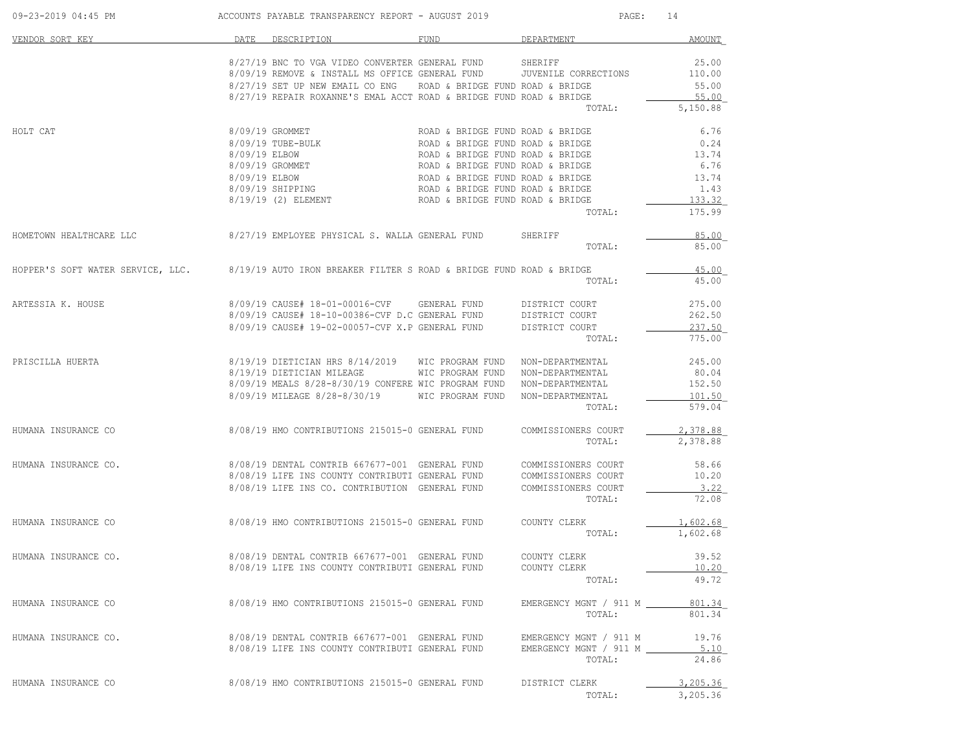| 09-23-2019 04:45 PM                                                                                   |               | ACCOUNTS PAYABLE TRANSPARENCY REPORT - AUGUST 2019                                                                                                                                                           |                                                                                                                                                                                                                                                          | PAGE:                                                                       | 14                                                                 |
|-------------------------------------------------------------------------------------------------------|---------------|--------------------------------------------------------------------------------------------------------------------------------------------------------------------------------------------------------------|----------------------------------------------------------------------------------------------------------------------------------------------------------------------------------------------------------------------------------------------------------|-----------------------------------------------------------------------------|--------------------------------------------------------------------|
| VENDOR SORT KEY                                                                                       | DATE          | DESCRIPTION                                                                                                                                                                                                  | FUND                                                                                                                                                                                                                                                     | DEPARTMENT                                                                  | AMOUNT                                                             |
|                                                                                                       |               | 8/27/19 BNC TO VGA VIDEO CONVERTER GENERAL FUND<br>8/09/19 REMOVE & INSTALL MS OFFICE GENERAL FUND<br>8/27/19 SET UP NEW EMAIL CO ENG<br>8/27/19 REPAIR ROXANNE'S EMAL ACCT ROAD & BRIDGE FUND ROAD & BRIDGE | ROAD & BRIDGE FUND ROAD & BRIDGE                                                                                                                                                                                                                         | SHERIFF<br>JUVENILE CORRECTIONS<br>TOTAL:                                   | 25.00<br>110.00<br>55.00<br>55.00<br>5,150.88                      |
| HOLT CAT                                                                                              | 8/09/19 ELBOW | 8/09/19 GROMMET<br>8/09/19 TUBE-BULK<br>8/09/19 GROMMET<br>8/09/19 ELBOW<br>8/09/19 SHIPPING<br>8/19/19 (2) ELEMENT                                                                                          | ROAD & BRIDGE FUND ROAD & BRIDGE<br>ROAD & BRIDGE FUND ROAD & BRIDGE<br>ROAD & BRIDGE FUND ROAD & BRIDGE<br>ROAD & BRIDGE FUND ROAD & BRIDGE<br>ROAD & BRIDGE FUND ROAD & BRIDGE<br>ROAD & BRIDGE FUND ROAD & BRIDGE<br>ROAD & BRIDGE FUND ROAD & BRIDGE | TOTAL:                                                                      | 6.76<br>0.24<br>13.74<br>6.76<br>13.74<br>1.43<br>133.32<br>175.99 |
| HOMETOWN HEALTHCARE LLC                                                                               |               | 8/27/19 EMPLOYEE PHYSICAL S. WALLA GENERAL FUND                                                                                                                                                              |                                                                                                                                                                                                                                                          | SHERIFF<br>TOTAL:                                                           | 85.00<br>85.00                                                     |
| HOPPER'S SOFT WATER SERVICE, LLC. 8/19/19 AUTO IRON BREAKER FILTER S ROAD & BRIDGE FUND ROAD & BRIDGE |               |                                                                                                                                                                                                              |                                                                                                                                                                                                                                                          | TOTAL:                                                                      | 45.00<br>45.00                                                     |
| ARTESSIA K. HOUSE                                                                                     |               | 8/09/19 CAUSE# 18-01-00016-CVF GENERAL FUND<br>8/09/19 CAUSE# 18-10-00386-CVF D.C GENERAL FUND<br>8/09/19 CAUSE# 19-02-00057-CVF X.P GENERAL FUND                                                            |                                                                                                                                                                                                                                                          | DISTRICT COURT<br>DISTRICT COURT<br>DISTRICT COURT<br>TOTAL:                | 275.00<br>262.50<br>237.50<br>775.00                               |
| PRISCILLA HUERTA                                                                                      |               | 8/19/19 DIETICIAN HRS 8/14/2019 WIC PROGRAM FUND NON-DEPARTMENTAL<br>8/19/19 DIETICIAN MILEAGE<br>8/09/19 MEALS 8/28-8/30/19 CONFERE WIC PROGRAM FUND<br>8/09/19 MILEAGE 8/28-8/30/19                        | WIC PROGRAM FUND<br>WIC PROGRAM FUND                                                                                                                                                                                                                     | NON-DEPARTMENTAL<br>NON-DEPARTMENTAL<br>NON-DEPARTMENTAL<br>TOTAL:          | 245.00<br>80.04<br>152.50<br>101.50<br>579.04                      |
| HUMANA INSURANCE CO                                                                                   |               | 8/08/19 HMO CONTRIBUTIONS 215015-0 GENERAL FUND                                                                                                                                                              |                                                                                                                                                                                                                                                          | COMMISSIONERS COURT<br>TOTAL:                                               | 2,378.88<br>2,378.88                                               |
| HUMANA INSURANCE CO.                                                                                  |               | 8/08/19 DENTAL CONTRIB 667677-001 GENERAL FUND<br>8/08/19 LIFE INS COUNTY CONTRIBUTI GENERAL FUND<br>8/08/19 LIFE INS CO. CONTRIBUTION GENERAL FUND                                                          |                                                                                                                                                                                                                                                          | COMMISSIONERS COURT<br>COMMISSIONERS COURT<br>COMMISSIONERS COURT<br>TOTAL: | 58.66<br>10.20<br>3.22<br>72.08                                    |
| HUMANA INSURANCE CO                                                                                   |               | 8/08/19 HMO CONTRIBUTIONS 215015-0 GENERAL FUND                                                                                                                                                              |                                                                                                                                                                                                                                                          | COUNTY CLERK<br>TOTAL:                                                      | 1,602.68<br>1,602.68                                               |
| HUMANA INSURANCE CO.                                                                                  |               | 8/08/19 DENTAL CONTRIB 667677-001 GENERAL FUND<br>8/08/19 LIFE INS COUNTY CONTRIBUTI GENERAL FUND                                                                                                            |                                                                                                                                                                                                                                                          | COUNTY CLERK<br>COUNTY CLERK<br>TOTAL:                                      | 39.52<br>10.20<br>49.72                                            |
| HUMANA INSURANCE CO                                                                                   |               | 8/08/19 HMO CONTRIBUTIONS 215015-0 GENERAL FUND                                                                                                                                                              |                                                                                                                                                                                                                                                          | EMERGENCY MGNT / 911 M _________ 801.34<br>TOTAL:                           | 801.34                                                             |
| HUMANA INSURANCE CO.                                                                                  |               | 8/08/19 DENTAL CONTRIB 667677-001 GENERAL FUND<br>8/08/19 LIFE INS COUNTY CONTRIBUTI GENERAL FUND                                                                                                            |                                                                                                                                                                                                                                                          | EMERGENCY MGNT / 911 M<br>EMERGENCY MGNT / 911 M ___________5.10<br>TOTAL:  | 19.76<br>24.86                                                     |
| HUMANA INSURANCE CO                                                                                   |               | 8/08/19 HMO CONTRIBUTIONS 215015-0 GENERAL FUND                                                                                                                                                              |                                                                                                                                                                                                                                                          | DISTRICT CLERK<br>TOTAL:                                                    | 3,205.36<br>3,205.36                                               |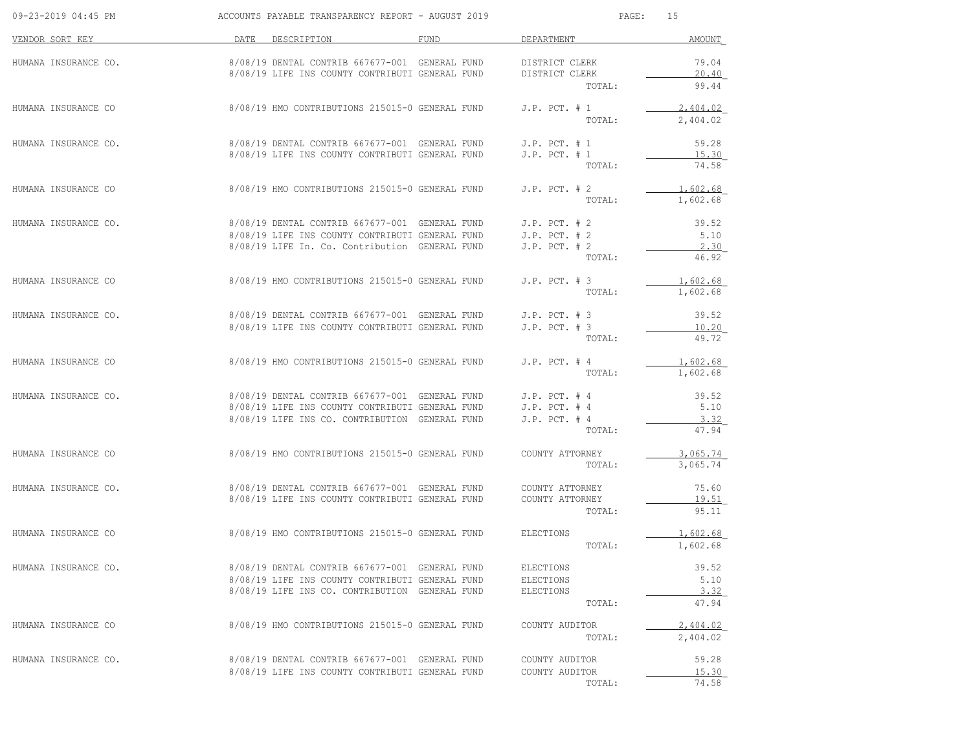| 09-23-2019 04:45 PM  | ACCOUNTS PAYABLE TRANSPARENCY REPORT - AUGUST 2019             |      | PAGE :            | 15       |
|----------------------|----------------------------------------------------------------|------|-------------------|----------|
| VENDOR SORT KEY      | DATE DESCRIPTION                                               | FUND | DEPARTMENT        | AMOUNT   |
| HUMANA INSURANCE CO. | 8/08/19 DENTAL CONTRIB 667677-001 GENERAL FUND                 |      | DISTRICT CLERK    | 79.04    |
|                      | 8/08/19 LIFE INS COUNTY CONTRIBUTI GENERAL FUND                |      | DISTRICT CLERK    | 20.40    |
|                      |                                                                |      | TOTAL:            | 99.44    |
| HUMANA INSURANCE CO  | 8/08/19 HMO CONTRIBUTIONS 215015-0 GENERAL FUND                |      | $J.P.$ PCT. $# 1$ | 2,404.02 |
|                      |                                                                |      | TOTAL:            | 2,404.02 |
| HUMANA INSURANCE CO. | 8/08/19 DENTAL CONTRIB 667677-001 GENERAL FUND                 |      | $J.P.$ PCT. $# 1$ | 59.28    |
|                      | 8/08/19 LIFE INS COUNTY CONTRIBUTI GENERAL FUND                |      | $J.P.$ PCT. $# 1$ | 15.30    |
|                      |                                                                |      | TOTAL:            | 74.58    |
| HUMANA INSURANCE CO  | 8/08/19 HMO CONTRIBUTIONS 215015-0 GENERAL FUND                |      | $J.P.$ PCT. $# 2$ | 1,602.68 |
|                      |                                                                |      | TOTAL:            | 1,602.68 |
| HUMANA INSURANCE CO. | 8/08/19 DENTAL CONTRIB 667677-001 GENERAL FUND                 |      | $J.P.$ PCT. $# 2$ | 39.52    |
|                      | 8/08/19 LIFE INS COUNTY CONTRIBUTI GENERAL FUND                |      | $J.P.$ PCT. $# 2$ | 5.10     |
|                      | 8/08/19 LIFE In. Co. Contribution GENERAL FUND                 |      | $J.P.$ PCT. $# 2$ | 2.30     |
|                      |                                                                |      | TOTAL:            | 46.92    |
| HUMANA INSURANCE CO  | 8/08/19 HMO CONTRIBUTIONS 215015-0 GENERAL FUND                |      | $J.P.$ PCT. $# 3$ | 1,602.68 |
|                      |                                                                |      | TOTAL:            | 1,602.68 |
| HUMANA INSURANCE CO. | $8/08/19$ DENTAL CONTRIB 667677-001 GENERAL FUND J.P. PCT. # 3 |      |                   | 39.52    |
|                      | 8/08/19 LIFE INS COUNTY CONTRIBUTI GENERAL FUND                |      | $J.P.$ PCT. $# 3$ | 10.20    |
|                      |                                                                |      | TOTAL:            | 49.72    |
| HUMANA INSURANCE CO  | 8/08/19 HMO CONTRIBUTIONS 215015-0 GENERAL FUND                |      | $J.P.$ PCT. $#$ 4 | 1,602.68 |
|                      |                                                                |      | TOTAL:            | 1,602.68 |
| HUMANA INSURANCE CO. | $8/08/19$ DENTAL CONTRIB 667677-001 GENERAL FUND J.P. PCT. # 4 |      |                   | 39.52    |
|                      | 8/08/19 LIFE INS COUNTY CONTRIBUTI GENERAL FUND                |      | $J.P.$ PCT. $#4$  | 5.10     |
|                      | 8/08/19 LIFE INS CO. CONTRIBUTION GENERAL FUND                 |      | $J.P.$ PCT. $#4$  | 3.32     |
|                      |                                                                |      | TOTAL:            | 47.94    |
| HUMANA INSURANCE CO  | 8/08/19 HMO CONTRIBUTIONS 215015-0 GENERAL FUND                |      | COUNTY ATTORNEY   | 3,065.74 |
|                      |                                                                |      | TOTAL:            | 3,065.74 |
| HUMANA INSURANCE CO. | 8/08/19 DENTAL CONTRIB 667677-001 GENERAL FUND                 |      | COUNTY ATTORNEY   | 75.60    |
|                      | 8/08/19 LIFE INS COUNTY CONTRIBUTI GENERAL FUND                |      | COUNTY ATTORNEY   | 19.51    |
|                      |                                                                |      | TOTAL:            | 95.11    |
| HUMANA INSURANCE CO  | 8/08/19 HMO CONTRIBUTIONS 215015-0 GENERAL FUND ELECTIONS      |      |                   | 1,602.68 |
|                      |                                                                |      | TOTAL:            | 1,602.68 |
| HUMANA INSURANCE CO. | 8/08/19 DENTAL CONTRIB 667677-001 GENERAL FUND                 |      | ELECTIONS         | 39.52    |
|                      | 8/08/19 LIFE INS COUNTY CONTRIBUTI GENERAL FUND                |      | ELECTIONS         | 5.10     |
|                      | 8/08/19 LIFE INS CO. CONTRIBUTION GENERAL FUND                 |      | ELECTIONS         | 3.32     |
|                      |                                                                |      | TOTAL:            | 47.94    |
| HUMANA INSURANCE CO  | 8/08/19 HMO CONTRIBUTIONS 215015-0 GENERAL FUND                |      | COUNTY AUDITOR    | 2,404.02 |
|                      |                                                                |      | TOTAL:            | 2,404.02 |
| HUMANA INSURANCE CO. | 8/08/19 DENTAL CONTRIB 667677-001 GENERAL FUND                 |      | COUNTY AUDITOR    | 59.28    |
|                      | 8/08/19 LIFE INS COUNTY CONTRIBUTI GENERAL FUND                |      | COUNTY AUDITOR    | 15.30    |
|                      |                                                                |      | TOTAL:            | 74.58    |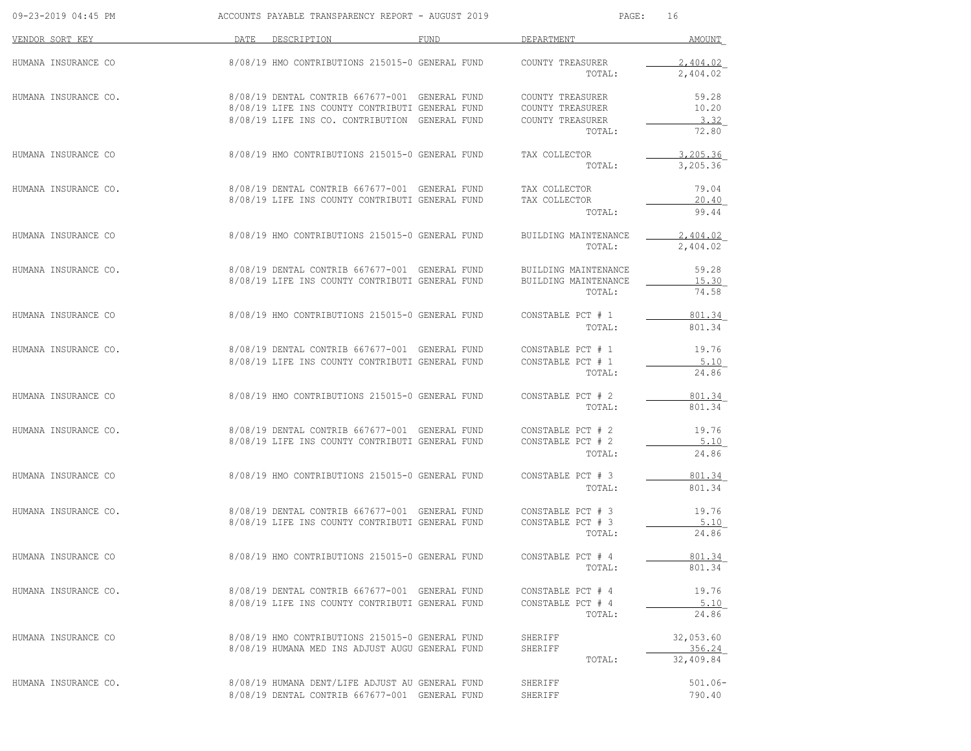| 09-23-2019 04:45 PM  | ACCOUNTS PAYABLE TRANSPARENCY REPORT - AUGUST 2019                                                                                                  |      | PAGE:                                                              | 16                               |
|----------------------|-----------------------------------------------------------------------------------------------------------------------------------------------------|------|--------------------------------------------------------------------|----------------------------------|
| VENDOR SORT KEY      | DATE DESCRIPTION                                                                                                                                    | FUND | DEPARTMENT                                                         | AMOUNT                           |
| HUMANA INSURANCE CO  | 8/08/19 HMO CONTRIBUTIONS 215015-0 GENERAL FUND                                                                                                     |      | COUNTY TREASURER<br>TOTAL:                                         | 2,404.02<br>2,404.02             |
| HUMANA INSURANCE CO. | 8/08/19 DENTAL CONTRIB 667677-001 GENERAL FUND<br>8/08/19 LIFE INS COUNTY CONTRIBUTI GENERAL FUND<br>8/08/19 LIFE INS CO. CONTRIBUTION GENERAL FUND |      | COUNTY TREASURER<br>COUNTY TREASURER<br>COUNTY TREASURER<br>TOTAL: | 59.28<br>10.20<br>3.32<br>72.80  |
| HUMANA INSURANCE CO  | 8/08/19 HMO CONTRIBUTIONS 215015-0 GENERAL FUND                                                                                                     |      | TAX COLLECTOR<br>TOTAL:                                            | 3,205.36<br>3,205.36             |
| HUMANA INSURANCE CO. | 8/08/19 DENTAL CONTRIB 667677-001 GENERAL FUND<br>8/08/19 LIFE INS COUNTY CONTRIBUTI GENERAL FUND                                                   |      | TAX COLLECTOR<br>TAX COLLECTOR<br>TOTAL:                           | 79.04<br>20.40<br>99.44          |
| HUMANA INSURANCE CO  | 8/08/19 HMO CONTRIBUTIONS 215015-0 GENERAL FUND                                                                                                     |      | BUILDING MAINTENANCE<br>TOTAL:                                     | 2,404.02<br>2,404.02             |
| HUMANA INSURANCE CO. | 8/08/19 DENTAL CONTRIB 667677-001 GENERAL FUND<br>8/08/19 LIFE INS COUNTY CONTRIBUTI GENERAL FUND                                                   |      | BUILDING MAINTENANCE<br>BUILDING MAINTENANCE<br>TOTAL:             | 59.28<br>15.30<br>74.58          |
| HUMANA INSURANCE CO  | 8/08/19 HMO CONTRIBUTIONS 215015-0 GENERAL FUND                                                                                                     |      | CONSTABLE PCT # 1<br>TOTAL:                                        | 801.34<br>801.34                 |
| HUMANA INSURANCE CO. | 8/08/19 DENTAL CONTRIB 667677-001 GENERAL FUND<br>8/08/19 LIFE INS COUNTY CONTRIBUTI GENERAL FUND                                                   |      | CONSTABLE PCT # 1<br>CONSTABLE PCT # 1<br>TOTAL:                   | 19.76<br>5.10<br>24.86           |
| HUMANA INSURANCE CO  | 8/08/19 HMO CONTRIBUTIONS 215015-0 GENERAL FUND                                                                                                     |      | CONSTABLE PCT # 2<br>TOTAL:                                        | 801.34<br>801.34                 |
| HUMANA INSURANCE CO. | 8/08/19 DENTAL CONTRIB 667677-001 GENERAL FUND<br>8/08/19 LIFE INS COUNTY CONTRIBUTI GENERAL FUND                                                   |      | CONSTABLE PCT # 2<br>CONSTABLE PCT # 2<br>TOTAL:                   | 19.76<br>5.10<br>24.86           |
| HUMANA INSURANCE CO  | 8/08/19 HMO CONTRIBUTIONS 215015-0 GENERAL FUND                                                                                                     |      | CONSTABLE PCT # 3<br>TOTAL:                                        | 801.34<br>801.34                 |
| HUMANA INSURANCE CO. | 8/08/19 DENTAL CONTRIB 667677-001 GENERAL FUND<br>8/08/19 LIFE INS COUNTY CONTRIBUTI GENERAL FUND                                                   |      | CONSTABLE PCT # 3<br>CONSTABLE PCT # 3<br>TOTAL:                   | 19.76<br>5.10<br>24.86           |
| HUMANA INSURANCE CO  | 8/08/19 HMO CONTRIBUTIONS 215015-0 GENERAL FUND                                                                                                     |      | CONSTABLE PCT # 4<br>TOTAL:                                        | 801.34<br>801.34                 |
| HUMANA INSURANCE CO. | 8/08/19 DENTAL CONTRIB 667677-001 GENERAL FUND<br>8/08/19 LIFE INS COUNTY CONTRIBUTI GENERAL FUND                                                   |      | CONSTABLE PCT # 4<br>CONSTABLE PCT # 4<br>TOTAL:                   | 19.76<br>5.10<br>24.86           |
| HUMANA INSURANCE CO  | 8/08/19 HMO CONTRIBUTIONS 215015-0 GENERAL FUND<br>8/08/19 HUMANA MED INS ADJUST AUGU GENERAL FUND                                                  |      | SHERIFF<br>SHERIFF<br>TOTAL:                                       | 32,053.60<br>356.24<br>32,409.84 |
| HUMANA INSURANCE CO. | 8/08/19 HUMANA DENT/LIFE ADJUST AU GENERAL FUND<br>8/08/19 DENTAL CONTRIB 667677-001 GENERAL FUND                                                   |      | SHERIFF<br>SHERIFF                                                 | $501.06 -$<br>790.40             |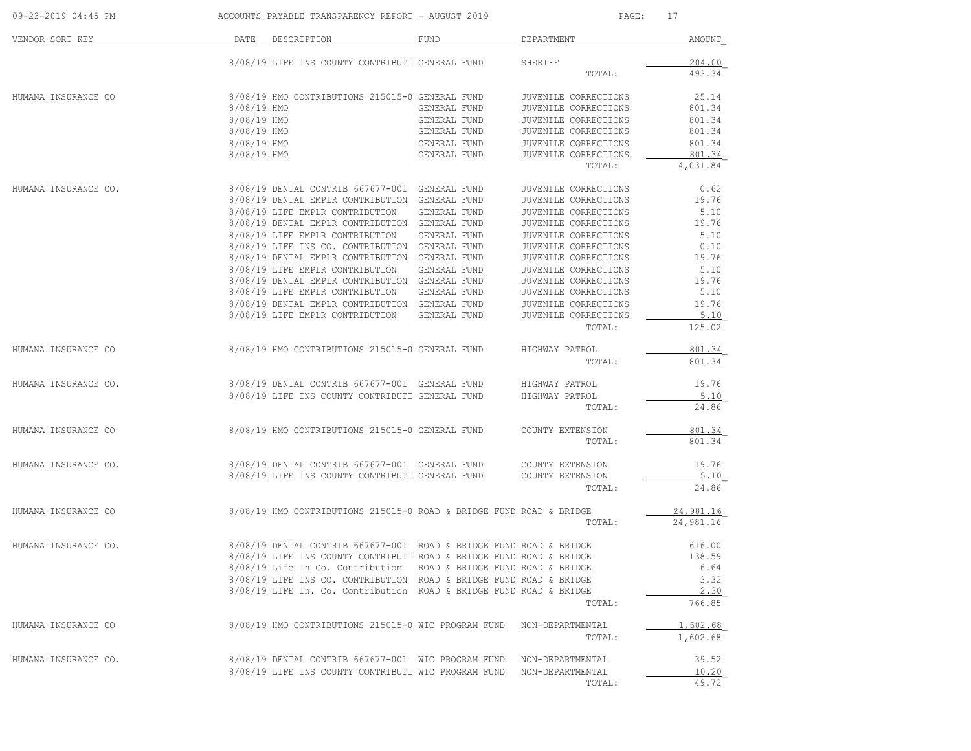| 09-23-2019 04:45 PM  |             | ACCOUNTS PAYABLE TRANSPARENCY REPORT - AUGUST 2019                   |              | PAGE:                          | 17             |
|----------------------|-------------|----------------------------------------------------------------------|--------------|--------------------------------|----------------|
| VENDOR SORT KEY      |             | DATE DESCRIPTION                                                     | FUND         | DEPARTMENT                     | AMOUNT         |
|                      |             | 8/08/19 LIFE INS COUNTY CONTRIBUTI GENERAL FUND                      |              | SHERIFF                        | 204.00         |
|                      |             |                                                                      |              | TOTAL:                         | 493.34         |
| HUMANA INSURANCE CO  |             | 8/08/19 HMO CONTRIBUTIONS 215015-0 GENERAL FUND                      |              | JUVENILE CORRECTIONS           | 25.14          |
|                      | 8/08/19 HMO |                                                                      | GENERAL FUND | JUVENILE CORRECTIONS           | 801.34         |
|                      | 8/08/19 HMO |                                                                      | GENERAL FUND | JUVENILE CORRECTIONS           | 801.34         |
|                      | 8/08/19 HMO |                                                                      | GENERAL FUND | JUVENILE CORRECTIONS           | 801.34         |
|                      | 8/08/19 HMO |                                                                      | GENERAL FUND | JUVENILE CORRECTIONS           | 801.34         |
|                      | 8/08/19 HMO |                                                                      | GENERAL FUND | JUVENILE CORRECTIONS           | 801.34         |
|                      |             |                                                                      |              | TOTAL:                         | 4,031.84       |
| HUMANA INSURANCE CO. |             | 8/08/19 DENTAL CONTRIB 667677-001 GENERAL FUND                       |              | JUVENILE CORRECTIONS           | 0.62           |
|                      |             | 8/08/19 DENTAL EMPLR CONTRIBUTION GENERAL FUND                       |              | JUVENILE CORRECTIONS           | 19.76          |
|                      |             | 8/08/19 LIFE EMPLR CONTRIBUTION                                      | GENERAL FUND | JUVENILE CORRECTIONS           | 5.10           |
|                      |             | 8/08/19 DENTAL EMPLR CONTRIBUTION GENERAL FUND                       |              | JUVENILE CORRECTIONS           | 19.76          |
|                      |             | 8/08/19 LIFE EMPLR CONTRIBUTION                                      | GENERAL FUND | JUVENILE CORRECTIONS           | 5.10           |
|                      |             | 8/08/19 LIFE INS CO. CONTRIBUTION GENERAL FUND                       |              | JUVENILE CORRECTIONS           | 0.10           |
|                      |             | 8/08/19 DENTAL EMPLR CONTRIBUTION GENERAL FUND                       |              | JUVENILE CORRECTIONS           | 19.76          |
|                      |             | 8/08/19 LIFE EMPLR CONTRIBUTION                                      | GENERAL FUND | JUVENILE CORRECTIONS           | 5.10           |
|                      |             | 8/08/19 DENTAL EMPLR CONTRIBUTION GENERAL FUND                       |              | JUVENILE CORRECTIONS           | 19.76          |
|                      |             | 8/08/19 LIFE EMPLR CONTRIBUTION GENERAL FUND                         |              | JUVENILE CORRECTIONS           | 5.10           |
|                      |             | 8/08/19 DENTAL EMPLR CONTRIBUTION GENERAL FUND                       |              | JUVENILE CORRECTIONS           | 19.76          |
|                      |             | 8/08/19 LIFE EMPLR CONTRIBUTION                                      | GENERAL FUND | JUVENILE CORRECTIONS<br>TOTAL: | 5.10<br>125.02 |
|                      |             | 8/08/19 HMO CONTRIBUTIONS 215015-0 GENERAL FUND                      |              |                                | 801.34         |
| HUMANA INSURANCE CO  |             |                                                                      |              | HIGHWAY PATROL<br>TOTAL:       | 801.34         |
| HUMANA INSURANCE CO. |             | 8/08/19 DENTAL CONTRIB 667677-001 GENERAL FUND HIGHWAY PATROL        |              |                                | 19.76          |
|                      |             | 8/08/19 LIFE INS COUNTY CONTRIBUTI GENERAL FUND                      |              | HIGHWAY PATROL                 | 5.10           |
|                      |             |                                                                      |              | TOTAL:                         | 24.86          |
| HUMANA INSURANCE CO  |             | 8/08/19 HMO CONTRIBUTIONS 215015-0 GENERAL FUND                      |              | COUNTY EXTENSION               | 801.34         |
|                      |             |                                                                      |              | TOTAL:                         | 801.34         |
| HUMANA INSURANCE CO. |             | 8/08/19 DENTAL CONTRIB 667677-001 GENERAL FUND                       |              | COUNTY EXTENSION               | 19.76          |
|                      |             | 8/08/19 LIFE INS COUNTY CONTRIBUTI GENERAL FUND                      |              | COUNTY EXTENSION               | 5.10           |
|                      |             |                                                                      |              | TOTAL:                         | 24.86          |
| HUMANA INSURANCE CO  |             | 8/08/19 HMO CONTRIBUTIONS 215015-0 ROAD & BRIDGE FUND ROAD & BRIDGE  |              |                                | 24,981.16      |
|                      |             |                                                                      |              | TOTAL:                         | 24,981.16      |
| HUMANA INSURANCE CO. |             | 8/08/19 DENTAL CONTRIB 667677-001 ROAD & BRIDGE FUND ROAD & BRIDGE   |              |                                | 616.00         |
|                      |             | 8/08/19 LIFE INS COUNTY CONTRIBUTI ROAD & BRIDGE FUND ROAD & BRIDGE  |              |                                | 138.59         |
|                      |             | 8/08/19 Life In Co. Contribution ROAD & BRIDGE FUND ROAD & BRIDGE    |              |                                | 6.64           |
|                      |             | 8/08/19 LIFE INS CO. CONTRIBUTION ROAD & BRIDGE FUND ROAD & BRIDGE   |              |                                | 3.32           |
|                      |             | 8/08/19 LIFE In. Co. Contribution ROAD & BRIDGE FUND ROAD & BRIDGE   |              |                                | 2.30           |
|                      |             |                                                                      |              | TOTAL:                         | 766.85         |
| HUMANA INSURANCE CO  |             | 8/08/19 HMO CONTRIBUTIONS 215015-0 WIC PROGRAM FUND NON-DEPARTMENTAL |              |                                | 1,602.68       |
|                      |             |                                                                      |              | TOTAL:                         | 1,602.68       |
| HUMANA INSURANCE CO. |             | 8/08/19 DENTAL CONTRIB 667677-001 WIC PROGRAM FUND NON-DEPARTMENTAL  |              |                                | 39.52          |
|                      |             | 8/08/19 LIFE INS COUNTY CONTRIBUTI WIC PROGRAM FUND                  |              | NON-DEPARTMENTAL               | 10.20          |
|                      |             |                                                                      |              | TOTAL:                         | 49.72          |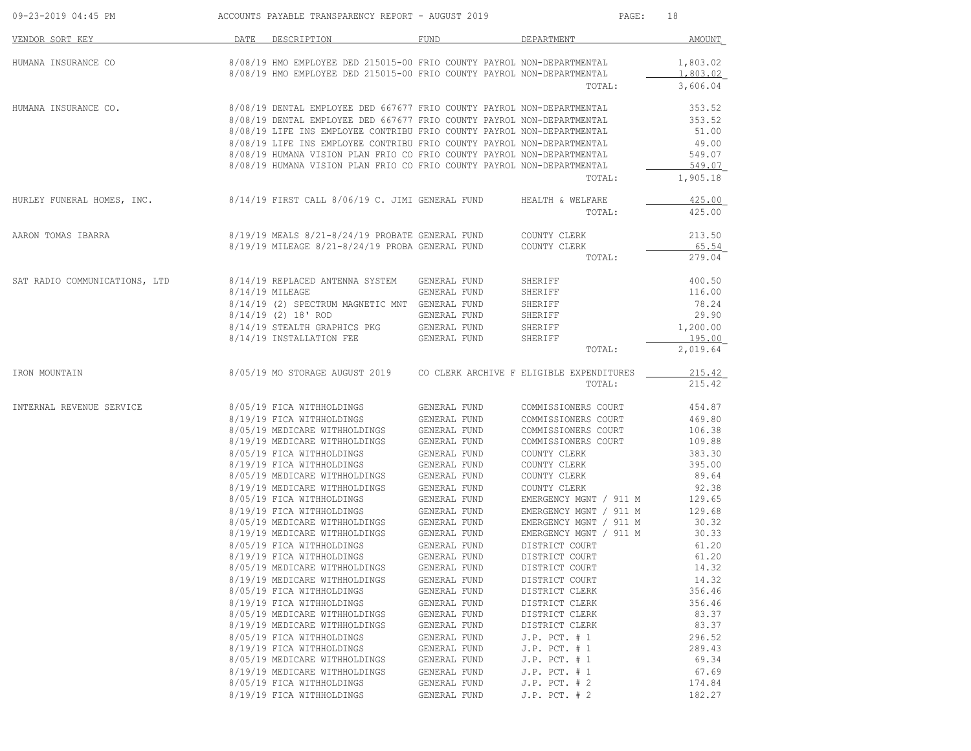| 09-23-2019 04:45 PM           | ACCOUNTS PAYABLE TRANSPARENCY REPORT - AUGUST 2019                       |                              | PAGE:<br>18                            |                 |  |
|-------------------------------|--------------------------------------------------------------------------|------------------------------|----------------------------------------|-----------------|--|
| VENDOR SORT KEY               | DATE DESCRIPTION                                                         | <b>FUND</b>                  | DEPARTMENT                             | AMOUNT          |  |
| HUMANA INSURANCE CO           | 8/08/19 HMO EMPLOYEE DED 215015-00 FRIO COUNTY PAYROL NON-DEPARTMENTAL   |                              |                                        | 1,803.02        |  |
|                               | 8/08/19 HMO EMPLOYEE DED 215015-00 FRIO COUNTY PAYROL NON-DEPARTMENTAL   |                              |                                        | 1,803.02        |  |
|                               |                                                                          |                              | TOTAL:                                 | 3,606.04        |  |
| HUMANA INSURANCE CO.          | 8/08/19 DENTAL EMPLOYEE DED 667677 FRIO COUNTY PAYROL NON-DEPARTMENTAL   |                              |                                        | 353.52          |  |
|                               | 8/08/19 DENTAL EMPLOYEE DED 667677 FRIO COUNTY PAYROL NON-DEPARTMENTAL   |                              |                                        | 353.52          |  |
|                               | 8/08/19 LIFE INS EMPLOYEE CONTRIBU FRIO COUNTY PAYROL NON-DEPARTMENTAL   |                              |                                        | 51.00           |  |
|                               | 8/08/19 LIFE INS EMPLOYEE CONTRIBU FRIO COUNTY PAYROL NON-DEPARTMENTAL   |                              |                                        | 49.00           |  |
|                               | 8/08/19 HUMANA VISION PLAN FRIO CO FRIO COUNTY PAYROL NON-DEPARTMENTAL   |                              |                                        | 549.07          |  |
|                               | 8/08/19 HUMANA VISION PLAN FRIO CO FRIO COUNTY PAYROL NON-DEPARTMENTAL   |                              |                                        | 549.07          |  |
|                               |                                                                          |                              | TOTAL:                                 | 1,905.18        |  |
| HURLEY FUNERAL HOMES, INC.    | 8/14/19 FIRST CALL 8/06/19 C. JIMI GENERAL FUND                          |                              | HEALTH & WELFARE                       | 425.00          |  |
|                               |                                                                          |                              | TOTAL:                                 | 425.00          |  |
| AARON TOMAS IBARRA            | 8/19/19 MEALS 8/21-8/24/19 PROBATE GENERAL FUND COUNTY CLERK             |                              |                                        | 213.50          |  |
|                               | 8/19/19 MILEAGE 8/21-8/24/19 PROBA GENERAL FUND                          |                              | COUNTY CLERK                           | 65.54           |  |
|                               |                                                                          |                              | TOTAL:                                 | 279.04          |  |
| SAT RADIO COMMUNICATIONS, LTD | 8/14/19 REPLACED ANTENNA SYSTEM   GENERAL FUND                           |                              | SHERIFF                                | 400.50          |  |
|                               | 8/14/19 MILEAGE                                                          | GENERAL FUND                 | SHERIFF                                | 116.00          |  |
|                               | 8/14/19 (2) SPECTRUM MAGNETIC MNT GENERAL FUND                           |                              | SHERIFF                                | 78.24           |  |
|                               | $8/14/19$ (2) 18' ROD                                                    | GENERAL FUND                 | SHERIFF                                | 29.90           |  |
|                               | 8/14/19 STEALTH GRAPHICS PKG                                             | GENERAL FUND                 | SHERIFF                                | 1,200.00        |  |
|                               | 8/14/19 INSTALLATION FEE                                                 | GENERAL FUND                 | SHERIFF                                | 195.00          |  |
|                               |                                                                          |                              | TOTAL:                                 | 2,019.64        |  |
| IRON MOUNTAIN                 | 8/05/19 MO STORAGE AUGUST 2019  CO CLERK ARCHIVE F ELIGIBLE EXPENDITURES |                              |                                        | 215.42          |  |
|                               |                                                                          |                              | TOTAL:                                 | 215.42          |  |
| INTERNAL REVENUE SERVICE      | 8/05/19 FICA WITHHOLDINGS                                                | GENERAL FUND                 | COMMISSIONERS COURT                    | 454.87          |  |
|                               | 8/19/19 FICA WITHHOLDINGS                                                | <b>GENERAL FUND</b>          | COMMISSIONERS COURT                    | 469.80          |  |
|                               | 8/05/19 MEDICARE WITHHOLDINGS                                            | GENERAL FUND                 | COMMISSIONERS COURT                    | 106.38          |  |
|                               | 8/19/19 MEDICARE WITHHOLDINGS                                            | GENERAL FUND                 | COMMISSIONERS COURT                    | 109.88          |  |
|                               | 8/05/19 FICA WITHHOLDINGS                                                | GENERAL FUND                 | COUNTY CLERK                           | 383.30          |  |
|                               | 8/19/19 FICA WITHHOLDINGS                                                | GENERAL FUND                 | COUNTY CLERK                           | 395.00          |  |
|                               | 8/05/19 MEDICARE WITHHOLDINGS GENERAL FUND                               |                              | COUNTY CLERK                           | 89.64           |  |
|                               | 8/19/19 MEDICARE WITHHOLDINGS GENERAL FUND<br>8/05/19 FICA WITHHOLDINGS  |                              | COUNTY CLERK<br>EMERGENCY MGNT / 911 M | 92.38<br>129.65 |  |
|                               | 8/19/19 FICA WITHHOLDINGS                                                | GENERAL FUND<br>GENERAL FUND | EMERGENCY MGNT / 911 M                 | 129.68          |  |
|                               | 8/05/19 MEDICARE WITHHOLDINGS GENERAL FUND                               |                              | EMERGENCY MGNT / 911 M                 | 30.32           |  |
|                               | 8/19/19 MEDICARE WITHHOLDINGS                                            | GENERAL FUND                 | EMERGENCY MGNT / 911 M                 | 30.33           |  |
|                               | 8/05/19 FICA WITHHOLDINGS                                                | GENERAL FUND                 | DISTRICT COURT                         | 61.20           |  |
|                               | 8/19/19 FICA WITHHOLDINGS                                                | GENERAL FUND                 | DISTRICT COURT                         | 61.20           |  |
|                               | 8/05/19 MEDICARE WITHHOLDINGS                                            | GENERAL FUND                 | DISTRICT COURT                         | 14.32           |  |
|                               | 8/19/19 MEDICARE WITHHOLDINGS                                            | GENERAL FUND                 | DISTRICT COURT                         | 14.32           |  |
|                               | 8/05/19 FICA WITHHOLDINGS                                                | GENERAL FUND                 | DISTRICT CLERK                         | 356.46          |  |
|                               | 8/19/19 FICA WITHHOLDINGS                                                | GENERAL FUND                 | DISTRICT CLERK                         | 356.46          |  |
|                               | 8/05/19 MEDICARE WITHHOLDINGS                                            | GENERAL FUND                 | DISTRICT CLERK                         | 83.37           |  |
|                               | 8/19/19 MEDICARE WITHHOLDINGS                                            | GENERAL FUND                 | DISTRICT CLERK                         | 83.37           |  |
|                               | 8/05/19 FICA WITHHOLDINGS                                                | GENERAL FUND                 | $J.P.$ PCT. $# 1$                      | 296.52          |  |
|                               | 8/19/19 FICA WITHHOLDINGS                                                | GENERAL FUND                 | $J.P.$ PCT. $# 1$                      | 289.43          |  |
|                               | 8/05/19 MEDICARE WITHHOLDINGS                                            | GENERAL FUND                 | $J.P.$ PCT. $# 1$                      | 69.34           |  |
|                               | 8/19/19 MEDICARE WITHHOLDINGS                                            | GENERAL FUND                 | $J.P.$ PCT. $# 1$                      | 67.69           |  |
|                               | 8/05/19 FICA WITHHOLDINGS                                                | GENERAL FUND                 | $J.P.$ PCT. $# 2$                      | 174.84          |  |
|                               | 8/19/19 FICA WITHHOLDINGS                                                | GENERAL FUND                 | $J.P.$ PCT. $# 2$                      | 182.27          |  |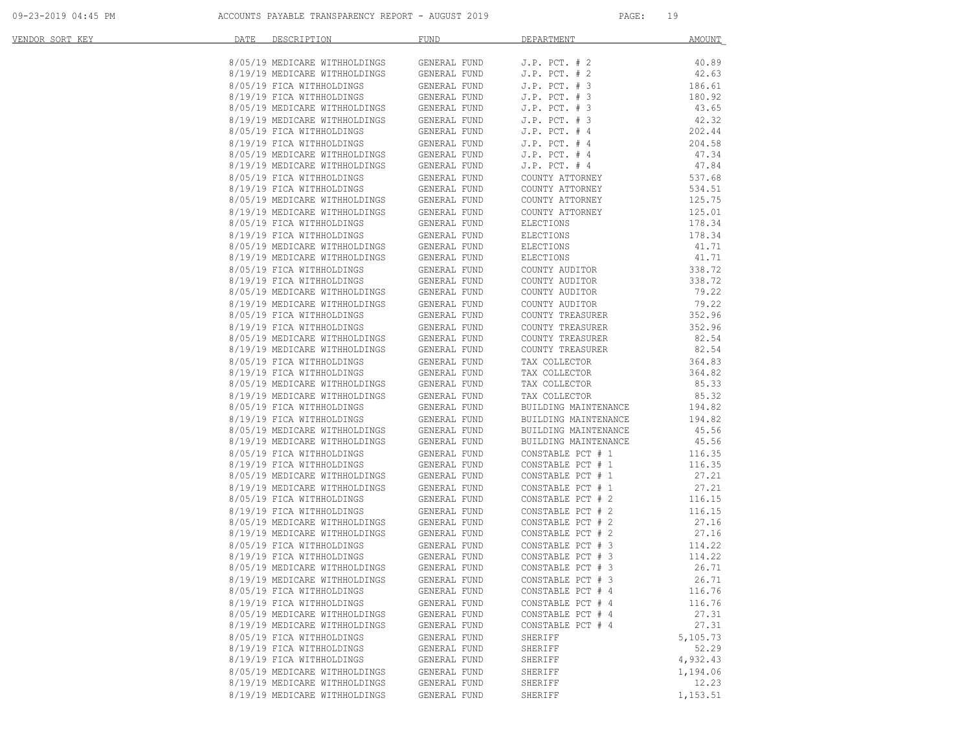| <u>VENDOR SORT KEY</u> | DATE | DESCRIPTION                                                                                                                                                                                                      | <b>FUND</b>  | DEPARTMENT           | AMOUNT   |
|------------------------|------|------------------------------------------------------------------------------------------------------------------------------------------------------------------------------------------------------------------|--------------|----------------------|----------|
|                        |      | 8/05/19 MEDICARE WITHHOLDINGS GENERAL FUND                                                                                                                                                                       |              | J.P. $PCT. # 2$      | 40.89    |
|                        |      |                                                                                                                                                                                                                  |              | J.P. $PCT. # 2$      | 42.63    |
|                        |      | 8/19/19 MEDICARE WITHHOLDINGS GENERAL FUND<br>8/05/19 FICA WITHHOLDINGS GENERAL FUND                                                                                                                             |              | $J.P.$ PCT. $# 3$    | 186.61   |
|                        |      |                                                                                                                                                                                                                  | GENERAL FUND | $J.P.$ PCT. $# 3$    | 180.92   |
|                        |      | 8/19/19 FICA WITHHOLDINGS<br>8/05/19 MEDICARE WITHHOLDINGS                                                                                                                                                       | GENERAL FUND | $J.P.$ PCT. $# 3$    | 43.65    |
|                        |      |                                                                                                                                                                                                                  |              | $J.P.$ PCT. $# 3$    | 42.32    |
|                        |      |                                                                                                                                                                                                                  |              | $J.P.$ PCT. $#4$     | 202.44   |
|                        |      | 8/19/19 MEDICARE WITHHOLDINGS<br>8/05/19 FICA WITHHOLDINGS GENERAL FUND<br>8/05/19 FICA WITHHOLDINGS GENERAL FUND<br>8/05/19 MEDICARE WITHHOLDINGS GENERAL FUND<br>8/19/19 MEDICARE WITHHOLDINGS GENERAL FUND    |              | $J.P.$ PCT. $#4$     | 204.58   |
|                        |      |                                                                                                                                                                                                                  |              | $J.P.$ PCT. $#4$     | 47.34    |
|                        |      |                                                                                                                                                                                                                  |              | $J.P.$ PCT. $#4$     | 47.84    |
|                        |      |                                                                                                                                                                                                                  |              | COUNTY ATTORNEY      | 537.68   |
|                        |      |                                                                                                                                                                                                                  |              | COUNTY ATTORNEY      | 534.51   |
|                        |      |                                                                                                                                                                                                                  |              | COUNTY ATTORNEY      | 125.75   |
|                        |      |                                                                                                                                                                                                                  |              | COUNTY ATTORNEY      | 125.01   |
|                        |      |                                                                                                                                                                                                                  |              | ELECTIONS            | 178.34   |
|                        |      |                                                                                                                                                                                                                  |              | ELECTIONS            | 178.34   |
|                        |      |                                                                                                                                                                                                                  |              | ELECTIONS            | 41.71    |
|                        |      |                                                                                                                                                                                                                  |              | ELECTIONS            | 41.71    |
|                        |      |                                                                                                                                                                                                                  |              | COUNTY AUDITOR       | 338.72   |
|                        |      |                                                                                                                                                                                                                  | GENERAL FUND | COUNTY AUDITOR       | 338.72   |
|                        |      | 8/19/19 FICA WITHHOLDINGS<br>8/05/19 MEDICARE WITHHOLDINGS                                                                                                                                                       | GENERAL FUND | COUNTY AUDITOR       | 79.22    |
|                        |      |                                                                                                                                                                                                                  |              | COUNTY AUDITOR       | 79.22    |
|                        |      | 8/19/19 MEDICARE WITHHOLDINGS<br>8/19/19 FICA WITHHOLDINGS<br>8/05/19 FICA WITHHOLDINGS<br>8/19/19 FICA WITHHOLDINGS<br>8/05/19 MEDICARE WITHHOLDINGS GENERAL FUND<br>8/19/19 MEDICARE WITHHOLDINGS GENERAL FUND |              | COUNTY TREASURER     | 352.96   |
|                        |      |                                                                                                                                                                                                                  |              | COUNTY TREASURER     | 352.96   |
|                        |      |                                                                                                                                                                                                                  |              | COUNTY TREASURER     | 82.54    |
|                        |      |                                                                                                                                                                                                                  |              | COUNTY TREASURER     | 82.54    |
|                        |      |                                                                                                                                                                                                                  |              | TAX COLLECTOR        | 364.83   |
|                        |      | $8/05/19 \mbox{ FICA } \mbox{WITHHOLDINGS} \mbox{GENERAL FUND} \label{eq:3}$ $8/19/19 \mbox{ FICA } \mbox{WITHHOLDINGS} \mbox{GENERAL FUND}$                                                                     |              | TAX COLLECTOR        | 364.82   |
|                        |      |                                                                                                                                                                                                                  |              | TAX COLLECTOR        | 85.33    |
|                        |      | 8/05/19 MEDICARE WITHHOLDINGS<br>8/05/19 MEDICARE WITHHOLDINGS GENERAL FUND<br>8/05/19 FICA WITHHOLDINGS GENERAL FUND<br>8/05/19 FICA WITHHOLDINGS GENERAL FUND                                                  |              | TAX COLLECTOR        | 85.32    |
|                        |      |                                                                                                                                                                                                                  |              | BUILDING MAINTENANCE | 194.82   |
|                        |      |                                                                                                                                                                                                                  |              | BUILDING MAINTENANCE | 194.82   |
|                        |      |                                                                                                                                                                                                                  |              | BUILDING MAINTENANCE | 45.56    |
|                        |      |                                                                                                                                                                                                                  |              | BUILDING MAINTENANCE | 45.56    |
|                        |      |                                                                                                                                                                                                                  |              | CONSTABLE PCT # 1    | 116.35   |
|                        |      | 8/19/19 FICA WITHHOLDINGS<br>8/05/19 MEDICARE WITHHOLDINGS                                                                                                                                                       | GENERAL FUND | CONSTABLE PCT # 1    | 116.35   |
|                        |      |                                                                                                                                                                                                                  | GENERAL FUND | CONSTABLE PCT # 1    | 27.21    |
|                        |      | $8/19/19$ MEDICARE WITHHOLDINGS GENERAL FUND                                                                                                                                                                     |              | CONSTABLE PCT # 1    | 27.21    |
|                        |      |                                                                                                                                                                                                                  | GENERAL FUND | CONSTABLE PCT # 2    | 116.15   |
|                        |      |                                                                                                                                                                                                                  | GENERAL FUND | CONSTABLE PCT # 2    | 116.15   |
|                        |      | 8/05/19 FICA MITHHOLDINGS<br>8/19/19 FICA MITHHOLDINGS<br>8/05/19 MEDICARE MITHHOLDINGS<br>8/19/19 MEDICARE MITHHOLDINGS                                                                                         | GENERAL FUND | CONSTABLE PCT # 2    | 27.16    |
|                        |      |                                                                                                                                                                                                                  | GENERAL FUND | CONSTABLE PCT # 2    | 27.16    |
|                        |      |                                                                                                                                                                                                                  |              | CONSTABLE PCT # 3    | 114.22   |
|                        |      |                                                                                                                                                                                                                  |              | CONSTABLE PCT # 3    | 114.22   |
|                        |      | 8/05/19 MEDICARE WITHHOLDINGS                                                                                                                                                                                    | GENERAL FUND | CONSTABLE PCT # 3    | 26.71    |
|                        |      | 8/19/19 MEDICARE WITHHOLDINGS GENERAL FUND                                                                                                                                                                       |              | CONSTABLE PCT # 3    | 26.71    |
|                        |      | 8/05/19 FICA WITHHOLDINGS                                                                                                                                                                                        | GENERAL FUND | CONSTABLE PCT # 4    | 116.76   |
|                        |      | 8/19/19 FICA WITHHOLDINGS                                                                                                                                                                                        | GENERAL FUND | CONSTABLE PCT # 4    | 116.76   |
|                        |      | 8/05/19 MEDICARE WITHHOLDINGS                                                                                                                                                                                    | GENERAL FUND | CONSTABLE PCT # 4    | 27.31    |
|                        |      | 8/19/19 MEDICARE WITHHOLDINGS                                                                                                                                                                                    | GENERAL FUND | CONSTABLE PCT # 4    | 27.31    |
|                        |      | 8/05/19 FICA WITHHOLDINGS                                                                                                                                                                                        | GENERAL FUND | SHERIFF              | 5,105.73 |
|                        |      | 8/19/19 FICA WITHHOLDINGS                                                                                                                                                                                        | GENERAL FUND | SHERIFF              | 52.29    |
|                        |      | 8/19/19 FICA WITHHOLDINGS                                                                                                                                                                                        | GENERAL FUND | SHERIFF              | 4,932.43 |
|                        |      | 8/05/19 MEDICARE WITHHOLDINGS                                                                                                                                                                                    | GENERAL FUND | SHERIFF              | 1,194.06 |
|                        |      | 8/19/19 MEDICARE WITHHOLDINGS                                                                                                                                                                                    | GENERAL FUND | SHERIFF              | 12.23    |
|                        |      | 8/19/19 MEDICARE WITHHOLDINGS                                                                                                                                                                                    | GENERAL FUND | SHERIFF              | 1,153.51 |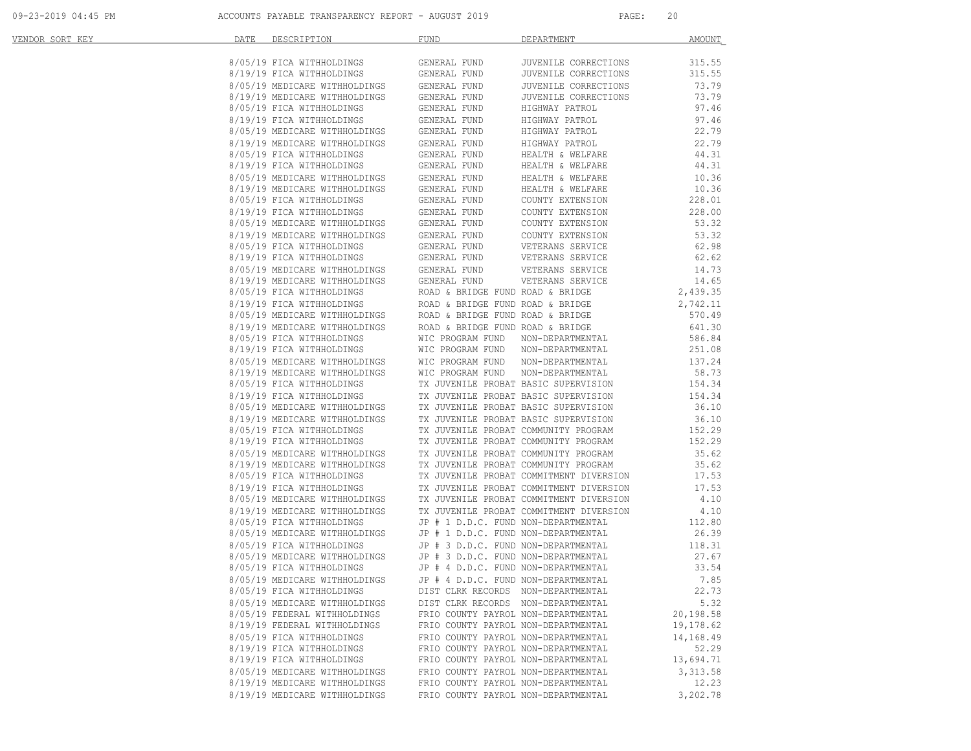09-23-2019 04:45 PM ACCOUNTS PAYABLE TRANSPARENCY REPORT - AUGUST 2019 PAGE: 20

| <u>VENDOR SORT KEY</u> | <b>DATE DESCRIPTION</b>                                                                                                                                                                                                                       | <b>FUND</b><br>DEPARTMENT                                                                                                                                                                                                           | AMOUNT    |
|------------------------|-----------------------------------------------------------------------------------------------------------------------------------------------------------------------------------------------------------------------------------------------|-------------------------------------------------------------------------------------------------------------------------------------------------------------------------------------------------------------------------------------|-----------|
|                        |                                                                                                                                                                                                                                               |                                                                                                                                                                                                                                     | 315.55    |
|                        |                                                                                                                                                                                                                                               |                                                                                                                                                                                                                                     | 315.55    |
|                        |                                                                                                                                                                                                                                               |                                                                                                                                                                                                                                     | 73.79     |
|                        |                                                                                                                                                                                                                                               |                                                                                                                                                                                                                                     | 73.79     |
|                        |                                                                                                                                                                                                                                               |                                                                                                                                                                                                                                     | 97.46     |
|                        |                                                                                                                                                                                                                                               |                                                                                                                                                                                                                                     | 97.46     |
|                        |                                                                                                                                                                                                                                               |                                                                                                                                                                                                                                     | 22.79     |
|                        |                                                                                                                                                                                                                                               |                                                                                                                                                                                                                                     | 22.79     |
|                        |                                                                                                                                                                                                                                               | HEALTH & WELFARE<br>HEALTH & WELFARE                                                                                                                                                                                                | 44.31     |
|                        |                                                                                                                                                                                                                                               |                                                                                                                                                                                                                                     | 44.31     |
|                        |                                                                                                                                                                                                                                               | HEALTH & WELFARE<br>HEALTH & WELFARE                                                                                                                                                                                                | 10.36     |
|                        |                                                                                                                                                                                                                                               |                                                                                                                                                                                                                                     | 10.36     |
|                        |                                                                                                                                                                                                                                               | COUNTY EXTENSION<br>COUNTY EXTENSION                                                                                                                                                                                                | 228.01    |
|                        | 8/05/19 MEDICARE WITHHOLDINGS<br>8/05/19 MEDICARE WITHHOLDINGS<br>8/05/19 FICA WITHHOLDINGS GENERAL FUND<br>8/05/19 FICA WITHHOLDINGS GENERAL FUND<br>8/05/19 MEDICARE WITHHOLDINGS GENERAL FUND<br>8/05/19 MEDICARE WITHHOLDINGS GENERAL FUN |                                                                                                                                                                                                                                     | 228.00    |
|                        |                                                                                                                                                                                                                                               |                                                                                                                                                                                                                                     |           |
|                        |                                                                                                                                                                                                                                               | 3/19/19 PTCA WITHHOLDINGS GENERAL FUND COUNTY EXTENSION 228.00<br>8/05/19 NEDICARE WITHHOLDINGS GENERAL FUND COUNTY EXTENSION 53.32<br>8/19/19 NEDICARE WITHHOLDINGS GENERAL FUND COUNTY EXTENSION 53.32<br>8/19/19 NEDICARE WITHHO |           |
|                        |                                                                                                                                                                                                                                               |                                                                                                                                                                                                                                     |           |
|                        |                                                                                                                                                                                                                                               |                                                                                                                                                                                                                                     |           |
|                        |                                                                                                                                                                                                                                               |                                                                                                                                                                                                                                     |           |
|                        |                                                                                                                                                                                                                                               |                                                                                                                                                                                                                                     |           |
|                        |                                                                                                                                                                                                                                               |                                                                                                                                                                                                                                     |           |
|                        |                                                                                                                                                                                                                                               |                                                                                                                                                                                                                                     |           |
|                        |                                                                                                                                                                                                                                               |                                                                                                                                                                                                                                     |           |
|                        |                                                                                                                                                                                                                                               |                                                                                                                                                                                                                                     |           |
|                        |                                                                                                                                                                                                                                               |                                                                                                                                                                                                                                     |           |
|                        |                                                                                                                                                                                                                                               |                                                                                                                                                                                                                                     |           |
|                        |                                                                                                                                                                                                                                               |                                                                                                                                                                                                                                     |           |
|                        |                                                                                                                                                                                                                                               |                                                                                                                                                                                                                                     |           |
|                        |                                                                                                                                                                                                                                               |                                                                                                                                                                                                                                     |           |
|                        |                                                                                                                                                                                                                                               |                                                                                                                                                                                                                                     |           |
|                        |                                                                                                                                                                                                                                               |                                                                                                                                                                                                                                     |           |
|                        |                                                                                                                                                                                                                                               |                                                                                                                                                                                                                                     |           |
|                        |                                                                                                                                                                                                                                               |                                                                                                                                                                                                                                     |           |
|                        |                                                                                                                                                                                                                                               |                                                                                                                                                                                                                                     |           |
|                        |                                                                                                                                                                                                                                               |                                                                                                                                                                                                                                     |           |
|                        |                                                                                                                                                                                                                                               |                                                                                                                                                                                                                                     |           |
|                        |                                                                                                                                                                                                                                               |                                                                                                                                                                                                                                     |           |
|                        |                                                                                                                                                                                                                                               |                                                                                                                                                                                                                                     |           |
|                        |                                                                                                                                                                                                                                               |                                                                                                                                                                                                                                     |           |
|                        |                                                                                                                                                                                                                                               |                                                                                                                                                                                                                                     |           |
|                        |                                                                                                                                                                                                                                               |                                                                                                                                                                                                                                     |           |
|                        |                                                                                                                                                                                                                                               |                                                                                                                                                                                                                                     |           |
|                        |                                                                                                                                                                                                                                               |                                                                                                                                                                                                                                     |           |
|                        |                                                                                                                                                                                                                                               |                                                                                                                                                                                                                                     |           |
|                        |                                                                                                                                                                                                                                               | 8/05/19 MEDICARE WITHHOLDINGS JP # 4 D.D.C. FUND NON-DEPARTMENTAL                                                                                                                                                                   | 7.85      |
|                        | 8/05/19 FICA WITHHOLDINGS                                                                                                                                                                                                                     | DIST CLRK RECORDS NON-DEPARTMENTAL                                                                                                                                                                                                  | 22.73     |
|                        | 8/05/19 MEDICARE WITHHOLDINGS                                                                                                                                                                                                                 | DIST CLRK RECORDS NON-DEPARTMENTAL                                                                                                                                                                                                  | 5.32      |
|                        | 8/05/19 FEDERAL WITHHOLDINGS                                                                                                                                                                                                                  | FRIO COUNTY PAYROL NON-DEPARTMENTAL                                                                                                                                                                                                 | 20,198.58 |
|                        | 8/19/19 FEDERAL WITHHOLDINGS                                                                                                                                                                                                                  | FRIO COUNTY PAYROL NON-DEPARTMENTAL                                                                                                                                                                                                 | 19,178.62 |
|                        | 8/05/19 FICA WITHHOLDINGS                                                                                                                                                                                                                     | FRIO COUNTY PAYROL NON-DEPARTMENTAL                                                                                                                                                                                                 | 14,168.49 |
|                        | 8/19/19 FICA WITHHOLDINGS                                                                                                                                                                                                                     | FRIO COUNTY PAYROL NON-DEPARTMENTAL                                                                                                                                                                                                 | 52.29     |
|                        | 8/19/19 FICA WITHHOLDINGS                                                                                                                                                                                                                     | FRIO COUNTY PAYROL NON-DEPARTMENTAL                                                                                                                                                                                                 | 13,694.71 |
|                        | 8/05/19 MEDICARE WITHHOLDINGS                                                                                                                                                                                                                 | FRIO COUNTY PAYROL NON-DEPARTMENTAL                                                                                                                                                                                                 | 3,313.58  |
|                        | 8/19/19 MEDICARE WITHHOLDINGS                                                                                                                                                                                                                 | FRIO COUNTY PAYROL NON-DEPARTMENTAL                                                                                                                                                                                                 | 12.23     |
|                        | 8/19/19 MEDICARE WITHHOLDINGS                                                                                                                                                                                                                 | FRIO COUNTY PAYROL NON-DEPARTMENTAL                                                                                                                                                                                                 | 3,202.78  |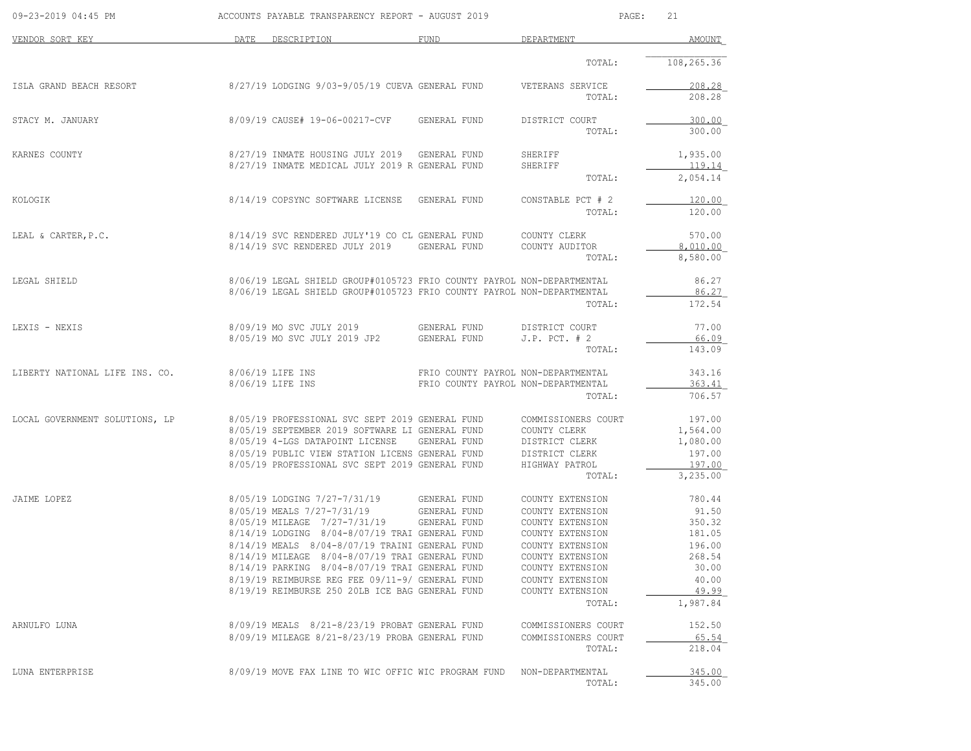| 09-23-2019 04:45 PM            |      | ACCOUNTS PAYABLE TRANSPARENCY REPORT - AUGUST 2019                                                 |                                     |                                      | 21<br>PAGE:          |
|--------------------------------|------|----------------------------------------------------------------------------------------------------|-------------------------------------|--------------------------------------|----------------------|
| VENDOR SORT KEY                | DATE | DESCRIPTION                                                                                        | <b>FUND</b>                         | DEPARTMENT                           | AMOUNT               |
|                                |      |                                                                                                    |                                     | TOTAL:                               | 108,265.36           |
| ISLA GRAND BEACH RESORT        |      | 8/27/19 LODGING 9/03-9/05/19 CUEVA GENERAL FUND                                                    |                                     | VETERANS SERVICE                     | 208.28               |
|                                |      |                                                                                                    |                                     | TOTAL:                               | 208.28               |
| STACY M. JANUARY               |      | 8/09/19 CAUSE# 19-06-00217-CVF GENERAL FUND                                                        |                                     | DISTRICT COURT                       | 300.00               |
|                                |      |                                                                                                    |                                     | TOTAL:                               | 300.00               |
| KARNES COUNTY                  |      | 8/27/19 INMATE HOUSING JULY 2019                                                                   | GENERAL FUND                        | SHERIFF                              | 1,935.00             |
|                                |      | 8/27/19 INMATE MEDICAL JULY 2019 R GENERAL FUND                                                    |                                     | SHERIFF<br>TOTAL:                    | 119.14<br>2,054.14   |
|                                |      |                                                                                                    |                                     |                                      |                      |
| KOLOGIK                        |      | 8/14/19 COPSYNC SOFTWARE LICENSE                                                                   | GENERAL FUND                        | CONSTABLE PCT # 2<br>TOTAL:          | 120.00<br>120.00     |
|                                |      |                                                                                                    |                                     |                                      |                      |
| LEAL & CARTER, P.C.            |      | 8/14/19 SVC RENDERED JULY'19 CO CL GENERAL FUND                                                    |                                     | COUNTY CLERK                         | 570.00               |
|                                |      | 8/14/19 SVC RENDERED JULY 2019                                                                     | GENERAL FUND                        | COUNTY AUDITOR<br>TOTAL:             | 8,010.00<br>8,580.00 |
|                                |      |                                                                                                    |                                     |                                      |                      |
| LEGAL SHIELD                   |      | 8/06/19 LEGAL SHIELD GROUP#0105723 FRIO COUNTY PAYROL NON-DEPARTMENTAL                             |                                     |                                      | 86.27                |
|                                |      | 8/06/19 LEGAL SHIELD GROUP#0105723 FRIO COUNTY PAYROL NON-DEPARTMENTAL                             |                                     | TOTAL:                               | 86.27<br>172.54      |
|                                |      |                                                                                                    |                                     |                                      |                      |
| LEXIS - NEXIS                  |      | 8/09/19 MO SVC JULY 2019                                                                           | GENERAL FUND                        | DISTRICT COURT                       | 77.00                |
|                                |      | 8/05/19 MO SVC JULY 2019 JP2                                                                       | GENERAL FUND                        | $J.P.$ PCT. $# 2$<br>TOTAL:          | 66.09<br>143.09      |
|                                |      |                                                                                                    |                                     |                                      |                      |
| LIBERTY NATIONAL LIFE INS. CO. |      | 8/06/19 LIFE INS                                                                                   | FRIO COUNTY PAYROL NON-DEPARTMENTAL |                                      | 343.16               |
|                                |      | 8/06/19 LIFE INS                                                                                   | FRIO COUNTY PAYROL NON-DEPARTMENTAL | TOTAL:                               | 363.41<br>706.57     |
|                                |      |                                                                                                    |                                     |                                      |                      |
| LOCAL GOVERNMENT SOLUTIONS, LP |      | 8/05/19 PROFESSIONAL SVC SEPT 2019 GENERAL FUND<br>8/05/19 SEPTEMBER 2019 SOFTWARE LI GENERAL FUND |                                     | COMMISSIONERS COURT<br>COUNTY CLERK  | 197.00<br>1,564.00   |
|                                |      | 8/05/19 4-LGS DATAPOINT LICENSE                                                                    | GENERAL FUND                        | DISTRICT CLERK                       | 1,080.00             |
|                                |      | 8/05/19 PUBLIC VIEW STATION LICENS GENERAL FUND                                                    |                                     | DISTRICT CLERK                       | 197.00               |
|                                |      | 8/05/19 PROFESSIONAL SVC SEPT 2019 GENERAL FUND                                                    |                                     | HIGHWAY PATROL                       | 197.00               |
|                                |      |                                                                                                    |                                     | TOTAL:                               | 3,235.00             |
| JAIME LOPEZ                    |      | 8/05/19 LODGING 7/27-7/31/19 GENERAL FUND                                                          |                                     | COUNTY EXTENSION                     | 780.44               |
|                                |      | 8/05/19 MEALS 7/27-7/31/19                                                                         | GENERAL FUND                        | COUNTY EXTENSION                     | 91.50                |
|                                |      | 8/05/19 MILEAGE 7/27-7/31/19                                                                       | GENERAL FUND                        | COUNTY EXTENSION                     | 350.32               |
|                                |      | 8/14/19 LODGING 8/04-8/07/19 TRAI GENERAL FUND                                                     |                                     | COUNTY EXTENSION                     | 181.05               |
|                                |      | 8/14/19 MEALS 8/04-8/07/19 TRAINI GENERAL FUND<br>8/14/19 MILEAGE 8/04-8/07/19 TRAI GENERAL FUND   |                                     | COUNTY EXTENSION<br>COUNTY EXTENSION | 196.00<br>268.54     |
|                                |      | 8/14/19 PARKING 8/04-8/07/19 TRAI GENERAL FUND                                                     |                                     | COUNTY EXTENSION                     | 30.00                |
|                                |      | 8/19/19 REIMBURSE REG FEE 09/11-9/ GENERAL FUND                                                    |                                     | COUNTY EXTENSION                     | 40.00                |
|                                |      | 8/19/19 REIMBURSE 250 20LB ICE BAG GENERAL FUND                                                    |                                     | COUNTY EXTENSION                     | 49.99                |
|                                |      |                                                                                                    |                                     | TOTAL:                               | 1,987.84             |
| ARNULFO LUNA                   |      | 8/09/19 MEALS 8/21-8/23/19 PROBAT GENERAL FUND                                                     |                                     | COMMISSIONERS COURT                  | 152.50               |
|                                |      | 8/09/19 MILEAGE 8/21-8/23/19 PROBA GENERAL FUND                                                    |                                     | COMMISSIONERS COURT                  | 65.54                |
|                                |      |                                                                                                    |                                     | TOTAL:                               | 218.04               |
| LUNA ENTERPRISE                |      | 8/09/19 MOVE FAX LINE TO WIC OFFIC WIC PROGRAM FUND                                                |                                     | NON-DEPARTMENTAL                     | 345.00               |
|                                |      |                                                                                                    |                                     | TOTAL:                               | 345.00               |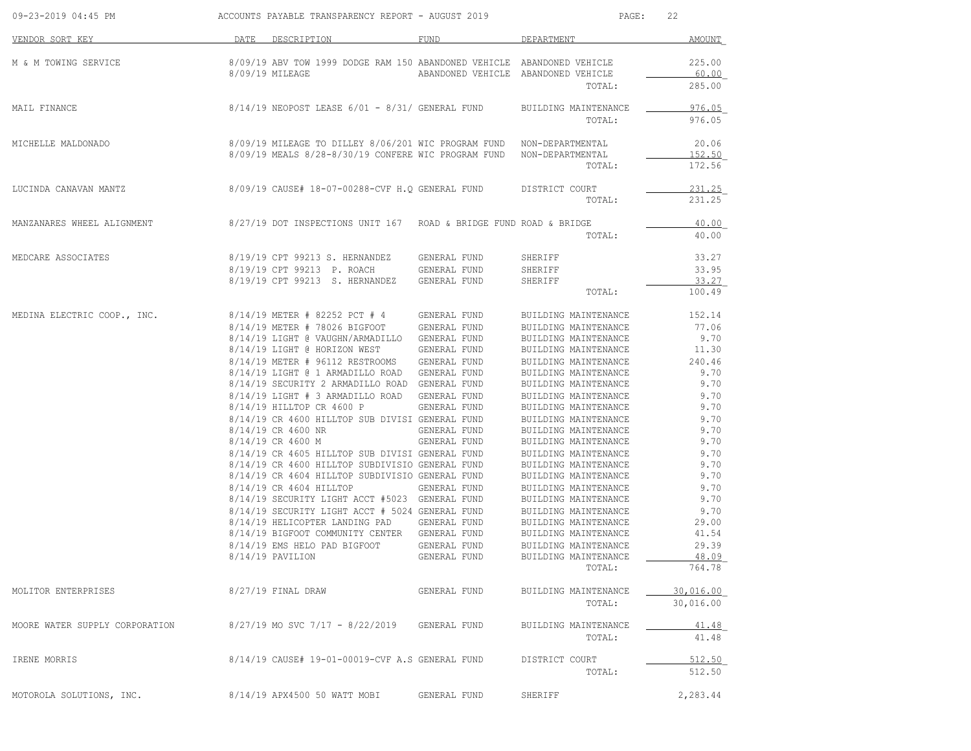| 09-23-2019 04:45 PM            | ACCOUNTS PAYABLE TRANSPARENCY REPORT - AUGUST 2019                                              |              | PAGE:                                         | 22               |
|--------------------------------|-------------------------------------------------------------------------------------------------|--------------|-----------------------------------------------|------------------|
| VENDOR SORT KEY                | DATE DESCRIPTION                                                                                | FUND         | DEPARTMENT                                    | <b>AMOUNT</b>    |
| M & M TOWING SERVICE           | 8/09/19 ABV TOW 1999 DODGE RAM 150 ABANDONED VEHICLE ABANDONED VEHICLE                          |              |                                               | 225.00           |
|                                | 8/09/19 MILEAGE                                                                                 |              | ABANDONED VEHICLE ABANDONED VEHICLE<br>TOTAL: | 60.00<br>285.00  |
| MAIL FINANCE                   | 8/14/19 NEOPOST LEASE 6/01 - 8/31/ GENERAL FUND                                                 |              | BUILDING MAINTENANCE                          | 976.05           |
|                                |                                                                                                 |              | TOTAL:                                        | 976.05           |
| MICHELLE MALDONADO             | 8/09/19 MILEAGE TO DILLEY 8/06/201 WIC PROGRAM FUND NON-DEPARTMENTAL                            |              |                                               | 20.06            |
|                                | 8/09/19 MEALS 8/28-8/30/19 CONFERE WIC PROGRAM FUND NON-DEPARTMENTAL                            |              | TOTAL:                                        | 152.50<br>172.56 |
| LUCINDA CANAVAN MANTZ          | 8/09/19 CAUSE# 18-07-00288-CVF H.O GENERAL FUND DISTRICT COURT                                  |              |                                               | 231.25           |
|                                |                                                                                                 |              | TOTAL:                                        | 231.25           |
| MANZANARES WHEEL ALIGNMENT     | 8/27/19 DOT INSPECTIONS UNIT 167 ROAD & BRIDGE FUND ROAD & BRIDGE                               |              |                                               | 40.00            |
|                                |                                                                                                 |              | TOTAL:                                        | 40.00            |
| MEDCARE ASSOCIATES             | 8/19/19 CPT 99213 S. HERNANDEZ                                                                  | GENERAL FUND | SHERIFF                                       | 33.27            |
|                                | 8/19/19 CPT 99213 P. ROACH                                                                      | GENERAL FUND | SHERIFF                                       | 33.95            |
|                                | 8/19/19 CPT 99213 S. HERNANDEZ                                                                  | GENERAL FUND | SHERIFF<br>TOTAL:                             | 33.27<br>100.49  |
| MEDINA ELECTRIC COOP., INC.    | 8/14/19 METER # 82252 PCT # 4                                                                   | GENERAL FUND | BUILDING MAINTENANCE                          | 152.14           |
|                                | 8/14/19 METER # 78026 BIGFOOT GENERAL FUND                                                      |              | BUILDING MAINTENANCE                          | 77.06            |
|                                | 8/14/19 LIGHT @ VAUGHN/ARMADILLO GENERAL FUND                                                   |              | BUILDING MAINTENANCE                          | 9.70             |
|                                | 8/14/19 LIGHT @ HORIZON WEST                                                                    | GENERAL FUND | BUILDING MAINTENANCE                          | 11.30            |
|                                | 8/14/19 METER # 96112 RESTROOMS GENERAL FUND                                                    |              | BUILDING MAINTENANCE                          | 240.46           |
|                                | 8/14/19 LIGHT @ 1 ARMADILLO ROAD GENERAL FUND                                                   |              | BUILDING MAINTENANCE                          | 9.70             |
|                                | 8/14/19 SECURITY 2 ARMADILLO ROAD GENERAL FUND<br>8/14/19 LIGHT # 3 ARMADILLO ROAD GENERAL FUND |              | BUILDING MAINTENANCE                          | 9.70<br>9.70     |
|                                | 8/14/19 HILLTOP CR 4600 P                                                                       | GENERAL FUND | BUILDING MAINTENANCE<br>BUILDING MAINTENANCE  | 9.70             |
|                                | 8/14/19 CR 4600 HILLTOP SUB DIVISI GENERAL FUND                                                 |              | BUILDING MAINTENANCE                          | 9.70             |
|                                | 8/14/19 CR 4600 NR                                                                              | GENERAL FUND | BUILDING MAINTENANCE                          | 9.70             |
|                                | 8/14/19 CR 4600 M                                                                               | GENERAL FUND | BUILDING MAINTENANCE                          | 9.70             |
|                                | 8/14/19 CR 4605 HILLTOP SUB DIVISI GENERAL FUND                                                 |              | BUILDING MAINTENANCE                          | 9.70             |
|                                | 8/14/19 CR 4600 HILLTOP SUBDIVISIO GENERAL FUND                                                 |              | BUILDING MAINTENANCE                          | 9.70             |
|                                | 8/14/19 CR 4604 HILLTOP SUBDIVISIO GENERAL FUND                                                 |              | BUILDING MAINTENANCE                          | 9.70             |
|                                | 8/14/19 CR 4604 HILLTOP                                                                         | GENERAL FUND | BUILDING MAINTENANCE                          | 9.70             |
|                                | 8/14/19 SECURITY LIGHT ACCT #5023 GENERAL FUND                                                  |              | BUILDING MAINTENANCE                          | 9.70             |
|                                | 8/14/19 SECURITY LIGHT ACCT # 5024 GENERAL FUND                                                 |              | BUILDING MAINTENANCE                          | 9.70             |
|                                | 8/14/19 HELICOPTER LANDING PAD                                                                  | GENERAL FUND | BUILDING MAINTENANCE                          | 29.00            |
|                                | 8/14/19 BIGFOOT COMMUNITY CENTER GENERAL FUND<br>8/14/19 EMS HELO PAD BIGFOOT                   | GENERAL FUND | BUILDING MAINTENANCE                          | 41.54<br>29.39   |
|                                | 8/14/19 PAVILION                                                                                | GENERAL FUND | BUILDING MAINTENANCE<br>BUILDING MAINTENANCE  | 48.09            |
|                                |                                                                                                 |              | TOTAL:                                        | 764.78           |
| MOLITOR ENTERPRISES            | 8/27/19 FINAL DRAW                                                                              | GENERAL FUND | BUILDING MAINTENANCE                          | 30,016.00        |
|                                |                                                                                                 |              | TOTAL:                                        | 30,016.00        |
| MOORE WATER SUPPLY CORPORATION | $8/27/19$ MO SVC $7/17 - 8/22/2019$                                                             | GENERAL FUND | BUILDING MAINTENANCE                          | 41.48            |
|                                |                                                                                                 |              | TOTAL:                                        | 41.48            |
| IRENE MORRIS                   | 8/14/19 CAUSE# 19-01-00019-CVF A.S GENERAL FUND                                                 |              | DISTRICT COURT                                | 512.50           |
|                                |                                                                                                 |              | TOTAL:                                        | 512.50           |
| MOTOROLA SOLUTIONS, INC.       | 8/14/19 APX4500 50 WATT MOBI                                                                    | GENERAL FUND | SHERIFF                                       | 2,283.44         |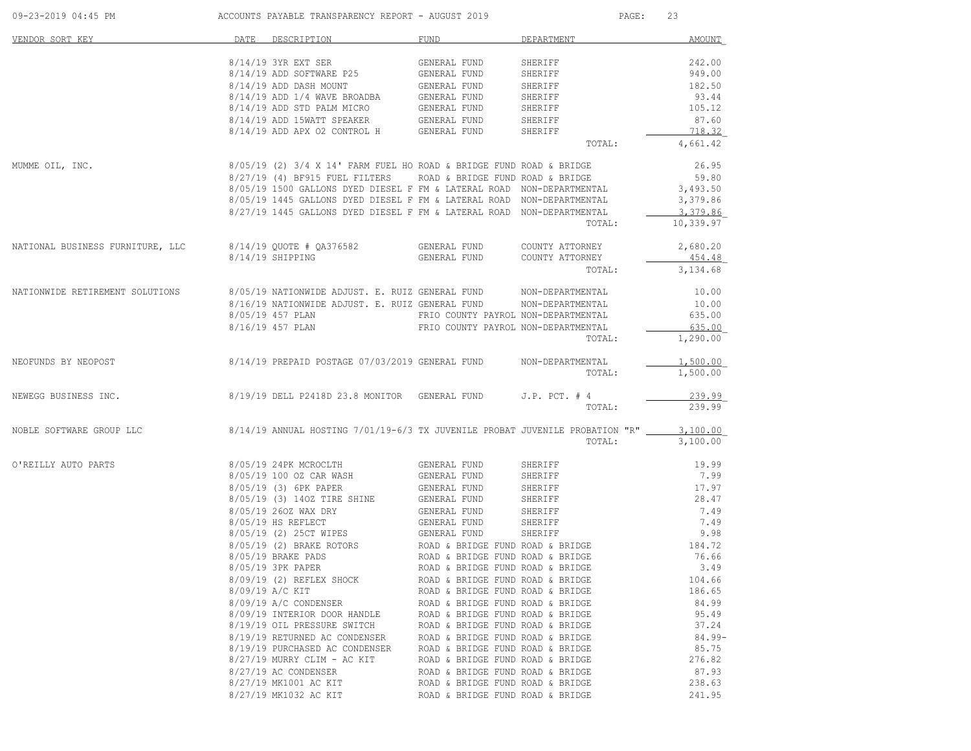| 09-23-2019 04:45 PM              | ACCOUNTS PAYABLE TRANSPARENCY REPORT - AUGUST 2019                                                                                                                                                         |                                     | PAGE:                            | 23        |
|----------------------------------|------------------------------------------------------------------------------------------------------------------------------------------------------------------------------------------------------------|-------------------------------------|----------------------------------|-----------|
| VENDOR SORT KEY                  | DATE DESCRIPTION                                                                                                                                                                                           | FUND                                | DEPARTMENT                       | AMOUNT    |
|                                  | 8/14/19 3YR EXT SER                                                                                                                                                                                        | GENERAL FUND                        | SHERIFF                          | 242.00    |
|                                  |                                                                                                                                                                                                            |                                     | SHERIFF                          | 949.00    |
|                                  |                                                                                                                                                                                                            |                                     | SHERIFF                          | 182.50    |
|                                  |                                                                                                                                                                                                            |                                     | SHERIFF                          | 93.44     |
|                                  |                                                                                                                                                                                                            |                                     | SHERIFF                          | 105.12    |
|                                  |                                                                                                                                                                                                            |                                     | SHERIFF                          | 87.60     |
|                                  |                                                                                                                                                                                                            |                                     | SHERIFF                          | 718.32    |
|                                  |                                                                                                                                                                                                            |                                     | TOTAL:                           | 4,661.42  |
| MUMME OIL, INC.                  | $8/05/19$ (2) $3/4$ X 14' FARM FUEL HO ROAD & BRIDGE FUND ROAD & BRIDGE                                                                                                                                    |                                     |                                  | 26.95     |
|                                  | 8/27/19 (4) BF915 FUEL FILTERS                                                                                                                                                                             | ROAD & BRIDGE FUND ROAD & BRIDGE    |                                  | 59.80     |
|                                  | 8/05/19 1500 GALLONS DYED DIESEL F FM & LATERAL ROAD NON-DEPARTMENTAL                                                                                                                                      |                                     |                                  | 3,493.50  |
|                                  | 8/05/19 1445 GALLONS DYED DIESEL F FM & LATERAL ROAD NON-DEPARTMENTAL                                                                                                                                      |                                     |                                  | 3,379.86  |
|                                  | 8/27/19 1445 GALLONS DYED DIESEL F FM & LATERAL ROAD NON-DEPARTMENTAL                                                                                                                                      |                                     |                                  | 3,379.86  |
|                                  |                                                                                                                                                                                                            |                                     | TOTAL:                           | 10,339.97 |
| NATIONAL BUSINESS FURNITURE, LLC | 8/14/19 QUOTE # QA376582                                                                                                                                                                                   | GENERAL FUND                        | COUNTY ATTORNEY                  | 2,680.20  |
|                                  | 8/14/19 SHIPPING                                                                                                                                                                                           | GENERAL FUND                        | COUNTY ATTORNEY                  | 454.48    |
|                                  |                                                                                                                                                                                                            |                                     | TOTAL:                           | 3,134.68  |
| NATIONWIDE RETIREMENT SOLUTIONS  |                                                                                                                                                                                                            |                                     |                                  | 10.00     |
|                                  | 8/05/19 NATIONWIDE ADJUST. E. RUIZ GENERAL FUND MON-DEPARTMENTAL 8/16/19 NATIONWIDE ADJUST. E. RUIZ GENERAL FUND NON-DEPARTMENTAL                                                                          |                                     |                                  | 10.00     |
|                                  | 8/05/19 457 PLAN                                                                                                                                                                                           | FRIO COUNTY PAYROL NON-DEPARTMENTAL |                                  | 635.00    |
|                                  | 8/16/19 457 PLAN                                                                                                                                                                                           | FRIO COUNTY PAYROL NON-DEPARTMENTAL |                                  | 635.00    |
|                                  |                                                                                                                                                                                                            |                                     | TOTAL:                           | 1,290.00  |
| NEOFUNDS BY NEOPOST              | 8/14/19 PREPAID POSTAGE 07/03/2019 GENERAL FUND                                                                                                                                                            |                                     | NON-DEPARTMENTAL                 | 1,500.00  |
|                                  |                                                                                                                                                                                                            |                                     | TOTAL:                           | 1,500.00  |
| NEWEGG BUSINESS INC.             | 8/19/19 DELL P2418D 23.8 MONITOR GENERAL FUND                                                                                                                                                              |                                     | $J.P.$ PCT. $#$ 4                | 239.99    |
|                                  |                                                                                                                                                                                                            |                                     | TOTAL:                           | 239.99    |
| NOBLE SOFTWARE GROUP LLC         | 8/14/19 ANNUAL HOSTING 7/01/19-6/3 TX JUVENILE PROBAT JUVENILE PROBATION "R"                                                                                                                               |                                     |                                  | 3,100.00  |
|                                  |                                                                                                                                                                                                            |                                     | TOTAL:                           | 3,100.00  |
| O'REILLY AUTO PARTS              | 8/05/19 24PK MCROCLTH GENERAL FUND                                                                                                                                                                         |                                     | SHERIFF                          | 19.99     |
|                                  |                                                                                                                                                                                                            |                                     | SHERIFF                          | 7.99      |
|                                  |                                                                                                                                                                                                            |                                     | SHERIFF                          | 17.97     |
|                                  |                                                                                                                                                                                                            |                                     | SHERIFF                          | 28.47     |
|                                  | 8/05/19 100 OZ CAR WASH GENERAL FUND<br>8/05/19 (3) 6PK PAPER GENERAL FUND<br>8/05/19 (3) 140Z TIRE SHINE GENERAL FUND<br>8/05/19 260Z WAX DRY GENERAL FUND                                                |                                     | SHERIFF                          | 7.49      |
|                                  |                                                                                                                                                                                                            |                                     |                                  | 7.49      |
|                                  | 8/05/19 HS REFLECT GENERAL FUND SHERIFF<br>8/05/19 (2) 25CT WIPES GENERAL FUND SHERIFF<br>8/05/19 (2) BRAKE ROTORS ROAD & BRIDGE FUND ROAD & BRIDGE<br>8/05/19 BRAKE PADS ROAD & BRIDGE FUND ROAD & BRIDGE |                                     |                                  | 9.98      |
|                                  |                                                                                                                                                                                                            |                                     |                                  | 184.72    |
|                                  |                                                                                                                                                                                                            |                                     | ROAD & BRIDGE FUND ROAD & BRIDGE | 76.66     |
|                                  | 8/05/19 3PK PAPER                                                                                                                                                                                          | ROAD & BRIDGE FUND ROAD & BRIDGE    |                                  | 3.49      |
|                                  | 8/09/19 (2) REFLEX SHOCK                                                                                                                                                                                   | ROAD & BRIDGE FUND ROAD & BRIDGE    |                                  | 104.66    |
|                                  | 8/09/19 A/C KIT                                                                                                                                                                                            | ROAD & BRIDGE FUND ROAD & BRIDGE    |                                  | 186.65    |
|                                  | 8/09/19 A/C CONDENSER                                                                                                                                                                                      | ROAD & BRIDGE FUND ROAD & BRIDGE    |                                  | 84.99     |
|                                  | 8/09/19 INTERIOR DOOR HANDLE                                                                                                                                                                               | ROAD & BRIDGE FUND ROAD & BRIDGE    |                                  | 95.49     |
|                                  | 8/19/19 OIL PRESSURE SWITCH                                                                                                                                                                                | ROAD & BRIDGE FUND ROAD & BRIDGE    |                                  | 37.24     |
|                                  | 8/19/19 RETURNED AC CONDENSER                                                                                                                                                                              | ROAD & BRIDGE FUND ROAD & BRIDGE    |                                  | $84.99 -$ |
|                                  | 8/19/19 PURCHASED AC CONDENSER                                                                                                                                                                             | ROAD & BRIDGE FUND ROAD & BRIDGE    |                                  | 85.75     |
|                                  | 8/27/19 MURRY CLIM - AC KIT                                                                                                                                                                                | ROAD & BRIDGE FUND ROAD & BRIDGE    |                                  | 276.82    |
|                                  | 8/27/19 AC CONDENSER                                                                                                                                                                                       | ROAD & BRIDGE FUND ROAD & BRIDGE    |                                  | 87.93     |
|                                  | 8/27/19 MK1001 AC KIT                                                                                                                                                                                      | ROAD & BRIDGE FUND ROAD & BRIDGE    |                                  | 238.63    |
|                                  |                                                                                                                                                                                                            | ROAD & BRIDGE FUND ROAD & BRIDGE    |                                  | 241.95    |
|                                  | 8/27/19 MK1032 AC KIT                                                                                                                                                                                      |                                     |                                  |           |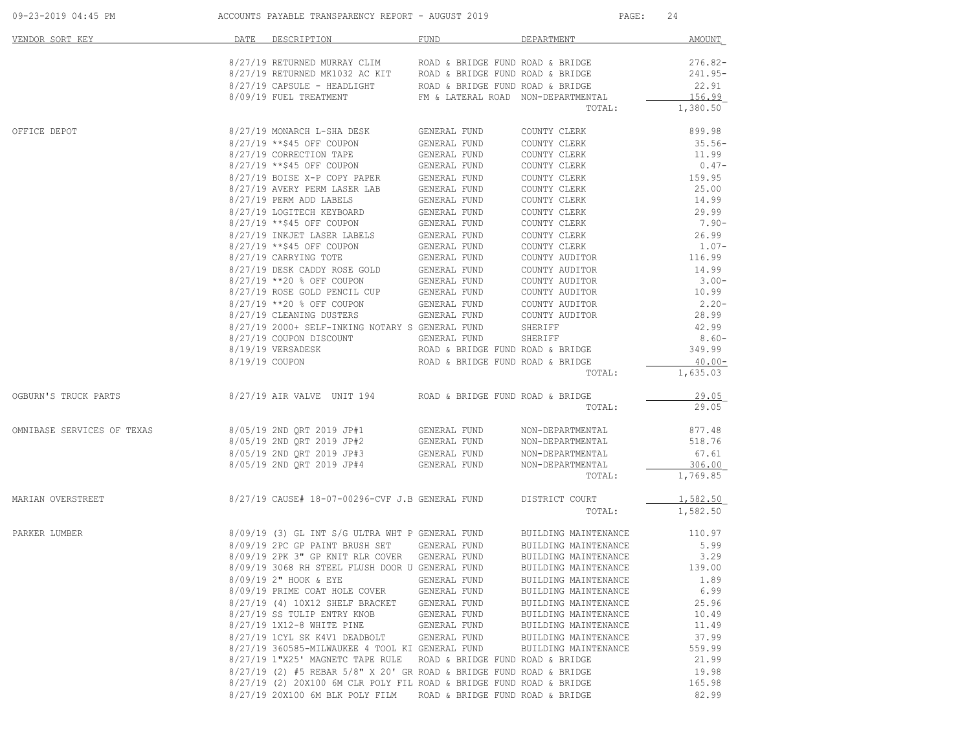| 09-23-2019 04:45 PM        | ACCOUNTS PAYABLE TRANSPARENCY REPORT - AUGUST 2019                                                                                         |                                    |                                              | 24<br>PAGE:       |
|----------------------------|--------------------------------------------------------------------------------------------------------------------------------------------|------------------------------------|----------------------------------------------|-------------------|
| VENDOR SORT KEY            | DATE<br>DESCRIPTION                                                                                                                        | FUND                               | DEPARTMENT                                   | AMOUNT            |
|                            | $8/27/19$ RETURNED MURRAY CLIM        ROAD & BRIDGE FUND ROAD & BRIDGE 8/27/19 RETURNED MK1032 AC KIT     ROAD & BRIDGE FUND ROAD & BRIDGE |                                    |                                              | $276.82-$         |
|                            |                                                                                                                                            |                                    |                                              | 241.95-           |
|                            | 8/27/19 CAPSULE - HEADLIGHT ROAD & BRIDGE FUND ROAD & BRIDGE                                                                               |                                    |                                              | 22.91             |
|                            | 8/09/19 FUEL TREATMENT                                                                                                                     | FM & LATERAL ROAD NON-DEPARTMENTAL |                                              | 156.99            |
|                            |                                                                                                                                            |                                    | TOTAL:                                       | 1,380.50          |
| OFFICE DEPOT               |                                                                                                                                            |                                    | COUNTY CLERK                                 | 899.98            |
|                            | 8/27/19 **\$45 OFF COUPON                                                                                                                  | GENERAL FUND                       | COUNTY CLERK                                 | 35.56-            |
|                            | 8/27/19 CORRECTION TAPE                                                                                                                    | GENERAL FUND                       | COUNTY CLERK                                 | 11.99             |
|                            | $8/27/19$ **\$45 OFF COUPON GENERAL FUND<br>$8/27/19$ BOISE X-P COPY PAPER GENERAL FUND                                                    |                                    | COUNTY CLERK                                 | $0.47-$           |
|                            |                                                                                                                                            |                                    | COUNTY CLERK                                 | 159.95            |
|                            | 8/27/19 AVERY PERM LASER LAB GENERAL FUND                                                                                                  |                                    | COUNTY CLERK                                 | 25.00             |
|                            | 8/27/19 PERM ADD LABELS                                                                                                                    | GENERAL FUND                       | COUNTY CLERK                                 | 14.99             |
|                            | 8/27/19 LOGITECH KEYBOARD                                                                                                                  | <b>GENERAL FUND</b>                | COUNTY CLERK                                 | 29.99             |
|                            | 8/27/19 **\$45 OFF COUPON                                                                                                                  | GENERAL FUND                       | COUNTY CLERK                                 | 7.90-             |
|                            | 8/27/19 INKJET LASER LABELS                                                                                                                | GENERAL FUND                       | COUNTY CLERK                                 | 26.99             |
|                            | 8/27/19 **\$45 OFF COUPON<br>8/27/19 CARRYING TOTE                                                                                         | GENERAL FUND<br>GENERAL FUND       | COUNTY CLERK<br>COUNTY AUDITOR               | $1.07-$<br>116.99 |
|                            |                                                                                                                                            |                                    | COUNTY AUDITOR                               | 14.99             |
|                            | $8/27/19$ DESK CADDY ROSE GOLD GENERAL FUND<br>8/27/19 **20 % OFF COUPON                                                                   | GENERAL FUND                       | COUNTY AUDITOR                               | $3.00-$           |
|                            | 8/27/19 ROSE GOLD PENCIL CUP GENERAL FUND                                                                                                  |                                    | COUNTY AUDITOR                               | 10.99             |
|                            | 8/27/19 **20 % OFF COUPON                                                                                                                  |                                    | COUNTY AUDITOR                               | $2.20 -$          |
|                            | 8/27/19 CLEANING DUSTERS                                                                                                                   | GENERAL FUND<br>GENERAL FUND       | COUNTY AUDITOR                               | 28.99             |
|                            | 8/27/19 2000+ SELF-INKING NOTARY S GENERAL FUND                                                                                            |                                    | SHERIFF                                      | 42.99             |
|                            | 8/27/19 COUPON DISCOUNT                                                                                                                    | GENERAL FUND                       | SHERIFF                                      | $8.60 -$          |
|                            | 8/19/19 VERSADESK                                                                                                                          | ROAD & BRIDGE FUND ROAD & BRIDGE   |                                              | 349.99            |
|                            | 8/19/19 COUPON                                                                                                                             | ROAD & BRIDGE FUND ROAD & BRIDGE   |                                              | $40.00 -$         |
|                            |                                                                                                                                            |                                    | TOTAL:                                       | 1,635.03          |
| OGBURN'S TRUCK PARTS       | $8/27/19$ AIR VALVE UNIT 194 ROAD & BRIDGE FUND ROAD & BRIDGE                                                                              |                                    |                                              | 29.05             |
|                            |                                                                                                                                            |                                    | TOTAL:                                       | 29.05             |
| OMNIBASE SERVICES OF TEXAS | 8/05/19 2ND QRT 2019 JP#1                                                                                                                  |                                    | NON-DEPARTMENTAL                             | 877.48            |
|                            | 8/05/19 2ND QRT 2019 JP#2                                                                                                                  | GENERAL FUND<br>GENERAL FUND       | NON-DEPARTMENTAL                             | 518.76            |
|                            | 8/05/19 2ND QRT 2019 JP#3                                                                                                                  | GENERAL FUND                       | NON-DEPARTMENTAL                             | 67.61             |
|                            | 8/05/19 2ND QRT 2019 JP#4                                                                                                                  | GENERAL FUND                       | NON-DEPARTMENTAL                             | 306.00            |
|                            |                                                                                                                                            |                                    | TOTAL:                                       | 1,769.85          |
| MARIAN OVERSTREET          | 8/27/19 CAUSE# 18-07-00296-CVF J.B GENERAL FUND                                                                                            |                                    | DISTRICT COURT                               | 1,582.50          |
|                            |                                                                                                                                            |                                    | TOTAL:                                       | 1,582.50          |
| PARKER LUMBER              | 8/09/19 (3) GL INT S/G ULTRA WHT P GENERAL FUND                                                                                            |                                    | BUILDING MAINTENANCE                         | 110.97            |
|                            | 8/09/19 2PC GP PAINT BRUSH SET                                                                                                             | GENERAL FUND                       | BUILDING MAINTENANCE                         | 5.99              |
|                            | 8/09/19 2PK 3" GP KNIT RLR COVER GENERAL FUND                                                                                              |                                    | BUILDING MAINTENANCE                         | 3.29              |
|                            | 8/09/19 3068 RH STEEL FLUSH DOOR U GENERAL FUND                                                                                            |                                    | BUILDING MAINTENANCE                         | 139.00            |
|                            | 8/09/19 2" HOOK & EYE                                                                                                                      | GENERAL FUND                       | BUILDING MAINTENANCE                         | 1.89              |
|                            | 8/09/19 PRIME COAT HOLE COVER                                                                                                              | GENERAL FUND                       | BUILDING MAINTENANCE                         | 6.99              |
|                            | 8/27/19 (4) 10X12 SHELF BRACKET                                                                                                            | GENERAL FUND                       | BUILDING MAINTENANCE                         | 25.96             |
|                            | 8/27/19 SS TULIP ENTRY KNOB                                                                                                                | GENERAL FUND                       | BUILDING MAINTENANCE                         | 10.49             |
|                            | 8/27/19 1X12-8 WHITE PINE                                                                                                                  | GENERAL FUND                       | BUILDING MAINTENANCE                         | 11.49<br>37.99    |
|                            | 8/27/19 1CYL SK K4V1 DEADBOLT<br>8/27/19 360585-MILWAUKEE 4 TOOL KI GENERAL FUND                                                           | GENERAL FUND                       | BUILDING MAINTENANCE<br>BUILDING MAINTENANCE | 559.99            |
|                            | 8/27/19 1"X25' MAGNETC TAPE RULE                                                                                                           | ROAD & BRIDGE FUND ROAD & BRIDGE   |                                              | 21.99             |
|                            | $8/27/19$ (2) #5 REBAR 5/8" X 20' GR ROAD & BRIDGE FUND ROAD & BRIDGE                                                                      |                                    |                                              | 19.98             |
|                            | 8/27/19 (2) 20X100 6M CLR POLY FIL ROAD & BRIDGE FUND ROAD & BRIDGE                                                                        |                                    |                                              | 165.98            |
|                            | 8/27/19 20X100 6M BLK POLY FILM                                                                                                            | ROAD & BRIDGE FUND ROAD & BRIDGE   |                                              | 82.99             |
|                            |                                                                                                                                            |                                    |                                              |                   |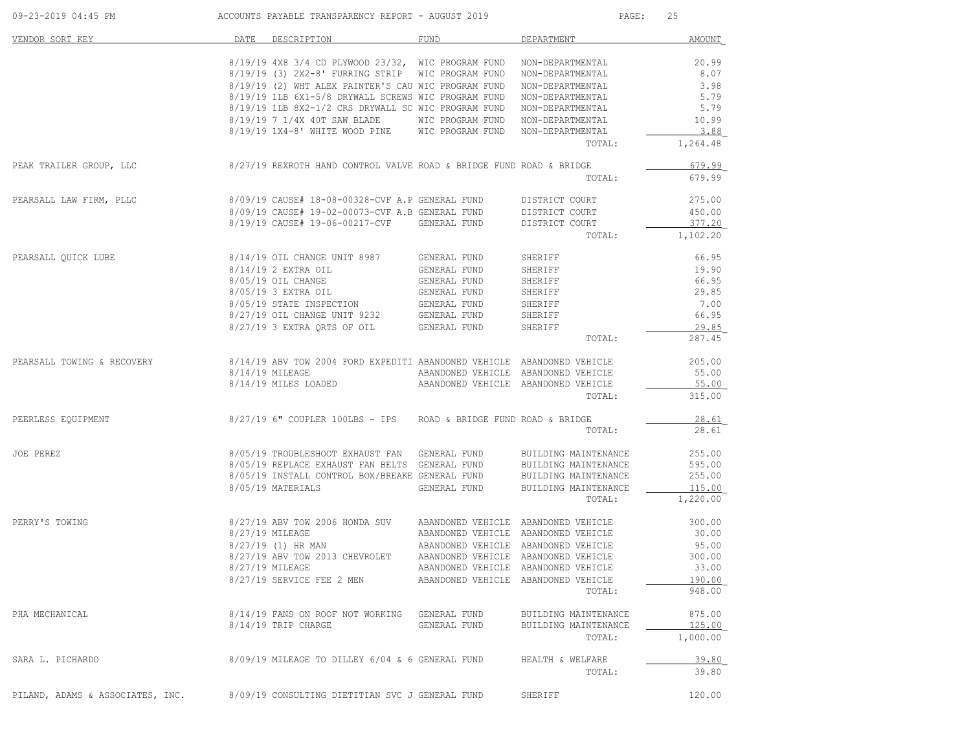| 09-23-2019 04:45 PM              | ACCOUNTS PAYABLE TRANSPARENCY REPORT - AUGUST 2019                                                         |                                     |                                      | 25<br>PAGE:      |
|----------------------------------|------------------------------------------------------------------------------------------------------------|-------------------------------------|--------------------------------------|------------------|
| VENDOR SORT KEY                  | DATE DESCRIPTION                                                                                           | FUND                                | DEPARTMENT                           | AMOUNT           |
|                                  | 8/19/19 4X8 3/4 CD PLYWOOD 23/32, WIC PROGRAM FUND NON-DEPARTMENTAL                                        |                                     |                                      | 20.99            |
|                                  | 8/19/19 (3) 2X2-8' FURRING STRIP WIC PROGRAM FUND NON-DEPARTMENTAL                                         |                                     |                                      | 8.07             |
|                                  | 8/19/19 (2) WHT ALEX PAINTER'S CAU WIC PROGRAM FUND                                                        |                                     | NON-DEPARTMENTAL                     | 3.98             |
|                                  | 8/19/19 1LB 6X1-5/8 DRYWALL SCREWS WIC PROGRAM FUND<br>8/19/19 1LB 8X2-1/2 CRS DRYWALL SC WIC PROGRAM FUND |                                     | NON-DEPARTMENTAL                     | 5.79<br>5.79     |
|                                  | 8/19/19 7 1/4X 40T SAW BLADE                                                                               | WIC PROGRAM FUND                    | NON-DEPARTMENTAL<br>NON-DEPARTMENTAL | 10.99            |
|                                  | 8/19/19 1X4-8' WHITE WOOD PINE                                                                             | WIC PROGRAM FUND                    | NON-DEPARTMENTAL                     | 3.88             |
|                                  |                                                                                                            |                                     | TOTAL:                               | 1,264.48         |
| PEAK TRAILER GROUP, LLC          | $8/27/19$ REXROTH HAND CONTROL VALVE ROAD & BRIDGE FUND ROAD & BRIDGE                                      |                                     |                                      | 679.99           |
|                                  |                                                                                                            |                                     | TOTAL:                               | 679.99           |
| PEARSALL LAW FIRM, PLLC          | 8/09/19 CAUSE# 18-08-00328-CVF A.P GENERAL FUND DISTRICT COURT                                             |                                     |                                      | 275.00           |
|                                  | 8/09/19 CAUSE# 19-02-00073-CVF A.B GENERAL FUND                                                            |                                     | DISTRICT COURT                       | 450.00           |
|                                  | 8/19/19 CAUSE# 19-06-00217-CVF GENERAL FUND                                                                |                                     | DISTRICT COURT                       | 377.20           |
|                                  |                                                                                                            |                                     | TOTAL:                               | 1,102.20         |
| PEARSALL QUICK LUBE              | 8/14/19 OIL CHANGE UNIT 8987 GENERAL FUND                                                                  |                                     | SHERIFF                              | 66.95            |
|                                  | 8/14/19 2 EXTRA OIL                                                                                        | GENERAL FUND                        | SHERIFF                              | 19.90            |
|                                  | 8/05/19 OIL CHANGE                                                                                         | GENERAL FUND                        | SHERIFF                              | 66.95            |
|                                  | 8/05/19 3 EXTRA OIL<br>8/05/19 3 EXTRA OIL 6ENERAL FUND<br>8/05/19 STATE INSPECTION 6ENERAL FUND           |                                     | SHERIFF                              | 29.85            |
|                                  |                                                                                                            |                                     | SHERIFF                              | 7.00             |
|                                  | 8/27/19 OIL CHANGE UNIT 9232 GENERAL FUND<br>8/27/19 3 EXTRA QRTS OF OIL GENERAL FUND                      |                                     | SHERIFF                              | 66.95            |
|                                  |                                                                                                            |                                     | SHERIFF<br>TOTAL:                    | 29.85<br>287.45  |
|                                  |                                                                                                            |                                     |                                      |                  |
| PEARSALL TOWING & RECOVERY       | 8/14/19 ABV TOW 2004 FORD EXPEDITI ABANDONED VEHICLE ABANDONED VEHICLE                                     |                                     |                                      | 205.00           |
|                                  | $8/14/19$ MILEAGE<br>8/14/19 MILES LOADED                                                                  | ABANDONED VEHICLE ABANDONED VEHICLE | ABANDONED VEHICLE ABANDONED VEHICLE  | 55.00<br>55.00   |
|                                  |                                                                                                            |                                     | TOTAL:                               | 315.00           |
| PEERLESS EQUIPMENT               | 8/27/19 6" COUPLER 100LBS - IPS ROAD & BRIDGE FUND ROAD & BRIDGE                                           |                                     |                                      | 28.61            |
|                                  |                                                                                                            |                                     | TOTAL:                               | 28.61            |
| JOE PEREZ                        | 8/05/19 TROUBLESHOOT EXHAUST FAN GENERAL FUND                                                              |                                     | BUILDING MAINTENANCE                 | 255.00           |
|                                  | 8/05/19 REPLACE EXHAUST FAN BELTS GENERAL FUND                                                             |                                     | BUILDING MAINTENANCE                 | 595.00           |
|                                  | 8/05/19 INSTALL CONTROL BOX/BREAKE GENERAL FUND                                                            |                                     | BUILDING MAINTENANCE                 | 255.00           |
|                                  | 8/05/19 MATERIALS                                                                                          | GENERAL FUND                        | BUILDING MAINTENANCE                 | 115.00           |
|                                  |                                                                                                            |                                     | TOTAL:                               | 1,220.00         |
| PERRY'S TOWING                   | 8/27/19 ABV TOW 2006 HONDA SUV                                                                             | ABANDONED VEHICLE ABANDONED VEHICLE |                                      | 300.00           |
|                                  | 8/27/19 MILEAGE                                                                                            | ABANDONED VEHICLE ABANDONED VEHICLE |                                      | 30.00            |
|                                  | 8/27/19 (1) HR MAN                                                                                         | ABANDONED VEHICLE ABANDONED VEHICLE |                                      | 95.00            |
|                                  | 8/27/19 ABV TOW 2013 CHEVROLET                                                                             | ABANDONED VEHICLE ABANDONED VEHICLE |                                      | 300.00           |
|                                  | 8/27/19 MILEAGE                                                                                            | ABANDONED VEHICLE ABANDONED VEHICLE |                                      | 33.00            |
|                                  | 8/27/19 SERVICE FEE 2 MEN                                                                                  | ABANDONED VEHICLE ABANDONED VEHICLE | TOTAL:                               | 190.00<br>948.00 |
| PHA MECHANICAL                   | 8/14/19 FANS ON ROOF NOT WORKING GENERAL FUND                                                              |                                     | BUILDING MAINTENANCE                 | 875.00           |
|                                  | 8/14/19 TRIP CHARGE                                                                                        | GENERAL FUND                        | BUILDING MAINTENANCE                 | 125.00           |
|                                  |                                                                                                            |                                     | TOTAL:                               | 1,000.00         |
| SARA L. PICHARDO                 | 8/09/19 MILEAGE TO DILLEY 6/04 & 6 GENERAL FUND                                                            |                                     | HEALTH & WELFARE                     | 39.80            |
|                                  |                                                                                                            |                                     | TOTAL:                               | 39.80            |
| PILAND, ADAMS & ASSOCIATES, INC. | 8/09/19 CONSULTING DIETITIAN SVC J GENERAL FUND                                                            |                                     | SHERIFF                              | 120.00           |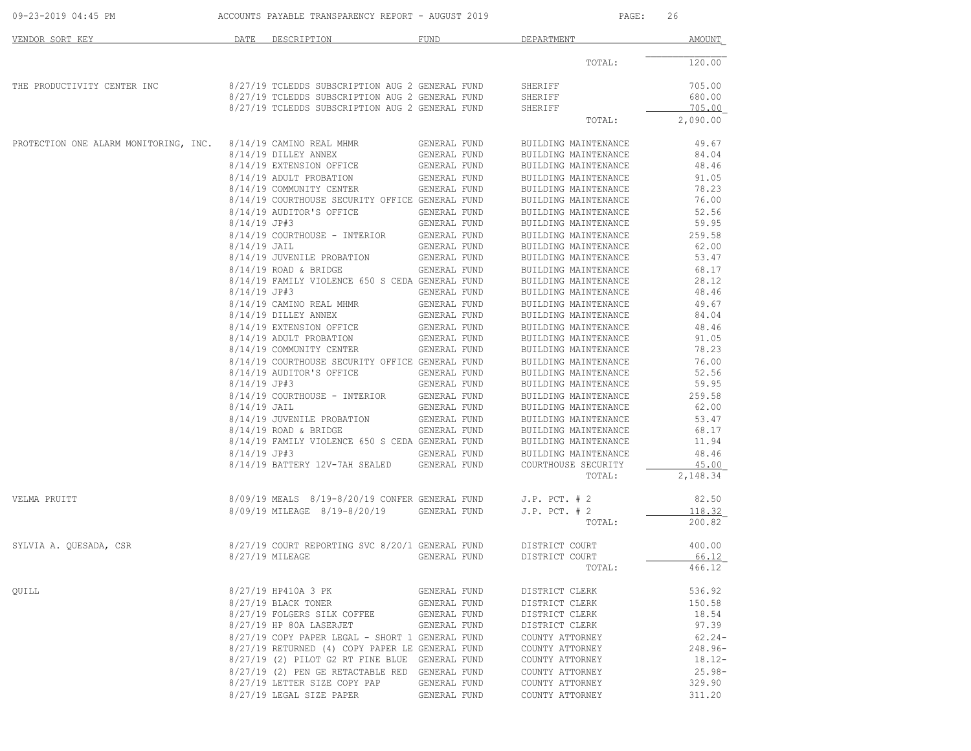| 09-23-2019 04:45 PM                   |                | ACCOUNTS PAYABLE TRANSPARENCY REPORT - AUGUST 2019                                                 |                                     | PAGE:                | 26               |
|---------------------------------------|----------------|----------------------------------------------------------------------------------------------------|-------------------------------------|----------------------|------------------|
| VENDOR SORT KEY                       |                | DATE DESCRIPTION                                                                                   | <b>FUND</b>                         | DEPARTMENT           | <b>AMOUNT</b>    |
|                                       |                |                                                                                                    |                                     | TOTAL:               | 120.00           |
| THE PRODUCTIVITY CENTER INC           |                | 8/27/19 TCLEDDS SUBSCRIPTION AUG 2 GENERAL FUND                                                    |                                     | SHERIFF              | 705.00           |
|                                       |                | 8/27/19 TCLEDDS SUBSCRIPTION AUG 2 GENERAL FUND<br>8/27/19 TCLEDDS SUBSCRIPTION AUG 2 GENERAL FUND |                                     | SHERIFF<br>SHERIFF   | 680.00<br>705.00 |
|                                       |                |                                                                                                    |                                     | TOTAL:               | 2,090.00         |
| PROTECTION ONE ALARM MONITORING, INC. |                | 8/14/19 CAMINO REAL MHMR                                                                           | GENERAL FUND                        | BUILDING MAINTENANCE | 49.67            |
|                                       |                | 8/14/19 DILLEY ANNEX                                                                               | GENERAL FUND                        | BUILDING MAINTENANCE | 84.04            |
|                                       |                | 8/14/19 EXTENSION OFFICE                                                                           | GENERAL FUND                        | BUILDING MAINTENANCE | 48.46            |
|                                       |                | 8/14/19 ADULT PROBATION                                                                            | GENERAL FUND                        | BUILDING MAINTENANCE | 91.05            |
|                                       |                | 8/14/19 COMMUNITY CENTER                                                                           | GENERAL FUND                        | BUILDING MAINTENANCE | 78.23            |
|                                       |                | 8/14/19 COURTHOUSE SECURITY OFFICE GENERAL FUND                                                    |                                     | BUILDING MAINTENANCE | 76.00            |
|                                       |                | 8/14/19 AUDITOR'S OFFICE                                                                           | GENERAL FUND                        | BUILDING MAINTENANCE | 52.56            |
|                                       | $8/14/19$ JP#3 |                                                                                                    | GENERAL FUND                        | BUILDING MAINTENANCE | 59.95            |
|                                       |                | 8/14/19 COURTHOUSE - INTERIOR GENERAL FUND                                                         |                                     | BUILDING MAINTENANCE | 259.58           |
|                                       | $8/14/19$ JAIL |                                                                                                    | GENERAL FUND                        | BUILDING MAINTENANCE | 62.00            |
|                                       |                | 8/14/19 JUVENILE PROBATION                                                                         | GENERAL FUND                        | BUILDING MAINTENANCE | 53.47            |
|                                       |                | $8/14/19$ ROAD & BRIDGE                                                                            | GENERAL FUND                        | BUILDING MAINTENANCE | 68.17            |
|                                       |                | 8/14/19 FAMILY VIOLENCE 650 S CEDA GENERAL FUND                                                    |                                     | BUILDING MAINTENANCE | 28.12            |
|                                       | $8/14/19$ JP#3 |                                                                                                    | GENERAL FUND                        | BUILDING MAINTENANCE | 48.46            |
|                                       |                | 8/14/19 CAMINO REAL MHMR                                                                           | GENERAL FUND                        | BUILDING MAINTENANCE | 49.67            |
|                                       |                | 8/14/19 DILLEY ANNEX                                                                               | GENERAL FUND                        | BUILDING MAINTENANCE | 84.04            |
|                                       |                |                                                                                                    |                                     |                      |                  |
|                                       |                | 8/14/19 EXTENSION OFFICE                                                                           | GENERAL FUND                        | BUILDING MAINTENANCE | 48.46<br>91.05   |
|                                       |                | 8/14/19 ADULT PROBATION<br>8/14/19 COMMUNITY CENTER                                                | GENERAL FUND<br><b>GENERAL FUND</b> | BUILDING MAINTENANCE | 78.23            |
|                                       |                |                                                                                                    |                                     | BUILDING MAINTENANCE |                  |
|                                       |                | 8/14/19 COURTHOUSE SECURITY OFFICE GENERAL FUND                                                    |                                     | BUILDING MAINTENANCE | 76.00            |
|                                       |                | 8/14/19 AUDITOR'S OFFICE                                                                           | GENERAL FUND                        | BUILDING MAINTENANCE | 52.56            |
|                                       | $8/14/19$ JP#3 |                                                                                                    | GENERAL FUND                        | BUILDING MAINTENANCE | 59.95            |
|                                       |                | 8/14/19 COURTHOUSE - INTERIOR GENERAL FUND                                                         |                                     | BUILDING MAINTENANCE | 259.58           |
|                                       | $8/14/19$ JAIL |                                                                                                    | GENERAL FUND                        | BUILDING MAINTENANCE | 62.00            |
|                                       |                | 8/14/19 JUVENILE PROBATION                                                                         | GENERAL FUND                        | BUILDING MAINTENANCE | 53.47            |
|                                       |                | $8/14/19$ ROAD & BRIDGE                                                                            | GENERAL FUND                        | BUILDING MAINTENANCE | 68.17            |
|                                       |                | 8/14/19 FAMILY VIOLENCE 650 S CEDA GENERAL FUND                                                    |                                     | BUILDING MAINTENANCE | 11.94            |
|                                       | $8/14/19$ JP#3 |                                                                                                    | GENERAL FUND                        | BUILDING MAINTENANCE | 48.46            |
|                                       |                | 8/14/19 BATTERY 12V-7AH SEALED GENERAL FUND                                                        |                                     | COURTHOUSE SECURITY  | 45.00            |
|                                       |                |                                                                                                    |                                     | TOTAL:               | 2,148.34         |
| VELMA PRUITT                          |                | 8/09/19 MEALS 8/19-8/20/19 CONFER GENERAL FUND                                                     |                                     | $J.P.$ PCT. $# 2$    | 82.50            |
|                                       |                | 8/09/19 MILEAGE 8/19-8/20/19                                                                       | GENERAL FUND                        | $J.P.$ PCT. $# 2$    | 118.32           |
|                                       |                |                                                                                                    |                                     | TOTAL:               | 200.82           |
| SYLVIA A. QUESADA, CSR                |                | 8/27/19 COURT REPORTING SVC 8/20/1 GENERAL FUND                                                    |                                     | DISTRICT COURT       | 400.00           |
|                                       |                | 8/27/19 MILEAGE                                                                                    | GENERAL FUND                        | DISTRICT COURT       | 66.12            |
|                                       |                |                                                                                                    |                                     | TOTAL:               | 466.12           |
| QUILL                                 |                | 8/27/19 HP410A 3 PK                                                                                | GENERAL FUND                        | DISTRICT CLERK       | 536.92           |
|                                       |                | 8/27/19 BLACK TONER                                                                                | GENERAL FUND                        | DISTRICT CLERK       | 150.58           |
|                                       |                | 8/27/19 FOLGERS SILK COFFEE                                                                        | GENERAL FUND                        | DISTRICT CLERK       | 18.54            |
|                                       |                | 8/27/19 HP 80A LASERJET                                                                            | GENERAL FUND                        | DISTRICT CLERK       | 97.39            |
|                                       |                | 8/27/19 COPY PAPER LEGAL - SHORT 1 GENERAL FUND                                                    |                                     | COUNTY ATTORNEY      | $62.24-$         |
|                                       |                | 8/27/19 RETURNED (4) COPY PAPER LE GENERAL FUND                                                    |                                     | COUNTY ATTORNEY      | 248.96-          |
|                                       |                | 8/27/19 (2) PILOT G2 RT FINE BLUE GENERAL FUND                                                     |                                     | COUNTY ATTORNEY      | $18.12-$         |
|                                       |                | 8/27/19 (2) PEN GE RETACTABLE RED GENERAL FUND                                                     |                                     | COUNTY ATTORNEY      | $25.98 -$        |
|                                       |                | 8/27/19 LETTER SIZE COPY PAP                                                                       | GENERAL FUND                        | COUNTY ATTORNEY      | 329.90           |
|                                       |                | 8/27/19 LEGAL SIZE PAPER                                                                           | GENERAL FUND                        | COUNTY ATTORNEY      | 311.20           |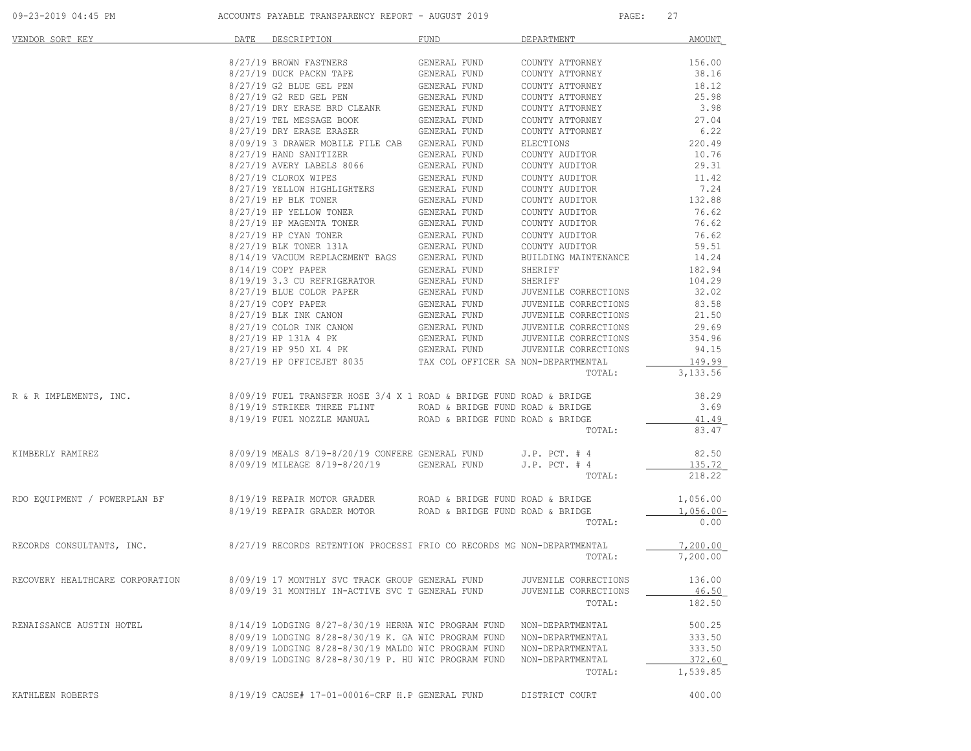| VENDOR SORT KEY                                                                                  | DATE DESCRIPTION                                                                                                                                                                                                                         | FUND FUND                                                                    | DEPARTMENT                         | AMOUNT             |
|--------------------------------------------------------------------------------------------------|------------------------------------------------------------------------------------------------------------------------------------------------------------------------------------------------------------------------------------------|------------------------------------------------------------------------------|------------------------------------|--------------------|
|                                                                                                  | 8/27/19 BROWN FASTNERS                                                                                                                                                                                                                   | GENERAL FUND                                                                 | COUNTY ATTORNEY                    | 156.00             |
|                                                                                                  | 8/27/19 DUCK PACKN TAPE                                                                                                                                                                                                                  | GENERAL FUND<br>GENERAL FUND                                                 | COUNTY ATTORNEY                    | 38.16              |
|                                                                                                  | 8/27/19 G2 BLUE GEL PEN                                                                                                                                                                                                                  |                                                                              | COUNTY ATTORNEY                    | 18.12              |
|                                                                                                  | 9/27/19 G2 RED GEL PEN GENERAL FUND<br>8/27/19 G2 RED GEL PEN GENERAL FUND<br>8/27/19 DRY ERASE BRD CLEANR GENERAL FUND                                                                                                                  |                                                                              | COUNTY ATTORNEY                    | 25.98              |
|                                                                                                  | 8/27/19 TEL MESSAGE BOOK                                                                                                                                                                                                                 | GENERAL FUND                                                                 | COUNTY ATTORNEY<br>COUNTY ATTORNEY | 3.98<br>27.04      |
|                                                                                                  | 8/27/19 DRY ERASE ERASER GENERAL FUND                                                                                                                                                                                                    |                                                                              | COUNTY ATTORNEY                    | 6.22               |
|                                                                                                  | 8/09/19 3 DRAWER MOBILE FILE CAB GENERAL FUND                                                                                                                                                                                            |                                                                              | ELECTIONS                          | 220.49             |
|                                                                                                  | 8/27/19 HAND SANITIZER                                                                                                                                                                                                                   | GENERAL FUND                                                                 | COUNTY AUDITOR                     | 10.76              |
|                                                                                                  | 8/27/19 AVERY LABELS 8066                                                                                                                                                                                                                | GENERAL FUND                                                                 | COUNTY AUDITOR                     | 29.31              |
|                                                                                                  | 8/27/19 CLOROX WIPES                                                                                                                                                                                                                     | GENERAL FUND<br>GENERAL FUND<br>GENERAL FUND<br>GENERAL FUND<br>GENERAL FUND | COUNTY AUDITOR                     | 11.42              |
|                                                                                                  | 8/27/19 YELLOW HIGHLIGHTERS<br>8/27/19 HP BLK TONER                                                                                                                                                                                      |                                                                              | COUNTY AUDITOR<br>COUNTY AUDITOR   | 7.24<br>132.88     |
|                                                                                                  | 8/27/19 HP YELLOW TONER                                                                                                                                                                                                                  |                                                                              | COUNTY AUDITOR                     | 76.62              |
|                                                                                                  | 8/27/19 HP MAGENTA TONER                                                                                                                                                                                                                 |                                                                              | COUNTY AUDITOR                     | 76.62              |
|                                                                                                  | 8/27/19 HP CYAN TONER                                                                                                                                                                                                                    |                                                                              | COUNTY AUDITOR                     | 76.62              |
|                                                                                                  | 8/27/19 BLK TONER 131A                                                                                                                                                                                                                   | GENERAL FUND<br>GENERAL FUND                                                 | COUNTY AUDITOR                     | 59.51              |
|                                                                                                  | 8/14/19 VACUUM REPLACEMENT BAGS GENERAL FUND                                                                                                                                                                                             |                                                                              | BUILDING MAINTENANCE               | 14.24              |
|                                                                                                  | 8/14/19 COPY PAPER                                                                                                                                                                                                                       | GENERAL FUND                                                                 | SHERIFF                            | 182.94             |
|                                                                                                  | 8/19/19 3.3 CU REFRIGERATOR GENERAL FUND                                                                                                                                                                                                 |                                                                              | SHERIFF<br>JUVENILE CORRECTIONS    | 104.29<br>32.02    |
|                                                                                                  |                                                                                                                                                                                                                                          |                                                                              | JUVENILE CORRECTIONS               | 83.58              |
|                                                                                                  |                                                                                                                                                                                                                                          |                                                                              | JUVENILE CORRECTIONS               | 21.50              |
|                                                                                                  |                                                                                                                                                                                                                                          |                                                                              | JUVENILE CORRECTIONS               | 29.69              |
|                                                                                                  |                                                                                                                                                                                                                                          |                                                                              | JUVENILE CORRECTIONS               | 354.96             |
|                                                                                                  | 8/27/19 BLUE COLOR PAPER<br>8/27/19 BLUE COLOR PAPER<br>8/27/19 GDEY PAPER<br>8/27/19 BLK INK CANON<br>8/27/19 BLK INK CANON<br>8/27/19 HP 131A 4 PK<br>8/27/19 HP 950 XL 4 PK<br>GENERAL FUND<br>8/27/19 HP 950 XL 4 PK<br>GENERAL FUND |                                                                              | JUVENILE CORRECTIONS               | 94.15              |
|                                                                                                  | 8/27/19 HP OFFICEJET 8035 TAX COL OFFICER SA NON-DEPARTMENTAL                                                                                                                                                                            |                                                                              | TOTAL:                             | 149.99<br>3,133.56 |
| R & R IMPLEMENTS, INC.                                                                           | $8/09/19$ FUEL TRANSFER HOSE 3/4 X 1 ROAD & BRIDGE FUND ROAD & BRIDGE                                                                                                                                                                    |                                                                              |                                    | 38.29              |
|                                                                                                  | 8/19/19 STRIKER THREE FLINT ROAD & BRIDGE FUND ROAD & BRIDGE                                                                                                                                                                             |                                                                              |                                    | 3.69               |
|                                                                                                  | 8/19/19 FUEL NOZZLE MANUAL ROAD & BRIDGE FUND ROAD & BRIDGE                                                                                                                                                                              |                                                                              |                                    | 41.49              |
|                                                                                                  |                                                                                                                                                                                                                                          |                                                                              | TOTAL:                             | 83.47              |
| KIMBERLY RAMIREZ                                                                                 | $8/09/19$ MEALS $8/19-8/20/19$ CONFERE GENERAL FUND J.P. PCT. # 4                                                                                                                                                                        |                                                                              |                                    | 82.50              |
|                                                                                                  | 8/09/19 MILEAGE 8/19-8/20/19 GENERAL FUND                                                                                                                                                                                                |                                                                              | $J.P.$ PCT. $#4$                   | 135.72             |
|                                                                                                  |                                                                                                                                                                                                                                          |                                                                              | TOTAL:                             | 218.22             |
| RDO EQUIPMENT / POWERPLAN BF                                                                     |                                                                                                                                                                                                                                          |                                                                              |                                    | 1,056.00           |
|                                                                                                  | 8/19/19 REPAIR MOTOR GRADER        ROAD & BRIDGE FUND ROAD & BRIDGE<br>8/19/19 REPAIR GRADER MOTOR       ROAD & BRIDGE FUND ROAD & BRIDGE                                                                                                |                                                                              |                                    | 1,056.00-          |
|                                                                                                  |                                                                                                                                                                                                                                          |                                                                              | TOTAL:                             | 0.00               |
| RECORDS CONSULTANTS, INC. 6/27/19 RECORDS RETENTION PROCESSI FRIO CO RECORDS MG NON-DEPARTMENTAL |                                                                                                                                                                                                                                          |                                                                              |                                    | 7,200.00           |
|                                                                                                  |                                                                                                                                                                                                                                          |                                                                              | TOTAL:                             | 7,200.00           |
| RECOVERY HEALTHCARE CORPORATION                                                                  | 8/09/19 17 MONTHLY SVC TRACK GROUP GENERAL FUND                                                                                                                                                                                          |                                                                              | JUVENILE CORRECTIONS               | 136.00             |
|                                                                                                  | 8/09/19 31 MONTHLY IN-ACTIVE SVC T GENERAL FUND                                                                                                                                                                                          |                                                                              | JUVENILE CORRECTIONS               | 46.50              |
|                                                                                                  |                                                                                                                                                                                                                                          |                                                                              | TOTAL:                             | 182.50             |
| RENAISSANCE AUSTIN HOTEL                                                                         | $8/14/19$ LODGING $8/27-8/30/19$ HERNA WIC PROGRAM FUND                                                                                                                                                                                  |                                                                              | NON-DEPARTMENTAL                   | 500.25             |
|                                                                                                  | 8/09/19 LODGING 8/28-8/30/19 K. GA WIC PROGRAM FUND                                                                                                                                                                                      |                                                                              | NON-DEPARTMENTAL                   | 333.50             |
|                                                                                                  | 8/09/19 LODGING 8/28-8/30/19 MALDO WIC PROGRAM FUND                                                                                                                                                                                      |                                                                              | NON-DEPARTMENTAL                   | 333.50             |
|                                                                                                  | 8/09/19 LODGING 8/28-8/30/19 P. HU WIC PROGRAM FUND                                                                                                                                                                                      |                                                                              | NON-DEPARTMENTAL                   | 372.60             |
|                                                                                                  |                                                                                                                                                                                                                                          |                                                                              | TOTAL:                             | 1,539.85           |
| KATHLEEN ROBERTS                                                                                 | 8/19/19 CAUSE# 17-01-00016-CRF H.P GENERAL FUND                                                                                                                                                                                          |                                                                              | DISTRICT COURT                     | 400.00             |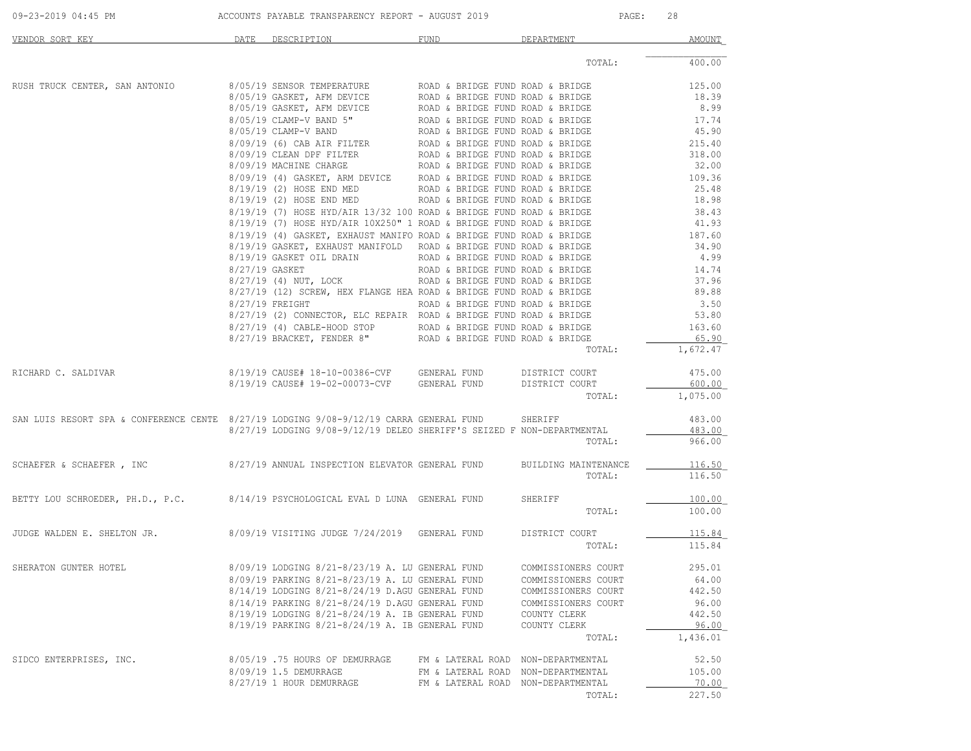| 09-23-2019 04:45 PM                                                                    | ACCOUNTS PAYABLE TRANSPARENCY REPORT - AUGUST 2019                     |                                    | PAGE:               | 28       |
|----------------------------------------------------------------------------------------|------------------------------------------------------------------------|------------------------------------|---------------------|----------|
| VENDOR SORT KEY                                                                        | DATE DESCRIPTION                                                       | FUND                               | DEPARTMENT          | AMOUNT   |
|                                                                                        |                                                                        |                                    | TOTAL:              | 400.00   |
| RUSH TRUCK CENTER, SAN ANTONIO                                                         |                                                                        |                                    |                     |          |
|                                                                                        |                                                                        |                                    |                     |          |
|                                                                                        |                                                                        |                                    |                     |          |
|                                                                                        |                                                                        |                                    |                     |          |
|                                                                                        |                                                                        |                                    |                     |          |
|                                                                                        |                                                                        |                                    |                     |          |
|                                                                                        |                                                                        |                                    |                     |          |
|                                                                                        |                                                                        |                                    |                     |          |
|                                                                                        |                                                                        |                                    |                     |          |
|                                                                                        |                                                                        |                                    |                     |          |
|                                                                                        |                                                                        |                                    |                     |          |
|                                                                                        |                                                                        |                                    |                     |          |
|                                                                                        |                                                                        |                                    |                     |          |
|                                                                                        |                                                                        |                                    |                     |          |
|                                                                                        |                                                                        |                                    |                     |          |
|                                                                                        |                                                                        |                                    |                     |          |
|                                                                                        |                                                                        |                                    |                     |          |
|                                                                                        |                                                                        |                                    |                     |          |
|                                                                                        |                                                                        |                                    |                     |          |
|                                                                                        |                                                                        |                                    |                     |          |
|                                                                                        |                                                                        |                                    |                     |          |
|                                                                                        |                                                                        |                                    |                     |          |
|                                                                                        |                                                                        |                                    |                     |          |
|                                                                                        |                                                                        |                                    | TOTAL:              | 1,672.47 |
| RICHARD C. SALDIVAR                                                                    | 8/19/19 CAUSE# 18-10-00386-CVF GENERAL FUND                            |                                    | DISTRICT COURT      | 475.00   |
|                                                                                        | 8/19/19 CAUSE# 19-02-00073-CVF GENERAL FUND                            |                                    | DISTRICT COURT      | 600.00   |
|                                                                                        |                                                                        |                                    | TOTAL:              | 1,075.00 |
| SAN LUIS RESORT SPA & CONFERENCE CENTE 8/27/19 LODGING 9/08-9/12/19 CARRA GENERAL FUND |                                                                        |                                    | SHERIFF             | 483.00   |
|                                                                                        | 8/27/19 LODGING 9/08-9/12/19 DELEO SHERIFF'S SEIZED F NON-DEPARTMENTAL |                                    |                     | 483.00   |
|                                                                                        |                                                                        |                                    | TOTAL:              | 966.00   |
| SCHAEFER & SCHAEFER, INC                                                               | 8/27/19 ANNUAL INSPECTION ELEVATOR GENERAL FUND BUILDING MAINTENANCE   |                                    |                     | 116.50   |
|                                                                                        |                                                                        |                                    | TOTAL:              | 116.50   |
|                                                                                        |                                                                        |                                    |                     |          |
| BETTY LOU SCHROEDER, PH.D., P.C.                                                       | 8/14/19 PSYCHOLOGICAL EVAL D LUNA GENERAL FUND                         |                                    | SHERIFF             | 100.00   |
|                                                                                        |                                                                        |                                    | TOTAL:              | 100.00   |
|                                                                                        |                                                                        |                                    |                     |          |
| JUDGE WALDEN E. SHELTON JR. 8/09/19 VISITING JUDGE 7/24/2019 GENERAL FUND              |                                                                        |                                    | DISTRICT COURT      | 115.84   |
|                                                                                        |                                                                        |                                    | TOTAL:              | 115.84   |
| SHERATON GUNTER HOTEL                                                                  | 8/09/19 LODGING 8/21-8/23/19 A. LU GENERAL FUND                        |                                    | COMMISSIONERS COURT | 295.01   |
|                                                                                        | 8/09/19 PARKING 8/21-8/23/19 A. LU GENERAL FUND                        |                                    | COMMISSIONERS COURT | 64.00    |
|                                                                                        | 8/14/19 LODGING 8/21-8/24/19 D.AGU GENERAL FUND                        |                                    | COMMISSIONERS COURT | 442.50   |
|                                                                                        | 8/14/19 PARKING 8/21-8/24/19 D.AGU GENERAL FUND                        |                                    | COMMISSIONERS COURT | 96.00    |
|                                                                                        | 8/19/19 LODGING 8/21-8/24/19 A. IB GENERAL FUND                        |                                    | COUNTY CLERK        | 442.50   |
|                                                                                        | 8/19/19 PARKING 8/21-8/24/19 A. IB GENERAL FUND                        |                                    | COUNTY CLERK        | 96.00    |
|                                                                                        |                                                                        |                                    | TOTAL:              | 1,436.01 |
| SIDCO ENTERPRISES, INC.                                                                | 8/05/19 .75 HOURS OF DEMURRAGE                                         | FM & LATERAL ROAD NON-DEPARTMENTAL |                     | 52.50    |
|                                                                                        | 8/09/19 1.5 DEMURRAGE                                                  | FM & LATERAL ROAD                  | NON-DEPARTMENTAL    | 105.00   |
|                                                                                        | 8/27/19 1 HOUR DEMURRAGE                                               | FM & LATERAL ROAD NON-DEPARTMENTAL |                     | 70.00    |
|                                                                                        |                                                                        |                                    | TOTAL:              | 227.50   |
|                                                                                        |                                                                        |                                    |                     |          |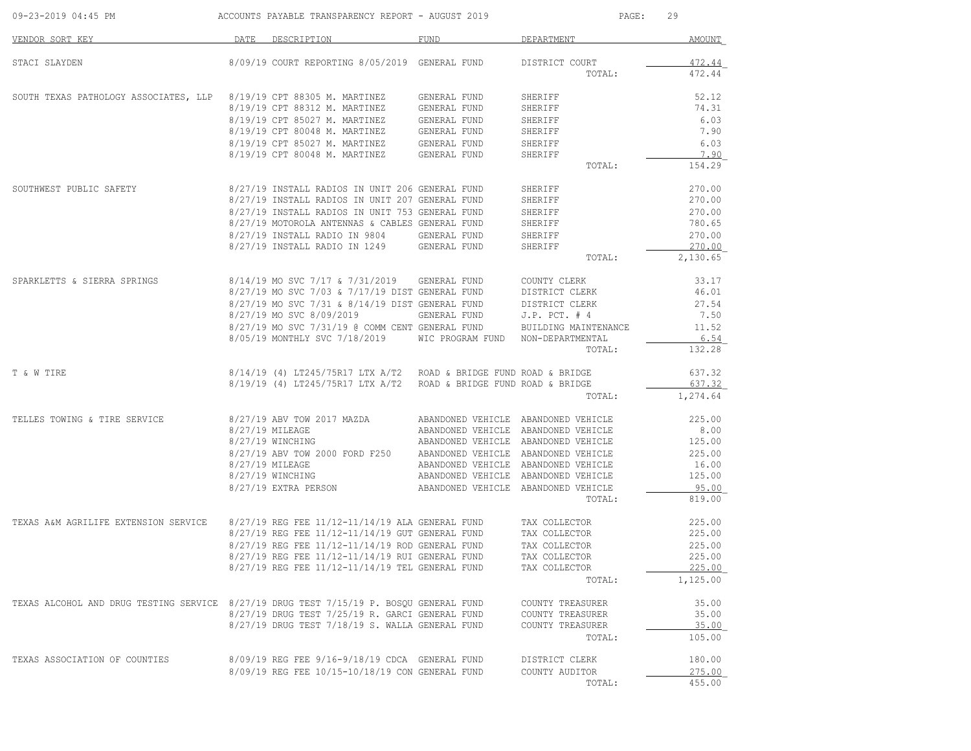| VENDOR SORT KEY                                                                        | DATE | DESCRIPTION                                                                                        | FUND                                | DEPARTMENT                           | <b>AMOUNT</b>      |
|----------------------------------------------------------------------------------------|------|----------------------------------------------------------------------------------------------------|-------------------------------------|--------------------------------------|--------------------|
| STACI SLAYDEN                                                                          |      | 8/09/19 COURT REPORTING 8/05/2019 GENERAL FUND                                                     |                                     | DISTRICT COURT                       | 472.44             |
|                                                                                        |      |                                                                                                    |                                     | TOTAL:                               | 472.44             |
| SOUTH TEXAS PATHOLOGY ASSOCIATES, LLP                                                  |      | 8/19/19 CPT 88305 M. MARTINEZ                                                                      | GENERAL FUND                        | SHERIFF                              | 52.12              |
|                                                                                        |      | 8/19/19 CPT 88312 M. MARTINEZ                                                                      | GENERAL FUND                        | SHERIFF                              | 74.31              |
|                                                                                        |      | 8/19/19 CPT 85027 M. MARTINEZ                                                                      | GENERAL FUND                        | SHERIFF                              | 6.03               |
|                                                                                        |      | 8/19/19 CPT 80048 M. MARTINEZ                                                                      | GENERAL FUND                        | SHERIFF                              | 7.90               |
|                                                                                        |      | 8/19/19 CPT 85027 M. MARTINEZ                                                                      | GENERAL FUND                        | SHERIFF                              | 6.03               |
|                                                                                        |      | 8/19/19 CPT 80048 M. MARTINEZ                                                                      | GENERAL FUND                        | SHERIFF                              | 7.90               |
|                                                                                        |      |                                                                                                    |                                     | TOTAL:                               | 154.29             |
| SOUTHWEST PUBLIC SAFETY                                                                |      | 8/27/19 INSTALL RADIOS IN UNIT 206 GENERAL FUND                                                    |                                     | SHERIFF                              | 270.00             |
|                                                                                        |      | 8/27/19 INSTALL RADIOS IN UNIT 207 GENERAL FUND                                                    |                                     | SHERIFF                              | 270.00             |
|                                                                                        |      | 8/27/19 INSTALL RADIOS IN UNIT 753 GENERAL FUND                                                    |                                     | SHERIFF                              | 270.00             |
|                                                                                        |      | 8/27/19 MOTOROLA ANTENNAS & CABLES GENERAL FUND                                                    |                                     | SHERIFF                              | 780.65             |
|                                                                                        |      | 8/27/19 INSTALL RADIO IN 9804                                                                      | GENERAL FUND                        | SHERIFF                              | 270.00             |
|                                                                                        |      | 8/27/19 INSTALL RADIO IN 1249                                                                      | GENERAL FUND                        | SHERIFF                              | 270.00             |
|                                                                                        |      |                                                                                                    |                                     | TOTAL:                               | 2,130.65           |
| SPARKLETTS & SIERRA SPRINGS                                                            |      | 8/14/19 MO SVC 7/17 & 7/31/2019                                                                    | GENERAL FUND                        | COUNTY CLERK                         | 33.17              |
|                                                                                        |      | 8/27/19 MO SVC 7/03 & 7/17/19 DIST GENERAL FUND                                                    |                                     | DISTRICT CLERK                       | 46.01              |
|                                                                                        |      | 8/27/19 MO SVC 7/31 & 8/14/19 DIST GENERAL FUND                                                    |                                     | DISTRICT CLERK                       | 27.54              |
|                                                                                        |      | 8/27/19 MO SVC 8/09/2019                                                                           | GENERAL FUND                        | $J.P.$ PCT. $#4$                     | 7.50               |
|                                                                                        |      | 8/27/19 MO SVC 7/31/19 @ COMM CENT GENERAL FUND                                                    |                                     | BUILDING MAINTENANCE                 | 11.52              |
|                                                                                        |      | 8/05/19 MONTHLY SVC 7/18/2019                                                                      | WIC PROGRAM FUND                    | NON-DEPARTMENTAL                     | 6.54               |
|                                                                                        |      |                                                                                                    |                                     | TOTAL:                               | 132.28             |
| T & W TIRE                                                                             |      | $8/14/19$ (4) LT245/75R17 LTX A/T2 ROAD & BRIDGE FUND ROAD & BRIDGE                                |                                     |                                      | 637.32             |
|                                                                                        |      | 8/19/19 (4) LT245/75R17 LTX A/T2                                                                   | ROAD & BRIDGE FUND ROAD & BRIDGE    |                                      | 637.32             |
|                                                                                        |      |                                                                                                    |                                     | TOTAL:                               | 1,274.64           |
| TELLES TOWING & TIRE SERVICE                                                           |      | 8/27/19 ABV TOW 2017 MAZDA                                                                         |                                     | ABANDONED VEHICLE ABANDONED VEHICLE  | 225.00             |
|                                                                                        |      | 8/27/19 MILEAGE                                                                                    | ABANDONED VEHICLE ABANDONED VEHICLE |                                      | 8.00               |
|                                                                                        |      | 8/27/19 WINCHING                                                                                   | ABANDONED VEHICLE ABANDONED VEHICLE |                                      | 125.00             |
|                                                                                        |      | 8/27/19 ABV TOW 2000 FORD F250                                                                     | ABANDONED VEHICLE ABANDONED VEHICLE |                                      | 225.00             |
|                                                                                        |      | 8/27/19 MILEAGE                                                                                    | ABANDONED VEHICLE ABANDONED VEHICLE |                                      | 16.00              |
|                                                                                        |      | 8/27/19 WINCHING                                                                                   | ABANDONED VEHICLE ABANDONED VEHICLE |                                      | 125.00             |
|                                                                                        |      | 8/27/19 EXTRA PERSON                                                                               | ABANDONED VEHICLE ABANDONED VEHICLE | TOTAL:                               | 95.00<br>819.00    |
|                                                                                        |      |                                                                                                    |                                     |                                      |                    |
| TEXAS A&M AGRILIFE EXTENSION SERVICE                                                   |      | 8/27/19 REG FEE 11/12-11/14/19 ALA GENERAL FUND                                                    |                                     | TAX COLLECTOR                        | 225.00             |
|                                                                                        |      | 8/27/19 REG FEE 11/12-11/14/19 GUT GENERAL FUND                                                    |                                     | TAX COLLECTOR                        | 225.00             |
|                                                                                        |      | 8/27/19 REG FEE 11/12-11/14/19 ROD GENERAL FUND                                                    |                                     | TAX COLLECTOR                        | 225.00             |
|                                                                                        |      | 8/27/19 REG FEE 11/12-11/14/19 RUI GENERAL FUND<br>8/27/19 REG FEE 11/12-11/14/19 TEL GENERAL FUND |                                     | TAX COLLECTOR                        | 225.00             |
|                                                                                        |      |                                                                                                    |                                     | TAX COLLECTOR<br>TOTAL:              | 225.00<br>1,125.00 |
|                                                                                        |      |                                                                                                    |                                     |                                      |                    |
| TEXAS ALCOHOL AND DRUG TESTING SERVICE 8/27/19 DRUG TEST 7/15/19 P. BOSQU GENERAL FUND |      | 8/27/19 DRUG TEST 7/25/19 R. GARCI GENERAL FUND                                                    |                                     | COUNTY TREASURER                     | 35.00<br>35.00     |
|                                                                                        |      | 8/27/19 DRUG TEST 7/18/19 S. WALLA GENERAL FUND                                                    |                                     | COUNTY TREASURER<br>COUNTY TREASURER | 35.00              |
|                                                                                        |      |                                                                                                    |                                     | TOTAL:                               | 105.00             |
|                                                                                        |      |                                                                                                    |                                     |                                      |                    |
| TEXAS ASSOCIATION OF COUNTIES                                                          |      | 8/09/19 REG FEE 9/16-9/18/19 CDCA GENERAL FUND                                                     |                                     | DISTRICT CLERK                       | 180.00             |
|                                                                                        |      | 8/09/19 REG FEE 10/15-10/18/19 CON GENERAL FUND                                                    |                                     | COUNTY AUDITOR                       | 275.00             |
|                                                                                        |      |                                                                                                    |                                     | TOTAL:                               | 455.00             |

09-23-2019 04:45 PM ACCOUNTS PAYABLE TRANSPARENCY REPORT - AUGUST 2019 PAGE: 29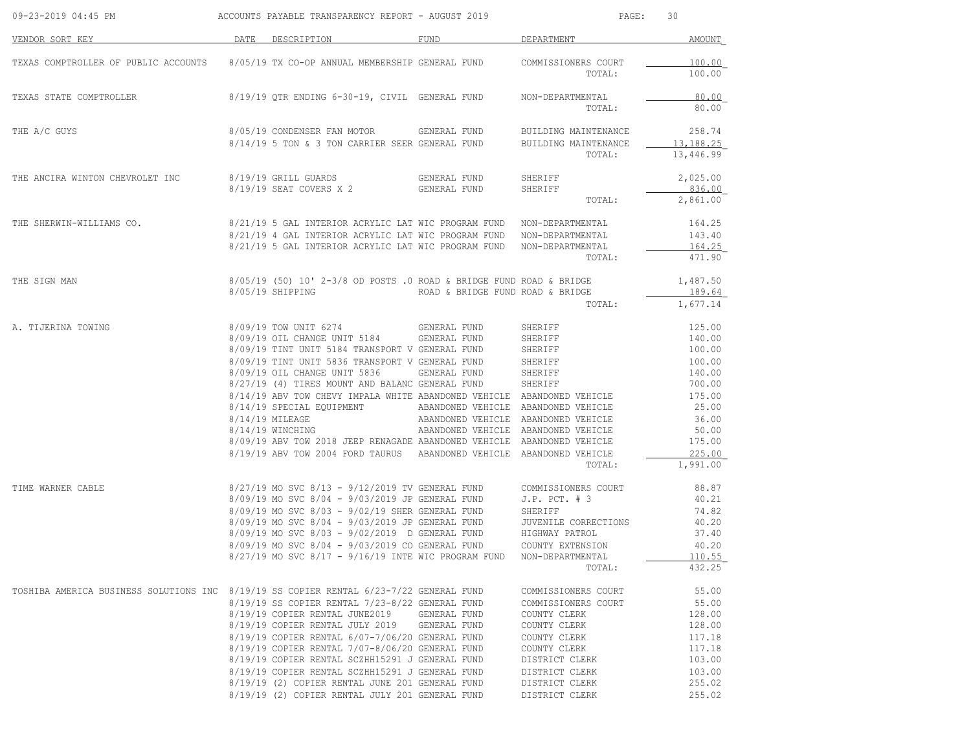| 09-23-2019 04:45 PM                                                                    | ACCOUNTS PAYABLE TRANSPARENCY REPORT - AUGUST 2019                                                  |                                     | PAGE:                        | 30               |
|----------------------------------------------------------------------------------------|-----------------------------------------------------------------------------------------------------|-------------------------------------|------------------------------|------------------|
| VENDOR SORT KEY                                                                        | DATE<br>DESCRIPTION                                                                                 | FUND                                | DEPARTMENT                   | AMOUNT           |
| TEXAS COMPTROLLER OF PUBLIC ACCOUNTS                                                   | 8/05/19 TX CO-OP ANNUAL MEMBERSHIP GENERAL FUND                                                     |                                     | COMMISSIONERS COURT          | 100.00           |
|                                                                                        |                                                                                                     |                                     | TOTAL:                       | 100.00           |
| TEXAS STATE COMPTROLLER                                                                | 8/19/19 QTR ENDING 6-30-19, CIVIL GENERAL FUND                                                      |                                     | NON-DEPARTMENTAL             | 80.00            |
|                                                                                        |                                                                                                     |                                     | TOTAL:                       | 80.00            |
| THE A/C GUYS                                                                           | 8/05/19 CONDENSER FAN MOTOR                                                                         | GENERAL FUND                        | BUILDING MAINTENANCE         | 258.74           |
|                                                                                        | 8/14/19 5 TON & 3 TON CARRIER SEER GENERAL FUND                                                     |                                     | BUILDING MAINTENANCE         | 13,188.25        |
|                                                                                        |                                                                                                     |                                     | TOTAL:                       | 13,446.99        |
| THE ANCIRA WINTON CHEVROLET INC                                                        | 8/19/19 GRILL GUARDS                                                                                | GENERAL FUND                        | SHERIFF                      | 2,025.00         |
|                                                                                        | 8/19/19 SEAT COVERS X 2                                                                             | GENERAL FUND                        | SHERIFF                      | 836.00           |
|                                                                                        |                                                                                                     |                                     | TOTAL:                       | 2,861.00         |
| THE SHERWIN-WILLIAMS CO.                                                               | 8/21/19 5 GAL INTERIOR ACRYLIC LAT WIC PROGRAM FUND NON-DEPARTMENTAL                                |                                     |                              | 164.25           |
|                                                                                        | 8/21/19 4 GAL INTERIOR ACRYLIC LAT WIC PROGRAM FUND NON-DEPARTMENTAL                                |                                     |                              | 143.40           |
|                                                                                        | 8/21/19 5 GAL INTERIOR ACRYLIC LAT WIC PROGRAM FUND                                                 |                                     | NON-DEPARTMENTAL             | 164.25           |
|                                                                                        |                                                                                                     |                                     | TOTAL:                       | 471.90           |
| THE SIGN MAN                                                                           | $8/05/19$ (50) 10' 2-3/8 OD POSTS .0 ROAD & BRIDGE FUND ROAD & BRIDGE                               |                                     |                              | 1,487.50         |
|                                                                                        | 8/05/19 SHIPPING                                                                                    | ROAD & BRIDGE FUND ROAD & BRIDGE    |                              | 189.64           |
|                                                                                        |                                                                                                     |                                     | TOTAL:                       | 1,677.14         |
| A. TIJERINA TOWING                                                                     | 8/09/19 TOW UNIT 6274                                                                               | GENERAL FUND                        | SHERIFF                      | 125.00           |
|                                                                                        | 8/09/19 OIL CHANGE UNIT 5184                                                                        | GENERAL FUND                        | SHERIFF                      | 140.00           |
|                                                                                        | 8/09/19 TINT UNIT 5184 TRANSPORT V GENERAL FUND                                                     |                                     | SHERIFF                      | 100.00           |
|                                                                                        | 8/09/19 TINT UNIT 5836 TRANSPORT V GENERAL FUND                                                     |                                     | SHERIFF                      | 100.00           |
|                                                                                        | 8/09/19 OIL CHANGE UNIT 5836                                                                        | GENERAL FUND                        | SHERIFF                      | 140.00           |
|                                                                                        | 8/27/19 (4) TIRES MOUNT AND BALANC GENERAL FUND                                                     |                                     | SHERIFF                      | 700.00           |
|                                                                                        | 8/14/19 ABV TOW CHEVY IMPALA WHITE ABANDONED VEHICLE ABANDONED VEHICLE<br>8/14/19 SPECIAL EQUIPMENT | ABANDONED VEHICLE ABANDONED VEHICLE |                              | 175.00<br>25.00  |
|                                                                                        | 8/14/19 MILEAGE                                                                                     | ABANDONED VEHICLE ABANDONED VEHICLE |                              | 36.00            |
|                                                                                        | 8/14/19 WINCHING                                                                                    | ABANDONED VEHICLE ABANDONED VEHICLE |                              | 50.00            |
|                                                                                        | 8/09/19 ABV TOW 2018 JEEP RENAGADE ABANDONED VEHICLE ABANDONED VEHICLE                              |                                     |                              | 175.00           |
|                                                                                        | 8/19/19 ABV TOW 2004 FORD TAURUS ABANDONED VEHICLE ABANDONED VEHICLE                                |                                     |                              | 225.00           |
|                                                                                        |                                                                                                     |                                     | TOTAL:                       | 1,991.00         |
| TIME WARNER CABLE                                                                      |                                                                                                     |                                     | COMMISSIONERS COURT          | 88.87            |
|                                                                                        | 8/27/19 MO SVC 8/13 - 9/14/4013 1.<br>8/09/19 MO SVC 8/04 - 9/03/2019 JP GENERAL FUND               |                                     | $J.P.$ PCT. $# 3$            | 40.21            |
|                                                                                        | 8/09/19 MO SVC 8/03 - 9/02/19 SHER GENERAL FUND                                                     |                                     | SHERIFF                      | 74.82            |
|                                                                                        | 8/09/19 MO SVC 8/04 - 9/03/2019 JP GENERAL FUND                                                     |                                     | JUVENILE CORRECTIONS         | 40.20            |
|                                                                                        | 8/09/19 MO SVC 8/03 - 9/02/2019 D GENERAL FUND                                                      |                                     | HIGHWAY PATROL               | 37.40            |
|                                                                                        | 8/09/19 MO SVC 8/04 - 9/03/2019 CO GENERAL FUND                                                     |                                     | COUNTY EXTENSION             | 40.20            |
|                                                                                        | 8/27/19 MO SVC 8/17 - 9/16/19 INTE WIC PROGRAM FUND                                                 |                                     | NON-DEPARTMENTAL             | 110.55           |
|                                                                                        |                                                                                                     |                                     | TOTAL:                       | 432.25           |
| TOSHIBA AMERICA BUSINESS SOLUTIONS INC 8/19/19 SS COPIER RENTAL 6/23-7/22 GENERAL FUND |                                                                                                     |                                     | COMMISSIONERS COURT          | 55.00            |
|                                                                                        | 8/19/19 SS COPIER RENTAL 7/23-8/22 GENERAL FUND                                                     |                                     | COMMISSIONERS COURT          | 55.00            |
|                                                                                        | 8/19/19 COPIER RENTAL JUNE2019                                                                      | <b>GENERAL FUND</b>                 | COUNTY CLERK                 | 128.00           |
|                                                                                        | 8/19/19 COPIER RENTAL JULY 2019                                                                     | GENERAL FUND                        | COUNTY CLERK                 | 128.00           |
|                                                                                        | 8/19/19 COPIER RENTAL 6/07-7/06/20 GENERAL FUND<br>8/19/19 COPIER RENTAL 7/07-8/06/20 GENERAL FUND  |                                     | COUNTY CLERK<br>COUNTY CLERK | 117.18<br>117.18 |
|                                                                                        | 8/19/19 COPIER RENTAL SCZHH15291 J GENERAL FUND                                                     |                                     | DISTRICT CLERK               | 103.00           |
|                                                                                        | 8/19/19 COPIER RENTAL SCZHH15291 J GENERAL FUND                                                     |                                     | DISTRICT CLERK               | 103.00           |
|                                                                                        | 8/19/19 (2) COPIER RENTAL JUNE 201 GENERAL FUND                                                     |                                     | DISTRICT CLERK               | 255.02           |
|                                                                                        | 8/19/19 (2) COPIER RENTAL JULY 201 GENERAL FUND                                                     |                                     | DISTRICT CLERK               | 255.02           |
|                                                                                        |                                                                                                     |                                     |                              |                  |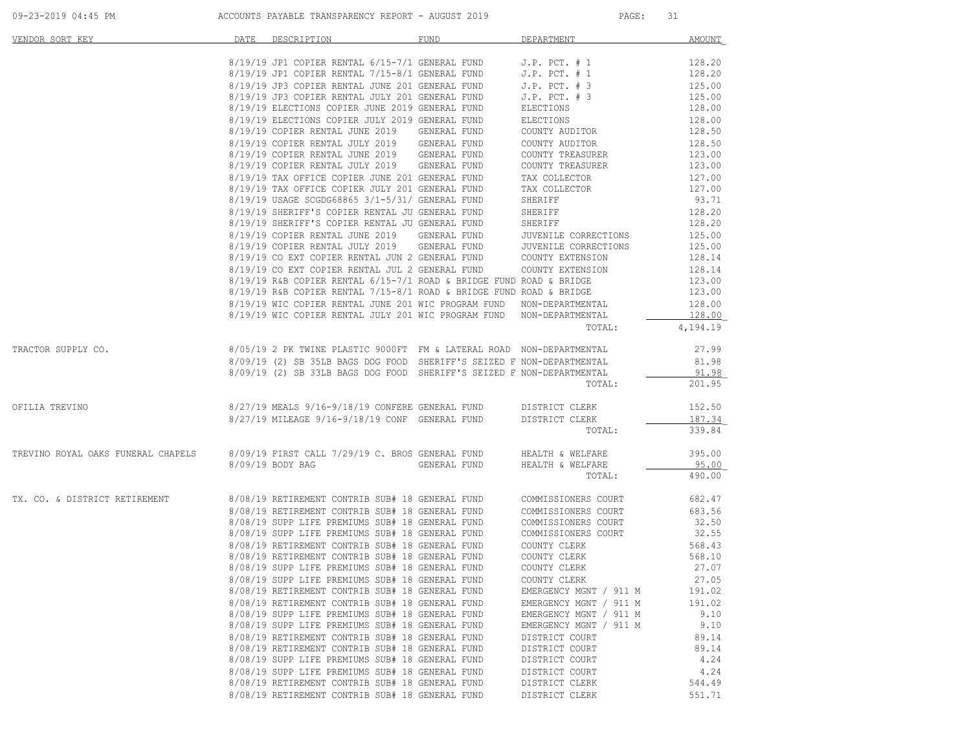| <u>VENDOR SORT KEY</u>                                                                                                                                                                                                               | DATE DESCRIPTION                                                                                                                                                                                                                        | <b>FUND</b> | DEPARTMENT             | AMOUNT                  |
|--------------------------------------------------------------------------------------------------------------------------------------------------------------------------------------------------------------------------------------|-----------------------------------------------------------------------------------------------------------------------------------------------------------------------------------------------------------------------------------------|-------------|------------------------|-------------------------|
|                                                                                                                                                                                                                                      |                                                                                                                                                                                                                                         |             |                        |                         |
|                                                                                                                                                                                                                                      |                                                                                                                                                                                                                                         |             |                        |                         |
|                                                                                                                                                                                                                                      |                                                                                                                                                                                                                                         |             |                        |                         |
|                                                                                                                                                                                                                                      |                                                                                                                                                                                                                                         |             |                        |                         |
|                                                                                                                                                                                                                                      |                                                                                                                                                                                                                                         |             |                        |                         |
|                                                                                                                                                                                                                                      |                                                                                                                                                                                                                                         |             |                        |                         |
|                                                                                                                                                                                                                                      |                                                                                                                                                                                                                                         |             |                        |                         |
|                                                                                                                                                                                                                                      |                                                                                                                                                                                                                                         |             |                        |                         |
|                                                                                                                                                                                                                                      |                                                                                                                                                                                                                                         |             |                        |                         |
|                                                                                                                                                                                                                                      |                                                                                                                                                                                                                                         |             |                        |                         |
|                                                                                                                                                                                                                                      |                                                                                                                                                                                                                                         |             |                        |                         |
|                                                                                                                                                                                                                                      |                                                                                                                                                                                                                                         |             |                        |                         |
|                                                                                                                                                                                                                                      |                                                                                                                                                                                                                                         |             |                        |                         |
|                                                                                                                                                                                                                                      |                                                                                                                                                                                                                                         |             |                        |                         |
|                                                                                                                                                                                                                                      |                                                                                                                                                                                                                                         |             |                        |                         |
|                                                                                                                                                                                                                                      | 8/19/19 COPIER RENTAL JUNE 2019 GENERAL FUND JUVENILE CORRECTIONS 125.00<br>8/19/19 COPIER RENTAL JULY 2019 GENERAL FUND JUVENILE CORRECTIONS 125.00<br>8/19/19 CO EXT COPIER RENTAL JUN 2 GENERAL FUND COUNTY EXTENSION 128.14<br>8/19 |             |                        |                         |
|                                                                                                                                                                                                                                      |                                                                                                                                                                                                                                         |             |                        |                         |
|                                                                                                                                                                                                                                      |                                                                                                                                                                                                                                         |             |                        |                         |
|                                                                                                                                                                                                                                      |                                                                                                                                                                                                                                         |             |                        |                         |
|                                                                                                                                                                                                                                      |                                                                                                                                                                                                                                         |             |                        |                         |
|                                                                                                                                                                                                                                      |                                                                                                                                                                                                                                         |             |                        |                         |
|                                                                                                                                                                                                                                      |                                                                                                                                                                                                                                         |             |                        |                         |
|                                                                                                                                                                                                                                      | 8/19/19 WIC COPIER RENTAL JULY 201 WIC PROGRAM FUND NON-DEPARTMENTAL                                                                                                                                                                    |             |                        | 128.00                  |
|                                                                                                                                                                                                                                      |                                                                                                                                                                                                                                         |             | TOTAL:                 | 4,194.19                |
| 8/05/19 2 PK TWINE PLASTIC 9000FT FM & LATERAL ROAD NON-DEPARTMENTAL 27.99<br>8/09/19 (2) SB 35LB BAGS DOG FOOD SHERIFF'S SEIZED F NON-DEPARTMENTAL 81.98<br>8/09/19 (2) SB 33LB BAGS DOG FOOD SHERIFF'S SEIZED F NON-DEPARTMENTAL 2 |                                                                                                                                                                                                                                         |             |                        |                         |
|                                                                                                                                                                                                                                      |                                                                                                                                                                                                                                         |             |                        |                         |
|                                                                                                                                                                                                                                      |                                                                                                                                                                                                                                         |             |                        |                         |
|                                                                                                                                                                                                                                      |                                                                                                                                                                                                                                         |             | TOTAL: 201.95          |                         |
| 8/27/19 MEALS 9/16-9/18/19 CONFERE GENERAL FUND DISTRICT CLERK 152.50<br>8/27/19 MILEAGE 9/16-9/18/19 CONF GENERAL FUND DISTRICT CLERK 187.34                                                                                        |                                                                                                                                                                                                                                         |             |                        |                         |
|                                                                                                                                                                                                                                      |                                                                                                                                                                                                                                         |             |                        |                         |
|                                                                                                                                                                                                                                      | $8/27/19$ MILEAGE 9/16-9/18/19 CONF GENERAL FUND DISTRICT CLERK TOTAL:                                                                                                                                                                  |             |                        | $\frac{187.34}{339.84}$ |
| TREVINO ROYAL OAKS FUNERAL CHAPELS 8/09/19 FIRST CALL 7/29/19 C. BROS GENERAL FUND HEALTH & WELFARE                                                                                                                                  |                                                                                                                                                                                                                                         |             |                        | 395.00                  |
|                                                                                                                                                                                                                                      | 8/09/19 BODY BAG CENERAL FUND HEALTH & WELFARE                                                                                                                                                                                          |             |                        | $\frac{95.00}{490.00}$  |
|                                                                                                                                                                                                                                      |                                                                                                                                                                                                                                         |             | TOTAL:                 |                         |
| TX. CO. & DISTRICT RETIREMENT 8/08/19 RETIREMENT CONTRIB SUB# 18 GENERAL FUND COMMISSIONERS COURT 682.47                                                                                                                             |                                                                                                                                                                                                                                         |             |                        |                         |
|                                                                                                                                                                                                                                      | 8/08/19 RETIREMENT CONTRIB SUB# 18 GENERAL FUND COMMISSIONERS COURT 683.56                                                                                                                                                              |             |                        |                         |
|                                                                                                                                                                                                                                      |                                                                                                                                                                                                                                         |             |                        |                         |
|                                                                                                                                                                                                                                      | 8/08/19 SUPP LIFE PREMIUMS SUB# 18 GENERAL FUND COMMISSIONERS COURT 32.50<br>8/08/19 SUPP LIFE PREMIUMS SUB# 18 GENERAL FUND COMMISSIONERS COURT 32.55                                                                                  |             |                        |                         |
|                                                                                                                                                                                                                                      |                                                                                                                                                                                                                                         |             |                        |                         |
|                                                                                                                                                                                                                                      | 9/08/19 RETIREMENT CONTRIB SUB# 18 GENERAL FUND COUNTY CLERK 568.43<br>9/08/19 RETIREMENT CONTRIB SUB# 18 GENERAL FUND COUNTY CLERK 568.43<br>9/08/19 SUPP LIFE PREMIUMS SUB# 18 GENERAL FUND COUNTY CLERK 568.10<br>9/08/19 SUPP LIFE  |             |                        |                         |
|                                                                                                                                                                                                                                      |                                                                                                                                                                                                                                         |             |                        |                         |
|                                                                                                                                                                                                                                      |                                                                                                                                                                                                                                         |             |                        |                         |
|                                                                                                                                                                                                                                      | 8/08/19 RETIREMENT CONTRIB SUB# 18 GENERAL FUND                                                                                                                                                                                         |             | EMERGENCY MGNT / 911 M | 191.02                  |
|                                                                                                                                                                                                                                      | 8/08/19 RETIREMENT CONTRIB SUB# 18 GENERAL FUND                                                                                                                                                                                         |             | EMERGENCY MGNT / 911 M | 191.02                  |
|                                                                                                                                                                                                                                      | 8/08/19 SUPP LIFE PREMIUMS SUB# 18 GENERAL FUND                                                                                                                                                                                         |             | EMERGENCY MGNT / 911 M | 9.10                    |
|                                                                                                                                                                                                                                      | 8/08/19 SUPP LIFE PREMIUMS SUB# 18 GENERAL FUND                                                                                                                                                                                         |             | EMERGENCY MGNT / 911 M | 9.10                    |
|                                                                                                                                                                                                                                      | 8/08/19 RETIREMENT CONTRIB SUB# 18 GENERAL FUND                                                                                                                                                                                         |             | DISTRICT COURT         | 89.14                   |
|                                                                                                                                                                                                                                      | 8/08/19 RETIREMENT CONTRIB SUB# 18 GENERAL FUND                                                                                                                                                                                         |             | DISTRICT COURT         | 89.14                   |
|                                                                                                                                                                                                                                      | 8/08/19 SUPP LIFE PREMIUMS SUB# 18 GENERAL FUND                                                                                                                                                                                         |             | DISTRICT COURT         | 4.24                    |
|                                                                                                                                                                                                                                      | 8/08/19 SUPP LIFE PREMIUMS SUB# 18 GENERAL FUND                                                                                                                                                                                         |             | DISTRICT COURT         | 4.24                    |
|                                                                                                                                                                                                                                      | 8/08/19 RETIREMENT CONTRIB SUB# 18 GENERAL FUND                                                                                                                                                                                         |             | DISTRICT CLERK         | 544.49                  |
|                                                                                                                                                                                                                                      | 8/08/19 RETIREMENT CONTRIB SUB# 18 GENERAL FUND                                                                                                                                                                                         |             | DISTRICT CLERK         | 551.71                  |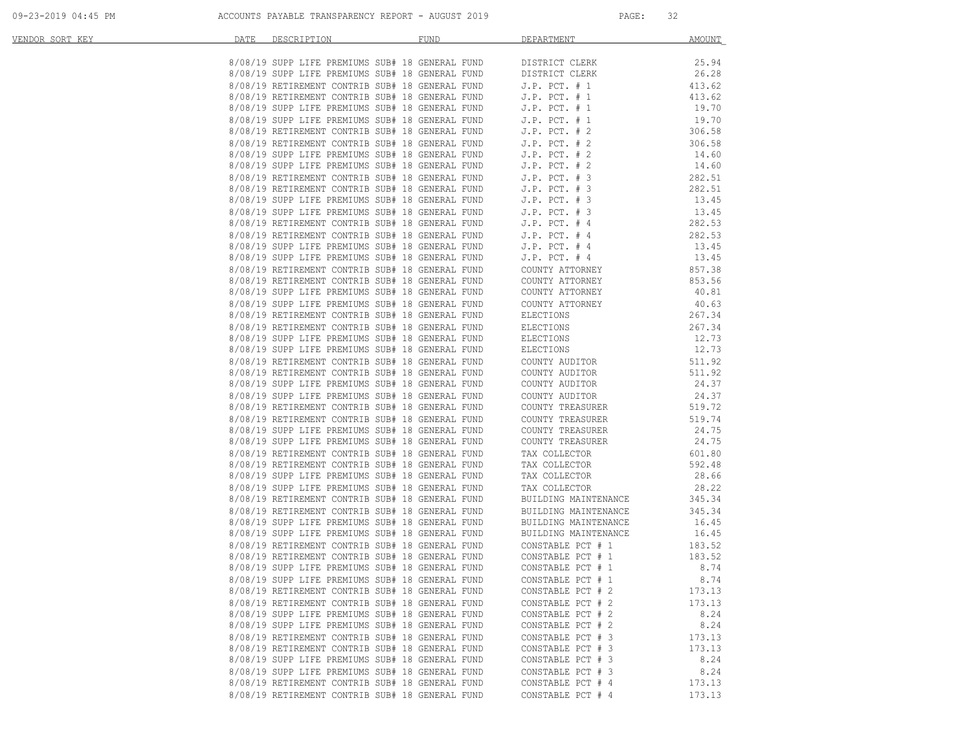| VENDOR SORT KEY | DATE | DESCRIPTION                                     | FUND                                                                                                                                                                                                                                    | DEPARTMENT                                                                                                                                                                                                                              | AMOUNT |
|-----------------|------|-------------------------------------------------|-----------------------------------------------------------------------------------------------------------------------------------------------------------------------------------------------------------------------------------------|-----------------------------------------------------------------------------------------------------------------------------------------------------------------------------------------------------------------------------------------|--------|
|                 |      |                                                 | 8/08/19 SUPP LIFE PREMIUMS SUB# 18 GENERAL FUND DISTRICT CLERK                                                                                                                                                                          |                                                                                                                                                                                                                                         | 25.94  |
|                 |      |                                                 |                                                                                                                                                                                                                                         |                                                                                                                                                                                                                                         | 26.28  |
|                 |      |                                                 |                                                                                                                                                                                                                                         | 8/08/19 SUPP LIFE PREMIUMS SUB# 18 GENERAL FUND<br>8/08/19 SUPP LIFE PREMIUMS SUB# 18 GENERAL FUND DISTRICT CLERK<br>8/08/19 RETIREMENT CONTRIB SUB# 18 GENERAL FUND J.P. PCT. # 1<br>8/08/19 SUPP LIFE PREMIUMS SUB# 18 GENERAL FUND J | 413.62 |
|                 |      |                                                 |                                                                                                                                                                                                                                         |                                                                                                                                                                                                                                         | 413.62 |
|                 |      |                                                 |                                                                                                                                                                                                                                         |                                                                                                                                                                                                                                         | 19.70  |
|                 |      |                                                 |                                                                                                                                                                                                                                         |                                                                                                                                                                                                                                         | 19.70  |
|                 |      |                                                 |                                                                                                                                                                                                                                         |                                                                                                                                                                                                                                         | 306.58 |
|                 |      |                                                 |                                                                                                                                                                                                                                         |                                                                                                                                                                                                                                         | 306.58 |
|                 |      | 8/08/19 SUPP LIFE PREMIUMS SUB# 18 GENERAL FUND |                                                                                                                                                                                                                                         | J.P. PCT. # 2<br>J.P. PCT. # 2                                                                                                                                                                                                          | 14.60  |
|                 |      | 8/08/19 SUPP LIFE PREMIUMS SUB# 18 GENERAL FUND |                                                                                                                                                                                                                                         |                                                                                                                                                                                                                                         | 14.60  |
|                 |      |                                                 | 8/08/19 RETIREMENT CONTRIB SUB# 18 GENERAL FUND 5.P. PCT. # 2<br>8/08/19 RETIREMENT CONTRIB SUB# 18 GENERAL FUND 5.P. PCT. # 3<br>8/08/19 SUPP LIFE PREMIUMS SUB# 18 GENERAL FUND 5.P. PCT. # 3<br>8/08/19 SUPP LIFE PREMIUMS SUB# 18 G |                                                                                                                                                                                                                                         | 282.51 |
|                 |      |                                                 |                                                                                                                                                                                                                                         |                                                                                                                                                                                                                                         | 282.51 |
|                 |      |                                                 |                                                                                                                                                                                                                                         |                                                                                                                                                                                                                                         | 13.45  |
|                 |      |                                                 |                                                                                                                                                                                                                                         |                                                                                                                                                                                                                                         | 13.45  |
|                 |      |                                                 |                                                                                                                                                                                                                                         |                                                                                                                                                                                                                                         | 282.53 |
|                 |      |                                                 | 8/08/19 RETIREMENT CONTRIB SUB# 18 GENERAL FUND J.P. PCT. # 4<br>8/08/19 SUPP LIFE PREMIUMS SUB# 18 GENERAL FUND J.P. PCT. # 4                                                                                                          |                                                                                                                                                                                                                                         | 282.53 |
|                 |      |                                                 |                                                                                                                                                                                                                                         |                                                                                                                                                                                                                                         | 13.45  |
|                 |      |                                                 |                                                                                                                                                                                                                                         | 8/08/19 SUPP LIFE PREMIUMS SUB# 18 GENERAL FUND 5.P. PCT. # 4<br>8/08/19 RETIREMENT CONTRIB SUB# 18 GENERAL FUND 5.P. PCT. # 4<br>8/08/19 RETIREMENT CONTRIB SUB# 18 GENERAL FUND COUNTY ATTORNEY<br>8/08/19 SUPP LIFE PREMIUMS SUB# 18 | 13.45  |
|                 |      |                                                 |                                                                                                                                                                                                                                         |                                                                                                                                                                                                                                         | 857.38 |
|                 |      |                                                 |                                                                                                                                                                                                                                         |                                                                                                                                                                                                                                         | 853.56 |
|                 |      |                                                 |                                                                                                                                                                                                                                         |                                                                                                                                                                                                                                         | 40.81  |
|                 |      |                                                 |                                                                                                                                                                                                                                         |                                                                                                                                                                                                                                         | 40.63  |
|                 |      | 8/08/19 RETIREMENT CONTRIB SUB# 18 GENERAL FUND |                                                                                                                                                                                                                                         | ELECTIONS                                                                                                                                                                                                                               | 267.34 |
|                 |      | 8/08/19 RETIREMENT CONTRIB SUB# 18 GENERAL FUND |                                                                                                                                                                                                                                         | ELECTIONS                                                                                                                                                                                                                               | 267.34 |
|                 |      | 8/08/19 SUPP LIFE PREMIUMS SUB# 18 GENERAL FUND |                                                                                                                                                                                                                                         | ELECTIONS<br>ELECTIONS                                                                                                                                                                                                                  | 12.73  |
|                 |      | 8/08/19 SUPP LIFE PREMIUMS SUB# 18 GENERAL FUND |                                                                                                                                                                                                                                         | ELECTIONS                                                                                                                                                                                                                               | 12.73  |
|                 |      | 8/08/19 RETIREMENT CONTRIB SUB# 18 GENERAL FUND |                                                                                                                                                                                                                                         | COUNTY AUDITOR<br>COUNTY AUDITOR                                                                                                                                                                                                        | 511.92 |
|                 |      | 8/08/19 RETIREMENT CONTRIB SUB# 18 GENERAL FUND |                                                                                                                                                                                                                                         |                                                                                                                                                                                                                                         | 511.92 |
|                 |      | 8/08/19 SUPP LIFE PREMIUMS SUB# 18 GENERAL FUND |                                                                                                                                                                                                                                         | COUNTY AUDITOR                                                                                                                                                                                                                          | 24.37  |
|                 |      | 8/08/19 SUPP LIFE PREMIUMS SUB# 18 GENERAL FUND |                                                                                                                                                                                                                                         | COUNTY AUDITOR<br>COUNTY TREASURER                                                                                                                                                                                                      | 24.37  |
|                 |      | 8/08/19 RETIREMENT CONTRIB SUB# 18 GENERAL FUND |                                                                                                                                                                                                                                         |                                                                                                                                                                                                                                         | 519.72 |
|                 |      | 8/08/19 RETIREMENT CONTRIB SUB# 18 GENERAL FUND |                                                                                                                                                                                                                                         | COUNTY TREASURER<br>COUNTY TREASURER                                                                                                                                                                                                    | 519.74 |
|                 |      | 8/08/19 SUPP LIFE PREMIUMS SUB# 18 GENERAL FUND |                                                                                                                                                                                                                                         | COUNTY TREASURER                                                                                                                                                                                                                        | 24.75  |
|                 |      | 8/08/19 SUPP LIFE PREMIUMS SUB# 18 GENERAL FUND |                                                                                                                                                                                                                                         | COUNTY TREASURER                                                                                                                                                                                                                        | 24.75  |
|                 |      | 8/08/19 RETIREMENT CONTRIB SUB# 18 GENERAL FUND |                                                                                                                                                                                                                                         | TAX COLLECTOR                                                                                                                                                                                                                           | 601.80 |
|                 |      | 8/08/19 RETIREMENT CONTRIB SUB# 18 GENERAL FUND |                                                                                                                                                                                                                                         | TAX COLLECTOR                                                                                                                                                                                                                           | 592.48 |
|                 |      | 8/08/19 SUPP LIFE PREMIUMS SUB# 18 GENERAL FUND |                                                                                                                                                                                                                                         | TAX COLLECTOR<br>TAX COLLECTOR                                                                                                                                                                                                          | 28.66  |
|                 |      | 8/08/19 SUPP LIFE PREMIUMS SUB# 18 GENERAL FUND |                                                                                                                                                                                                                                         | TAX COLLECTOR<br>BUILDING MAINTENANCE<br>BUILDING MAINTENANCE<br>BUILDING MAINTENANCE                                                                                                                                                   | 28.22  |
|                 |      | 8/08/19 RETIREMENT CONTRIB SUB# 18 GENERAL FUND |                                                                                                                                                                                                                                         | BUILDING MAINTENANCE                                                                                                                                                                                                                    | 345.34 |
|                 |      | 8/08/19 RETIREMENT CONTRIB SUB# 18 GENERAL FUND |                                                                                                                                                                                                                                         |                                                                                                                                                                                                                                         | 345.34 |
|                 |      | 8/08/19 SUPP LIFE PREMIUMS SUB# 18 GENERAL FUND |                                                                                                                                                                                                                                         | BUILDING MAINTENANCE<br>BUILDING MAINTENANCE<br>BUILDING MAINTENANCE                                                                                                                                                                    | 16.45  |
|                 |      | 8/08/19 SUPP LIFE PREMIUMS SUB# 18 GENERAL FUND |                                                                                                                                                                                                                                         |                                                                                                                                                                                                                                         | 16.45  |
|                 |      | 8/08/19 RETIREMENT CONTRIB SUB# 18 GENERAL FUND |                                                                                                                                                                                                                                         | CONSTABLE PCT # 1<br>CONSTABLE PCT # 1                                                                                                                                                                                                  | 183.52 |
|                 |      | 8/08/19 RETIREMENT CONTRIB SUB# 18 GENERAL FUND |                                                                                                                                                                                                                                         |                                                                                                                                                                                                                                         | 183.52 |
|                 |      | 8/08/19 SUPP LIFE PREMIUMS SUB# 18 GENERAL FUND |                                                                                                                                                                                                                                         | CONSTABLE PCT # 1                                                                                                                                                                                                                       | 8.74   |
|                 |      | 8/08/19 SUPP LIFE PREMIUMS SUB# 18 GENERAL FUND |                                                                                                                                                                                                                                         | CONSTABLE PCT # 1                                                                                                                                                                                                                       | 8.74   |
|                 |      | 8/08/19 RETIREMENT CONTRIB SUB# 18 GENERAL FUND |                                                                                                                                                                                                                                         | CONSTABLE PCT # 2                                                                                                                                                                                                                       | 173.13 |
|                 |      | 8/08/19 RETIREMENT CONTRIB SUB# 18 GENERAL FUND |                                                                                                                                                                                                                                         | CONSTABLE PCT # 2                                                                                                                                                                                                                       | 173.13 |
|                 |      | 8/08/19 SUPP LIFE PREMIUMS SUB# 18 GENERAL FUND |                                                                                                                                                                                                                                         | CONSTABLE PCT # 2                                                                                                                                                                                                                       | 8.24   |
|                 |      | 8/08/19 SUPP LIFE PREMIUMS SUB# 18 GENERAL FUND |                                                                                                                                                                                                                                         | CONSTABLE PCT # 2                                                                                                                                                                                                                       | 8.24   |
|                 |      | 8/08/19 RETIREMENT CONTRIB SUB# 18 GENERAL FUND |                                                                                                                                                                                                                                         | CONSTABLE PCT # 3                                                                                                                                                                                                                       | 173.13 |
|                 |      | 8/08/19 RETIREMENT CONTRIB SUB# 18 GENERAL FUND |                                                                                                                                                                                                                                         | CONSTABLE PCT # 3                                                                                                                                                                                                                       | 173.13 |
|                 |      | 8/08/19 SUPP LIFE PREMIUMS SUB# 18 GENERAL FUND |                                                                                                                                                                                                                                         | CONSTABLE PCT # 3                                                                                                                                                                                                                       | 8.24   |
|                 |      | 8/08/19 SUPP LIFE PREMIUMS SUB# 18 GENERAL FUND |                                                                                                                                                                                                                                         | CONSTABLE PCT # 3                                                                                                                                                                                                                       | 8.24   |
|                 |      | 8/08/19 RETIREMENT CONTRIB SUB# 18 GENERAL FUND |                                                                                                                                                                                                                                         | CONSTABLE PCT # 4                                                                                                                                                                                                                       | 173.13 |
|                 |      | 8/08/19 RETIREMENT CONTRIB SUB# 18 GENERAL FUND |                                                                                                                                                                                                                                         | CONSTABLE PCT # 4                                                                                                                                                                                                                       | 173.13 |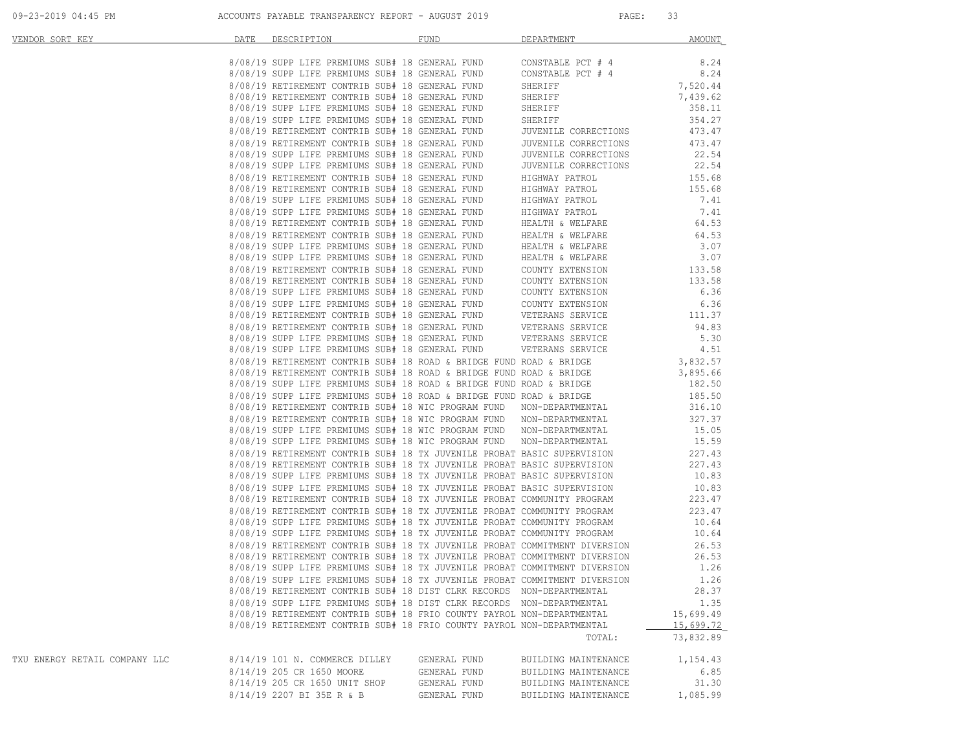| VENDOR SORT KEY               | DATE | DESCRIPTION                                                            | FUND         | DEPARTMENT                                                                                                                                                                                                                           | AMOUNT    |
|-------------------------------|------|------------------------------------------------------------------------|--------------|--------------------------------------------------------------------------------------------------------------------------------------------------------------------------------------------------------------------------------------|-----------|
|                               |      |                                                                        |              |                                                                                                                                                                                                                                      |           |
|                               |      |                                                                        |              |                                                                                                                                                                                                                                      |           |
|                               |      |                                                                        |              |                                                                                                                                                                                                                                      |           |
|                               |      |                                                                        |              |                                                                                                                                                                                                                                      |           |
|                               |      |                                                                        |              |                                                                                                                                                                                                                                      |           |
|                               |      |                                                                        |              |                                                                                                                                                                                                                                      |           |
|                               |      |                                                                        |              |                                                                                                                                                                                                                                      |           |
|                               |      |                                                                        |              |                                                                                                                                                                                                                                      |           |
|                               |      |                                                                        |              |                                                                                                                                                                                                                                      |           |
|                               |      |                                                                        |              |                                                                                                                                                                                                                                      |           |
|                               |      |                                                                        |              |                                                                                                                                                                                                                                      |           |
|                               |      |                                                                        |              |                                                                                                                                                                                                                                      |           |
|                               |      |                                                                        |              |                                                                                                                                                                                                                                      |           |
|                               |      |                                                                        |              |                                                                                                                                                                                                                                      |           |
|                               |      |                                                                        |              |                                                                                                                                                                                                                                      |           |
|                               |      |                                                                        |              |                                                                                                                                                                                                                                      |           |
|                               |      |                                                                        |              |                                                                                                                                                                                                                                      |           |
|                               |      |                                                                        |              |                                                                                                                                                                                                                                      |           |
|                               |      |                                                                        |              |                                                                                                                                                                                                                                      |           |
|                               |      |                                                                        |              |                                                                                                                                                                                                                                      |           |
|                               |      |                                                                        |              |                                                                                                                                                                                                                                      |           |
|                               |      |                                                                        |              |                                                                                                                                                                                                                                      |           |
|                               |      |                                                                        |              |                                                                                                                                                                                                                                      |           |
|                               |      |                                                                        |              |                                                                                                                                                                                                                                      |           |
|                               |      |                                                                        |              |                                                                                                                                                                                                                                      |           |
|                               |      |                                                                        |              |                                                                                                                                                                                                                                      |           |
|                               |      |                                                                        |              |                                                                                                                                                                                                                                      |           |
|                               |      |                                                                        |              |                                                                                                                                                                                                                                      |           |
|                               |      |                                                                        |              |                                                                                                                                                                                                                                      |           |
|                               |      |                                                                        |              |                                                                                                                                                                                                                                      |           |
|                               |      |                                                                        |              |                                                                                                                                                                                                                                      |           |
|                               |      |                                                                        |              |                                                                                                                                                                                                                                      |           |
|                               |      |                                                                        |              |                                                                                                                                                                                                                                      |           |
|                               |      |                                                                        |              |                                                                                                                                                                                                                                      |           |
|                               |      |                                                                        |              |                                                                                                                                                                                                                                      |           |
|                               |      |                                                                        |              |                                                                                                                                                                                                                                      |           |
|                               |      |                                                                        |              |                                                                                                                                                                                                                                      |           |
|                               |      |                                                                        |              |                                                                                                                                                                                                                                      |           |
|                               |      |                                                                        |              |                                                                                                                                                                                                                                      |           |
|                               |      |                                                                        |              |                                                                                                                                                                                                                                      |           |
|                               |      |                                                                        |              |                                                                                                                                                                                                                                      |           |
|                               |      |                                                                        |              |                                                                                                                                                                                                                                      |           |
|                               |      |                                                                        |              |                                                                                                                                                                                                                                      |           |
|                               |      |                                                                        |              | 8/08/19 RETIREMENT CONTRIB SUB# 18 TX JUVENILE PROBAT COMMITMENT DIVERSION 26.53                                                                                                                                                     |           |
|                               |      |                                                                        |              | 8/08/19 RETIREMENT CONTRIB SUB# 18 TX JUVENILE PROBAT COMMITMENT DIVERSION 26.53<br>8/08/19 SUPP LIFE PREMIUMS SUB# 18 TX JUVENILE PROBAT COMMITMENT DIVERSION 1.26<br>8/08/19 SUPP LIFE PREMIUMS SUB# 18 TX JUVENILE PROBAT COMMITM |           |
|                               |      |                                                                        |              |                                                                                                                                                                                                                                      |           |
|                               |      |                                                                        |              |                                                                                                                                                                                                                                      |           |
|                               |      | 8/08/19 RETIREMENT CONTRIB SUB# 18 DIST CLRK RECORDS NON-DEPARTMENTAL  |              |                                                                                                                                                                                                                                      | 28.37     |
|                               |      | 8/08/19 SUPP LIFE PREMIUMS SUB# 18 DIST CLRK RECORDS NON-DEPARTMENTAL  |              |                                                                                                                                                                                                                                      | 1.35      |
|                               |      | 8/08/19 RETIREMENT CONTRIB SUB# 18 FRIO COUNTY PAYROL NON-DEPARTMENTAL |              |                                                                                                                                                                                                                                      | 15,699.49 |
|                               |      | 8/08/19 RETIREMENT CONTRIB SUB# 18 FRIO COUNTY PAYROL NON-DEPARTMENTAL |              |                                                                                                                                                                                                                                      | 15,699.72 |
|                               |      |                                                                        |              | TOTAL:                                                                                                                                                                                                                               | 73,832.89 |
| TXU ENERGY RETAIL COMPANY LLC |      | 8/14/19 101 N. COMMERCE DILLEY                                         | GENERAL FUND | BUILDING MAINTENANCE                                                                                                                                                                                                                 | 1,154.43  |
|                               |      | 8/14/19 205 CR 1650 MOORE                                              | GENERAL FUND | BUILDING MAINTENANCE                                                                                                                                                                                                                 | 6.85      |
|                               |      | 8/14/19 205 CR 1650 UNIT SHOP                                          | GENERAL FUND | BUILDING MAINTENANCE                                                                                                                                                                                                                 | 31.30     |
|                               |      | 8/14/19 2207 BI 35E R & B                                              | GENERAL FUND | BUILDING MAINTENANCE                                                                                                                                                                                                                 | 1,085.99  |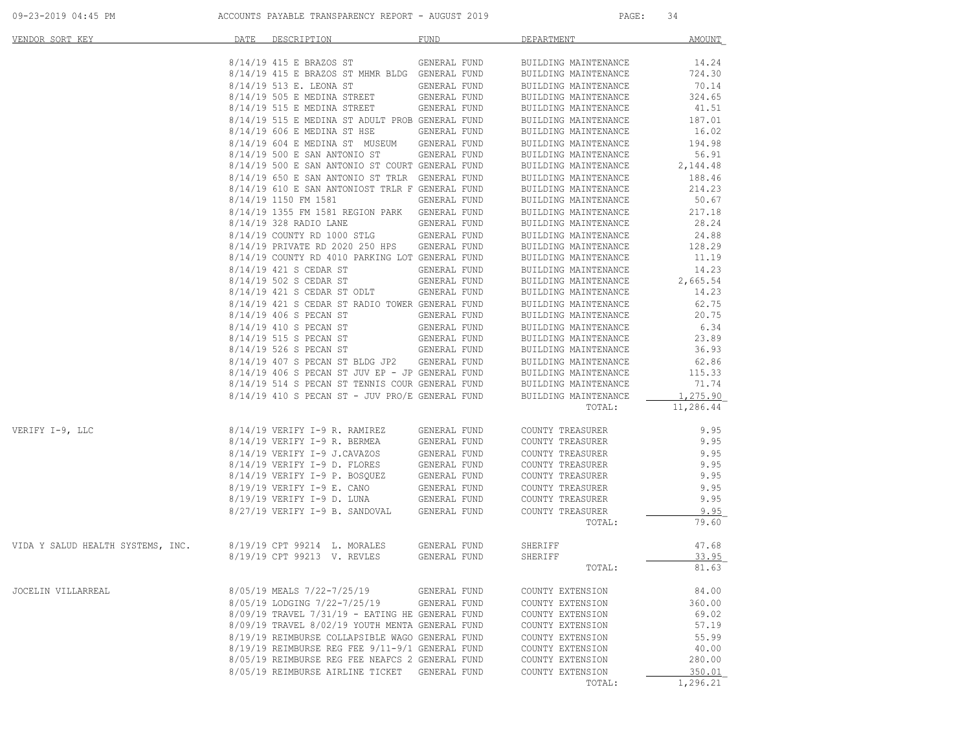| VENDOR SORT KEY                   | DATE | DESCRIPTION                                           | <b>FUND</b>                  | DEPARTMENT                                   | AMOUNT            |
|-----------------------------------|------|-------------------------------------------------------|------------------------------|----------------------------------------------|-------------------|
|                                   |      | 8/14/19 415 E BRAZOS ST                               | GENERAL FUND                 | BUILDING MAINTENANCE                         | 14.24             |
|                                   |      | 8/14/19 415 E BRAZOS ST MHMR BLDG GENERAL FUND        |                              | BUILDING MAINTENANCE                         | 724.30            |
|                                   |      | 8/14/19 513 E. LEONA ST                               | GENERAL FUND                 | BUILDING MAINTENANCE                         | 70.14             |
|                                   |      | 8/14/19 505 E MEDINA STREET                           | GENERAL FUND                 | BUILDING MAINTENANCE                         | 324.65            |
|                                   |      | 8/14/19 515 E MEDINA STREET                           | GENERAL FUND                 | BUILDING MAINTENANCE                         | 41.51             |
|                                   |      | 8/14/19 515 E MEDINA ST ADULT PROB GENERAL FUND       |                              | BUILDING MAINTENANCE                         | 187.01            |
|                                   |      | 8/14/19 606 E MEDINA ST HSE                           | GENERAL FUND                 | BUILDING MAINTENANCE                         | 16.02             |
|                                   |      | 8/14/19 604 E MEDINA ST MUSEUM GENERAL FUND           |                              | BUILDING MAINTENANCE                         | 194.98            |
|                                   |      | 8/14/19 500 E SAN ANTONIO ST                          | GENERAL FUND                 | BUILDING MAINTENANCE                         | 56.91             |
|                                   |      | 8/14/19 500 E SAN ANTONIO ST COURT GENERAL FUND       |                              | BUILDING MAINTENANCE                         | 2,144.48          |
|                                   |      | 8/14/19 650 E SAN ANTONIO ST TRLR GENERAL FUND        |                              | BUILDING MAINTENANCE                         | 188.46            |
|                                   |      | 8/14/19 610 E SAN ANTONIOST TRLR F GENERAL FUND       |                              | BUILDING MAINTENANCE                         | 214.23            |
|                                   |      | 8/14/19 1150 FM 1581                                  | GENERAL FUND                 | BUILDING MAINTENANCE                         | 50.67             |
|                                   |      | 8/14/19 1355 FM 1581 REGION PARK GENERAL FUND         |                              | BUILDING MAINTENANCE                         | 217.18            |
|                                   |      | 8/14/19 328 RADIO LANE                                | GENERAL FUND                 | BUILDING MAINTENANCE                         | 28.24             |
|                                   |      | 8/14/19 COUNTY RD 1000 STLG                           | GENERAL FUND                 | BUILDING MAINTENANCE                         | 24.88             |
|                                   |      | 8/14/19 PRIVATE RD 2020 250 HPS                       | GENERAL FUND                 | BUILDING MAINTENANCE                         | 128.29            |
|                                   |      | 8/14/19 COUNTY RD 4010 PARKING LOT GENERAL FUND       |                              | BUILDING MAINTENANCE                         | 11.19             |
|                                   |      | 8/14/19 421 S CEDAR ST                                | GENERAL FUND                 | BUILDING MAINTENANCE                         | 14.23             |
|                                   |      | 8/14/19 502 S CEDAR ST<br>8/14/19 421 S CEDAR ST ODLT | GENERAL FUND<br>GENERAL FUND | BUILDING MAINTENANCE                         | 2,665.54<br>14.23 |
|                                   |      | 8/14/19 421 S CEDAR ST RADIO TOWER GENERAL FUND       |                              | BUILDING MAINTENANCE                         | 62.75             |
|                                   |      | 8/14/19 406 S PECAN ST                                | GENERAL FUND                 | BUILDING MAINTENANCE<br>BUILDING MAINTENANCE | 20.75             |
|                                   |      | 8/14/19 410 S PECAN ST                                | GENERAL FUND                 |                                              | 6.34              |
|                                   |      | 8/14/19 515 S PECAN ST                                | GENERAL FUND                 | BUILDING MAINTENANCE<br>BUILDING MAINTENANCE | 23.89             |
|                                   |      | 8/14/19 526 S PECAN ST                                | GENERAL FUND                 | BUILDING MAINTENANCE                         | 36.93             |
|                                   |      | 8/14/19 407 S PECAN ST BLDG JP2                       | GENERAL FUND                 | BUILDING MAINTENANCE                         | 62.86             |
|                                   |      | 8/14/19 406 S PECAN ST JUV EP - JP GENERAL FUND       |                              | BUILDING MAINTENANCE                         | 115.33            |
|                                   |      | 8/14/19 514 S PECAN ST TENNIS COUR GENERAL FUND       |                              | BUILDING MAINTENANCE                         | 71.74             |
|                                   |      | $8/14/19$ 410 S PECAN ST - JUV PRO/E GENERAL FUND     |                              | BUILDING MAINTENANCE                         | 1,275.90          |
|                                   |      |                                                       |                              | TOTAL:                                       | 11,286.44         |
|                                   |      |                                                       |                              |                                              |                   |
| VERIFY I-9, LLC                   |      | 8/14/19 VERIFY I-9 R. RAMIREZ                         | GENERAL FUND                 | COUNTY TREASURER                             | 9.95              |
|                                   |      | $8/14/19$ VERIFY I-9 R. BERMEA                        | GENERAL FUND                 | COUNTY TREASURER                             | 9.95              |
|                                   |      | 8/14/19 VERIFY I-9 J.CAVAZOS                          | GENERAL FUND                 | COUNTY TREASURER                             | 9.95              |
|                                   |      | 8/14/19 VERIFY I-9 D. FLORES                          | GENERAL FUND                 | COUNTY TREASURER                             | 9.95              |
|                                   |      | 8/14/19 VERIFY I-9 P. BOSQUEZ                         | GENERAL FUND                 | COUNTY TREASURER                             | 9.95              |
|                                   |      | 8/19/19 VERIFY I-9 E. CANO                            | GENERAL FUND                 | COUNTY TREASURER                             | 9.95              |
|                                   |      | 8/19/19 VERIFY I-9 D. LUNA                            | GENERAL FUND                 | COUNTY TREASURER                             | 9.95              |
|                                   |      | 8/27/19 VERIFY I-9 B. SANDOVAL                        | GENERAL FUND                 | COUNTY TREASURER                             | 9.95              |
|                                   |      |                                                       |                              | TOTAL:                                       | 79.60             |
| VIDA Y SALUD HEALTH SYSTEMS, INC. |      | 8/19/19 CPT 99214 L. MORALES                          | GENERAL FUND                 | SHERIFF                                      | 47.68             |
|                                   |      | 8/19/19 CPT 99213 V. REVLES                           | GENERAL FUND                 | SHERIFF                                      | 33.95             |
|                                   |      |                                                       |                              | TOTAL:                                       | 81.63             |
| JOCELIN VILLARREAL                |      | 8/05/19 MEALS 7/22-7/25/19                            | GENERAL FUND                 | COUNTY EXTENSION                             | 84.00             |
|                                   |      | 8/05/19 LODGING 7/22-7/25/19                          | GENERAL FUND                 | COUNTY EXTENSION                             | 360.00            |
|                                   |      | 8/09/19 TRAVEL 7/31/19 - EATING HE GENERAL FUND       |                              | COUNTY EXTENSION                             | 69.02             |
|                                   |      | 8/09/19 TRAVEL 8/02/19 YOUTH MENTA GENERAL FUND       |                              | COUNTY EXTENSION                             | 57.19             |
|                                   |      | 8/19/19 REIMBURSE COLLAPSIBLE WAGO GENERAL FUND       |                              | COUNTY EXTENSION                             | 55.99             |
|                                   |      | 8/19/19 REIMBURSE REG FEE 9/11-9/1 GENERAL FUND       |                              | COUNTY EXTENSION                             | 40.00             |
|                                   |      | 8/05/19 REIMBURSE REG FEE NEAFCS 2 GENERAL FUND       |                              | COUNTY EXTENSION                             | 280.00            |
|                                   |      | 8/05/19 REIMBURSE AIRLINE TICKET                      | GENERAL FUND                 | COUNTY EXTENSION                             | 350.01            |
|                                   |      |                                                       |                              | TOTAL:                                       | 1,296.21          |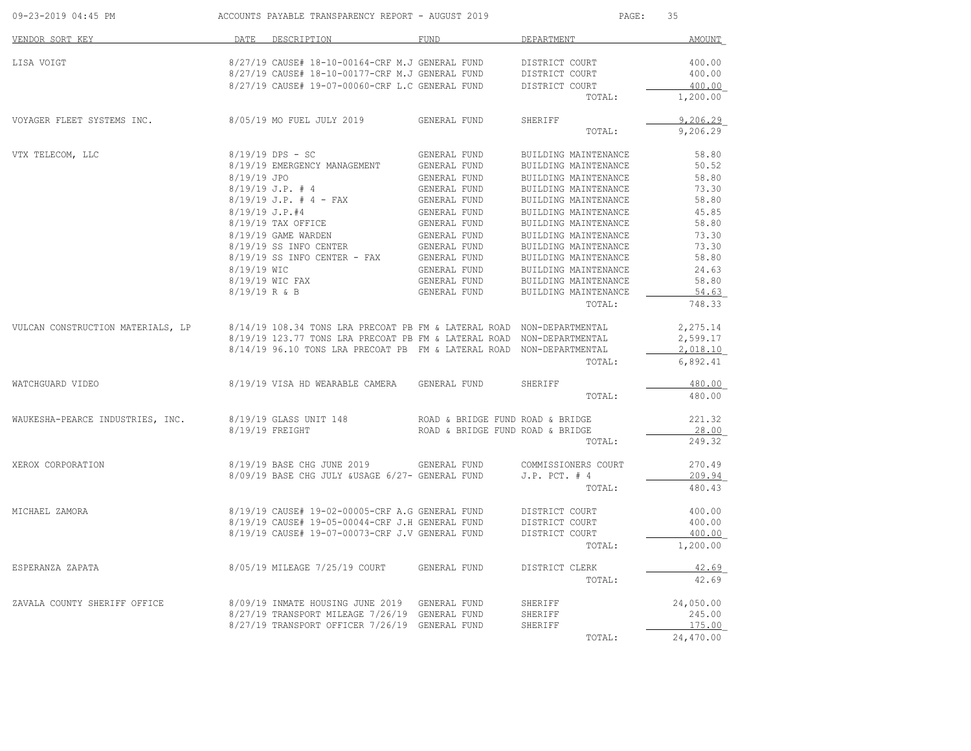| 09-23-2019 04:45 PM                                                                                     |             | ACCOUNTS PAYABLE TRANSPARENCY REPORT - AUGUST 2019                                                                                |                                  | PAGE:<br>35                    |                      |
|---------------------------------------------------------------------------------------------------------|-------------|-----------------------------------------------------------------------------------------------------------------------------------|----------------------------------|--------------------------------|----------------------|
| VENDOR SORT KEY                                                                                         |             | DATE DESCRIPTION                                                                                                                  | FUND                             | DEPARTMENT                     | AMOUNT               |
| LISA VOIGT                                                                                              |             | 8/27/19 CAUSE# 18-10-00164-CRF M.J GENERAL FUND                                                                                   |                                  | DISTRICT COURT                 | 400.00               |
|                                                                                                         |             | 8/27/19 CAUSE# 18-10-00177-CRF M.J GENERAL FUND DISTRICT COURT                                                                    |                                  |                                | 400.00               |
|                                                                                                         |             | 8/27/19 CAUSE# 19-07-00060-CRF L.C GENERAL FUND                                                                                   |                                  | DISTRICT COURT                 | 400.00               |
|                                                                                                         |             |                                                                                                                                   |                                  | TOTAL:                         | 1,200.00             |
| VOYAGER FLEET SYSTEMS INC. 8/05/19 MO FUEL JULY 2019 GENERAL FUND                                       |             |                                                                                                                                   |                                  | SHERIFF                        | 9,206.29             |
|                                                                                                         |             |                                                                                                                                   |                                  | TOTAL:                         | 9,206.29             |
| VTX TELECOM, LLC                                                                                        |             | 8/19/19 DPS - SC                                                                                                                  | GENERAL FUND                     | BUILDING MAINTENANCE           | 58.80                |
|                                                                                                         |             | 8/19/19 EMERGENCY MANAGEMENT GENERAL FUND                                                                                         |                                  | BUILDING MAINTENANCE           | 50.52                |
|                                                                                                         | 8/19/19 JPO |                                                                                                                                   | GENERAL FUND                     | BUILDING MAINTENANCE           | 58.80                |
|                                                                                                         |             | $8/19/19$ J.P. # 4                                                                                                                | GENERAL FUND                     | BUILDING MAINTENANCE           | 73.30                |
|                                                                                                         |             |                                                                                                                                   |                                  | BUILDING MAINTENANCE           | 58.80                |
|                                                                                                         |             |                                                                                                                                   |                                  | BUILDING MAINTENANCE           | 45.85                |
|                                                                                                         |             |                                                                                                                                   |                                  | BUILDING MAINTENANCE           | 58.80                |
|                                                                                                         |             |                                                                                                                                   |                                  | BUILDING MAINTENANCE           | 73.30                |
|                                                                                                         |             |                                                                                                                                   |                                  | BUILDING MAINTENANCE           | 73.30                |
|                                                                                                         |             |                                                                                                                                   |                                  | BUILDING MAINTENANCE           | 58.80                |
|                                                                                                         |             |                                                                                                                                   |                                  | BUILDING MAINTENANCE           | 24.63                |
|                                                                                                         |             | 8/19/19 WIC FAX                                                                                                                   | GENERAL FUND                     | BUILDING MAINTENANCE           | 58.80                |
|                                                                                                         |             | 8/19/19 R & B                                                                                                                     | GENERAL FUND                     | BUILDING MAINTENANCE<br>TOTAL: | 54.63<br>748.33      |
|                                                                                                         |             |                                                                                                                                   |                                  |                                |                      |
| VULCAN CONSTRUCTION MATERIALS, LP 8/14/19 108.34 TONS LRA PRECOAT PB FM & LATERAL ROAD NON-DEPARTMENTAL |             |                                                                                                                                   |                                  |                                | 2,275.14             |
|                                                                                                         |             | 8/19/19 123.77 TONS LRA PRECOAT PB FM & LATERAL ROAD NON-DEPARTMENTAL                                                             |                                  |                                | 2,599.17             |
|                                                                                                         |             | 8/14/19 96.10 TONS LRA PRECOAT PB FM & LATERAL ROAD NON-DEPARTMENTAL                                                              |                                  | TOTAL:                         | 2,018.10<br>6,892.41 |
| WATCHGUARD VIDEO                                                                                        |             | 8/19/19 VISA HD WEARABLE CAMERA GENERAL FUND                                                                                      |                                  | SHERIFF                        | 480.00               |
|                                                                                                         |             |                                                                                                                                   |                                  | TOTAL:                         | 480.00               |
| WAUKESHA-PEARCE INDUSTRIES, INC. 8/19/19 GLASS UNIT 148                                                 |             |                                                                                                                                   | ROAD & BRIDGE FUND ROAD & BRIDGE |                                | 221.32               |
|                                                                                                         |             | $8/19/19$ FREIGHT                                                                                                                 | ROAD & BRIDGE FUND ROAD & BRIDGE |                                | 28.00                |
|                                                                                                         |             |                                                                                                                                   |                                  | TOTAL:                         | 249.32               |
| XEROX CORPORATION                                                                                       |             | 8/19/19 BASE CHG JUNE 2019 GENERAL FUND COMMISSIONERS COURT                                                                       |                                  |                                | 270.49               |
|                                                                                                         |             | 8/09/19 BASE CHG JULY &USAGE 6/27- GENERAL FUND                                                                                   |                                  | $J.P.$ PCT. $#4$               | 209.94               |
|                                                                                                         |             |                                                                                                                                   |                                  | TOTAL:                         | 480.43               |
| MICHAEL ZAMORA                                                                                          |             |                                                                                                                                   |                                  |                                | 400.00               |
|                                                                                                         |             | $8/19/19$ CAUSE# 19-02-00005-CRF A.G GENERAL FUND DISTRICT COURT $8/19/19$ CAUSE# 19-05-00044-CRF J.H GENERAL FUND DISTRICT COURT |                                  |                                | 400.00               |
|                                                                                                         |             | 8/19/19 CAUSE# 19-07-00073-CRF J.V GENERAL FUND                                                                                   |                                  | DISTRICT COURT                 | 400.00               |
|                                                                                                         |             |                                                                                                                                   |                                  | TOTAL:                         | 1,200.00             |
| ESPERANZA ZAPATA                                                                                        |             | 8/05/19 MILEAGE 7/25/19 COURT GENERAL FUND DISTRICT CLERK                                                                         |                                  |                                | 42.69                |
|                                                                                                         |             |                                                                                                                                   |                                  | TOTAL:                         | 42.69                |
| ZAVALA COUNTY SHERIFF OFFICE                                                                            |             | 8/09/19 INMATE HOUSING JUNE 2019 GENERAL FUND                                                                                     |                                  |                                | 24,050.00            |
|                                                                                                         |             | 8/27/19 TRANSPORT MILEAGE 7/26/19 GENERAL FUND                                                                                    |                                  |                                | 245.00               |
|                                                                                                         |             | 8/27/19 TRANSPORT OFFICER 7/26/19 GENERAL FUND                                                                                    |                                  |                                | 175.00               |
|                                                                                                         |             |                                                                                                                                   |                                  | TOTAL:                         | 24,470.00            |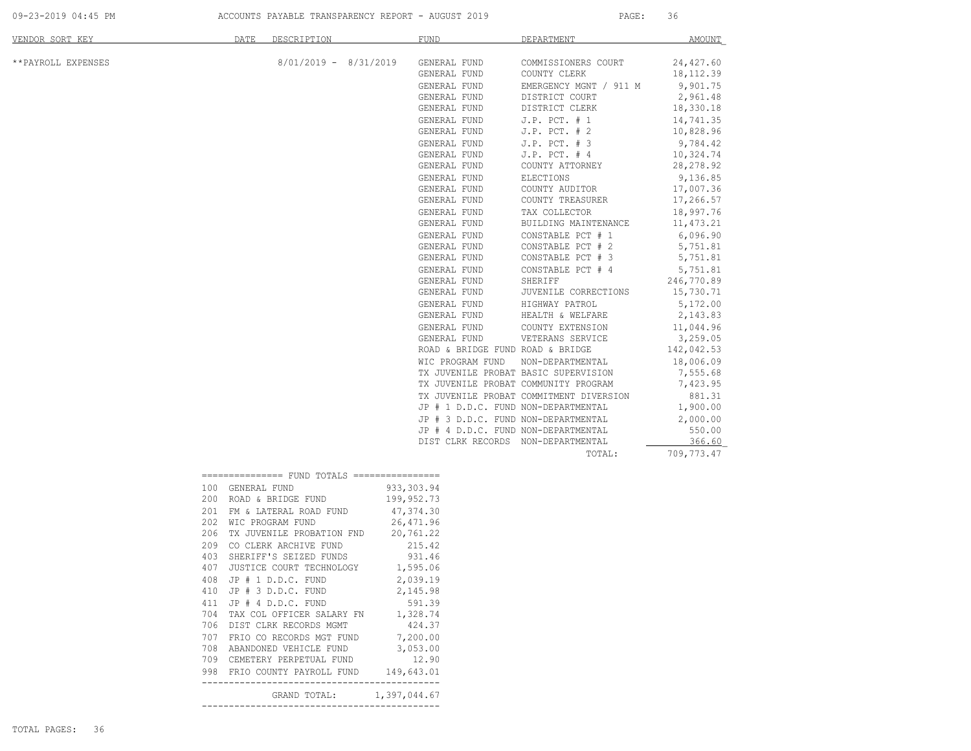09-23-2019 04:45 PM ACCOUNTS PAYABLE TRANSPARENCY REPORT - AUGUST 2019 PAGE: 36

| VENDOR SORT KEY    | <b>DATE</b>            | DESCRIPTION                                 |             | <b>FUND</b>      | DEPARTMENT                              | <b>AMOUNT</b> |
|--------------------|------------------------|---------------------------------------------|-------------|------------------|-----------------------------------------|---------------|
| **PAYROLL EXPENSES |                        | $8/01/2019 - 8/31/2019$                     |             | GENERAL FUND     | COMMISSIONERS COURT                     | 24,427.60     |
|                    |                        |                                             |             | GENERAL FUND     | COUNTY CLERK                            | 18, 112.39    |
|                    |                        |                                             |             | GENERAL FUND     | EMERGENCY MGNT / 911 M                  | 9,901.75      |
|                    |                        |                                             |             | GENERAL FUND     | DISTRICT COURT                          | 2,961.48      |
|                    |                        |                                             |             | GENERAL FUND     | DISTRICT CLERK                          | 18,330.18     |
|                    |                        |                                             |             | GENERAL FUND     | $J.P.$ PCT. $# 1$                       | 14,741.35     |
|                    |                        |                                             |             | GENERAL FUND     | $J.P.$ PCT. $# 2$                       | 10,828.96     |
|                    |                        |                                             |             | GENERAL FUND     | $J.P.$ PCT. $# 3$                       | 9,784.42      |
|                    |                        |                                             |             | GENERAL FUND     | $J.P.$ PCT. $#4$                        | 10,324.74     |
|                    |                        |                                             |             | GENERAL FUND     | COUNTY ATTORNEY                         | 28,278.92     |
|                    |                        |                                             |             | GENERAL FUND     | ELECTIONS                               | 9,136.85      |
|                    |                        |                                             |             | GENERAL FUND     | COUNTY AUDITOR                          | 17,007.36     |
|                    |                        |                                             |             | GENERAL FUND     | COUNTY TREASURER                        | 17,266.57     |
|                    |                        |                                             |             | GENERAL FUND     | TAX COLLECTOR                           | 18,997.76     |
|                    |                        |                                             |             | GENERAL FUND     | BUILDING MAINTENANCE                    | 11,473.21     |
|                    |                        |                                             |             | GENERAL FUND     | CONSTABLE PCT # 1                       | 6,096.90      |
|                    |                        |                                             |             | GENERAL FUND     | CONSTABLE PCT # 2                       | 5,751.81      |
|                    |                        |                                             |             | GENERAL FUND     | CONSTABLE PCT # 3                       | 5,751.81      |
|                    |                        |                                             |             | GENERAL FUND     | CONSTABLE PCT # 4                       | 5,751.81      |
|                    |                        |                                             |             | GENERAL FUND     | SHERIFF                                 | 246,770.89    |
|                    |                        |                                             |             | GENERAL FUND     | JUVENILE CORRECTIONS                    | 15,730.71     |
|                    |                        |                                             |             | GENERAL FUND     | HIGHWAY PATROL                          | 5,172.00      |
|                    |                        |                                             |             | GENERAL FUND     | HEALTH & WELFARE                        | 2,143.83      |
|                    |                        |                                             |             | GENERAL FUND     | COUNTY EXTENSION                        | 11,044.96     |
|                    |                        |                                             |             | GENERAL FUND     | VETERANS SERVICE                        | 3,259.05      |
|                    |                        |                                             |             |                  | ROAD & BRIDGE FUND ROAD & BRIDGE        | 142,042.53    |
|                    |                        |                                             |             | WIC PROGRAM FUND | NON-DEPARTMENTAL                        | 18,006.09     |
|                    |                        |                                             |             |                  | TX JUVENILE PROBAT BASIC SUPERVISION    | 7,555.68      |
|                    |                        |                                             |             |                  | TX JUVENILE PROBAT COMMUNITY PROGRAM    | 7,423.95      |
|                    |                        |                                             |             |                  | TX JUVENILE PROBAT COMMITMENT DIVERSION | 881.31        |
|                    |                        |                                             |             |                  | JP # 1 D.D.C. FUND NON-DEPARTMENTAL     | 1,900.00      |
|                    |                        |                                             |             |                  | JP # 3 D.D.C. FUND NON-DEPARTMENTAL     | 2,000.00      |
|                    |                        |                                             |             |                  | JP # 4 D.D.C. FUND NON-DEPARTMENTAL     | 550.00        |
|                    |                        |                                             |             |                  | DIST CLRK RECORDS NON-DEPARTMENTAL      | 366.60        |
|                    |                        |                                             |             |                  | TOTAL:                                  | 709,773.47    |
|                    |                        | ============== FUND TOTALS ================ |             |                  |                                         |               |
|                    | 100 GENERAL FUND       |                                             | 933, 303.94 |                  |                                         |               |
|                    | 200 ROAD & BRIDGE FUND |                                             | 199,952.73  |                  |                                         |               |
|                    |                        | $0.01$ TH $\epsilon$ tamppat poin punin     | $\sqrt{2}$  |                  |                                         |               |

|     | 200 ROAD & BRIDGE FUND 199,952.73       |  |
|-----|-----------------------------------------|--|
|     | 201 FM & LATERAL ROAD FUND 47,374.30    |  |
| 202 | WIC PROGRAM FUND 26,471.96              |  |
| 206 | TX JUVENILE PROBATION FND 20,761.22     |  |
| 209 | CO CLERK ARCHIVE FUND 215.42            |  |
| 403 | SHERIFF'S SEIZED FUNDS 931.46           |  |
| 407 | JUSTICE COURT TECHNOLOGY 1,595.06       |  |
| 408 | JP # 1 D.D.C. FUND 2,039.19             |  |
| 410 | JP # 3 D.D.C. FUND 2,145.98             |  |
| 411 | JP # 4 D.D.C. FUND 591.39               |  |
| 704 | TAX COL OFFICER SALARY FN 1,328.74      |  |
| 706 | DIST CLRK RECORDS MGMT 424.37           |  |
| 707 | FRIO CO RECORDS MGT FUND 7,200.00       |  |
| 708 | ABANDONED VEHICLE FUND 3,053.00         |  |
|     | 709 CEMETERY PERPETUAL FUND 12.90       |  |
|     | 998 FRIO COUNTY PAYROLL FUND 149,643.01 |  |
|     | GRAND TOTAL: 1,397,044.67               |  |
|     |                                         |  |